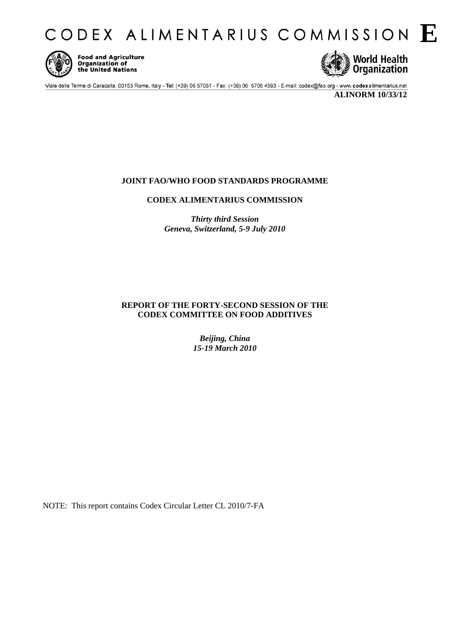CODEX ALIMENTARIUS COMMISSION E



**Food and Agriculture Organization of** the United Nations



Viale delle Terme di Caracalla, 00153 Rome, Italy - Tel: (+39) 06 57051 - Fax: (+39) 06 5705 4593 - E-mail: codex@fao.org - www.codexalimentarius.net

**ALINORM 10/33/12** 

## **JOINT FAO/WHO FOOD STANDARDS PROGRAMME**

**CODEX ALIMENTARIUS COMMISSION** 

*Thirty third Session Geneva, Switzerland, 5-9 July 2010* 

## **REPORT OF THE FORTY-SECOND SESSION OF THE CODEX COMMITTEE ON FOOD ADDITIVES**

*Beijing, China 15-19 March 2010* 

NOTE: This report contains Codex Circular Letter CL 2010/7-FA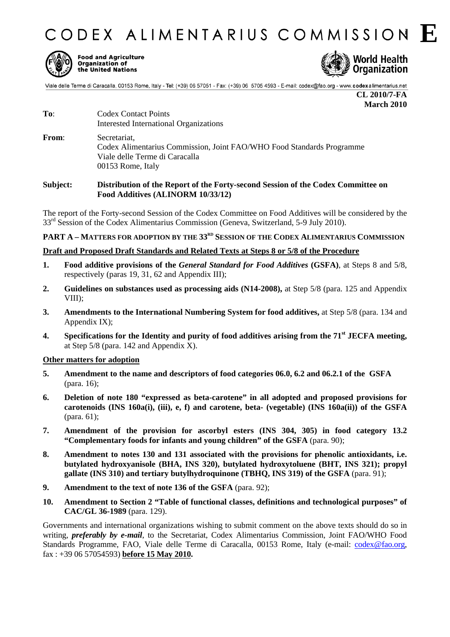CODEX ALIMENTARIUS COMMISSION E.



**Food and Agriculture Organization of** the United Nations



Viale delle Terme di Caracalla, 00153 Rome, Italy - Tel: (+39) 06 57051 - Fax: (+39) 06 5705 4593 - E-mail: codex@fao.org - www.codexalimentarius.net

**CL 2010/7-FA March 2010**

- To: Codex Contact Points Interested International Organizations
- **From**: Secretariat, Codex Alimentarius Commission, Joint FAO/WHO Food Standards Programme Viale delle Terme di Caracalla 00153 Rome, Italy

#### **Subject: Distribution of the Report of the Forty-second Session of the Codex Committee on Food Additives (ALINORM 10/33/12)**

The report of the Forty-second Session of the Codex Committee on Food Additives will be considered by the  $33<sup>rd</sup>$  Session of the Codex Alimentarius Commission (Geneva, Switzerland, 5-9 July 2010).

## **PART A – MATTERS FOR ADOPTION BY THE 33RD SESSION OF THE CODEX ALIMENTARIUS COMMISSION**

#### **Draft and Proposed Draft Standards and Related Texts at Steps 8 or 5/8 of the Procedure**

- **1. Food additive provisions of the** *General Standard for Food Additives* **(GSFA)**, at Steps 8 and 5/8, respectively (paras 19, 31, 62 and Appendix III);
- **2. Guidelines on substances used as processing aids (N14-2008),** at Step 5/8 (para. 125 and Appendix VIII);
- **3. Amendments to the International Numbering System for food additives,** at Step 5/8 (para. 134 and Appendix IX);
- **4. Specifications for the Identity and purity of food additives arising from the 71st JECFA meeting,** at Step  $5/8$  (para. 142 and Appendix X).

#### **Other matters for adoption**

- **5. Amendment to the name and descriptors of food categories 06.0, 6.2 and 06.2.1 of the GSFA** (para. 16);
- **6. Deletion of note 180 "expressed as beta-carotene" in all adopted and proposed provisions for carotenoids (INS 160a(i), (iii), e, f) and carotene, beta- (vegetable) (INS 160a(ii)) of the GSFA** (para. 61);
- **7. Amendment of the provision for ascorbyl esters (INS 304, 305) in food category 13.2 "Complementary foods for infants and young children" of the GSFA** (para. 90);
- **8. Amendment to notes 130 and 131 associated with the provisions for phenolic antioxidants, i.e. butylated hydroxyanisole (BHA, INS 320), butylated hydroxytoluene (BHT, INS 321); propyl gallate (INS 310) and tertiary butylhydroquinone (TBHQ, INS 319) of the GSFA** (para. 91);
- **9. Amendment to the text of note 136 of the GSFA** (para. 92);
- **10. Amendment to Section 2 "Table of functional classes, definitions and technological purposes" of CAC/GL 36-1989** (para. 129).

Governments and international organizations wishing to submit comment on the above texts should do so in writing, *preferably by e-mail*, to the Secretariat, Codex Alimentarius Commission, Joint FAO/WHO Food Standards Programme, FAO, Viale delle Terme di Caracalla, 00153 Rome, Italy (e-mail: codex@fao.org, fax : +39 06 57054593) **before 15 May 2010.**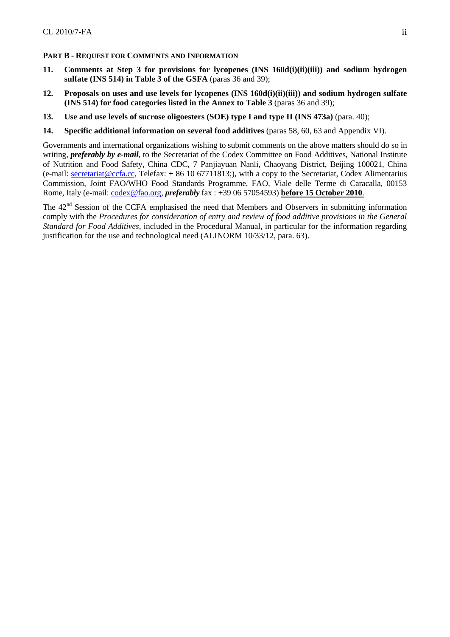#### **PART B - REQUEST FOR COMMENTS AND INFORMATION**

- **11. Comments at Step 3 for provisions for lycopenes (INS 160d(i)(ii)(iii)) and sodium hydrogen sulfate (INS 514) in Table 3 of the GSFA** (paras 36 and 39);
- **12. Proposals on uses and use levels for lycopenes (INS 160d(i)(ii)(iii)) and sodium hydrogen sulfate (INS 514) for food categories listed in the Annex to Table 3** (paras 36 and 39);
- **13. Use and use levels of sucrose oligoesters (SOE) type I and type II (INS 473a)** (para. 40);
- **14. Specific additional information on several food additives** (paras 58, 60, 63 and Appendix VI).

Governments and international organizations wishing to submit comments on the above matters should do so in writing, *preferably by e-mail*, to the Secretariat of the Codex Committee on Food Additives, National Institute of Nutrition and Food Safety, China CDC, 7 Panjiayuan Nanli, Chaoyang District, Beijing 100021, China (e-mail: secretariat@ccfa.cc, Telefax: + 86 10 67711813;), with a copy to the Secretariat, Codex Alimentarius Commission, Joint FAO/WHO Food Standards Programme, FAO, Viale delle Terme di Caracalla, 00153 Rome, Italy (e-mail: codex@fao.org, *preferably* fax : +39 06 57054593) **before 15 October 2010**.

The 42<sup>nd</sup> Session of the CCFA emphasised the need that Members and Observers in submitting information comply with the *Procedures for consideration of entry and review of food additive provisions in the General Standard for Food Additives*, included in the Procedural Manual, in particular for the information regarding justification for the use and technological need (ALINORM 10/33/12, para. 63).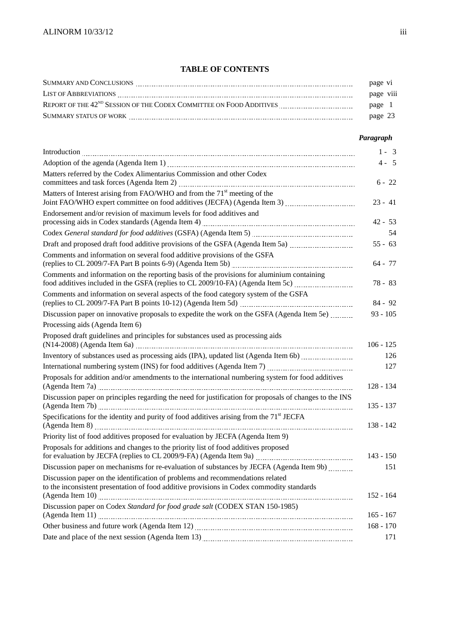## **TABLE OF CONTENTS**

| SUMMARY AND CONCLUSIONS                                                         | page vi   |  |
|---------------------------------------------------------------------------------|-----------|--|
| <b>LIST OF ABBREVIATIONS</b>                                                    | page viii |  |
| REPORT OF THE 42 <sup>ND</sup> SESSION OF THE CODEX COMMITTEE ON FOOD ADDITIVES | page      |  |
| SUMMARY STATUS OF WORK                                                          | page 23   |  |
|                                                                                 |           |  |

## *Paragraph*

|                                                                                                                                                                                                                                | $1 - 3$     |
|--------------------------------------------------------------------------------------------------------------------------------------------------------------------------------------------------------------------------------|-------------|
|                                                                                                                                                                                                                                | $4 - 5$     |
| Matters referred by the Codex Alimentarius Commission and other Codex                                                                                                                                                          | $6 - 22$    |
| Matters of Interest arising from FAO/WHO and from the 71 <sup>st</sup> meeting of the                                                                                                                                          | $23 - 41$   |
| Endorsement and/or revision of maximum levels for food additives and                                                                                                                                                           | $42 - 53$   |
| Codex General standard for food additives (GSFA) (Agenda Item 5) [111][2010] [2010] [2010] [2010] [2010] [2010                                                                                                                 | 54          |
| Draft and proposed draft food additive provisions of the GSFA (Agenda Item 5a) [1011] [101] [101] [101] [101] [101] [101] [101] [101] [101] [101] [101] [101] [101] [101] [101] [101] [101] [101] [101] [101] [101] [101] [101 | $55 - 63$   |
| Comments and information on several food additive provisions of the GSFA                                                                                                                                                       | 64 - 77     |
| Comments and information on the reporting basis of the provisions for aluminium containing<br>food additives included in the GSFA (replies to CL 2009/10-FA) (Agenda Item 5c)                                                  | 78 - 83     |
| Comments and information on several aspects of the food category system of the GSFA                                                                                                                                            | $84 - 92$   |
| Discussion paper on innovative proposals to expedite the work on the GSFA (Agenda Item 5e)                                                                                                                                     | $93 - 105$  |
| Processing aids (Agenda Item 6)                                                                                                                                                                                                |             |
| Proposed draft guidelines and principles for substances used as processing aids                                                                                                                                                | $106 - 125$ |
| Inventory of substances used as processing aids (IPA), updated list (Agenda Item 6b)                                                                                                                                           | 126         |
| International numbering system (INS) for food additives (Agenda Item 7) [111] [2012] [2013] [2013] [30] [30] [                                                                                                                 | 127         |
| Proposals for addition and/or amendments to the international numbering system for food additives                                                                                                                              | 128 - 134   |
| Discussion paper on principles regarding the need for justification for proposals of changes to the INS                                                                                                                        | $135 - 137$ |
| Specifications for the identity and purity of food additives arising from the 71 <sup>st</sup> JECFA                                                                                                                           | $138 - 142$ |
| Priority list of food additives proposed for evaluation by JECFA (Agenda Item 9)                                                                                                                                               |             |
| Proposals for additions and changes to the priority list of food additives proposed<br>for evaluation by JECFA (replies to CL 2009/9-FA) (Agenda Item 9a) _________________________________                                    | $143 - 150$ |
| Discussion paper on mechanisms for re-evaluation of substances by JECFA (Agenda Item 9b)                                                                                                                                       | 151         |
| Discussion paper on the identification of problems and recommendations related<br>to the inconsistent presentation of food additive provisions in Codex commodity standards                                                    | $152 - 164$ |
| Discussion paper on Codex Standard for food grade salt (CODEX STAN 150-1985)                                                                                                                                                   | $165 - 167$ |
|                                                                                                                                                                                                                                | $168 - 170$ |
|                                                                                                                                                                                                                                | 171         |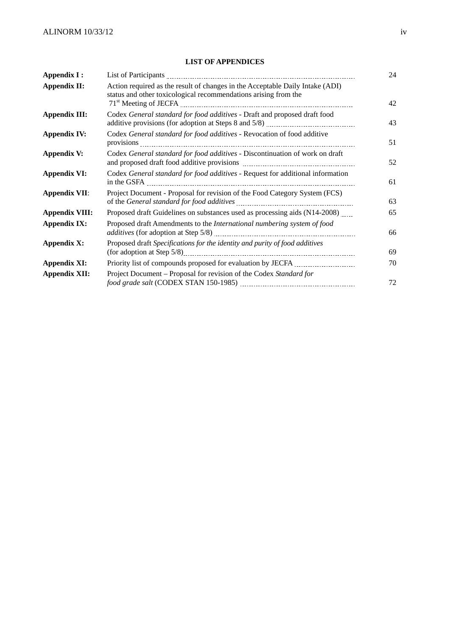### **LIST OF APPENDICES**

| Appendix I:           |                                                                                                                                                  |    |  |
|-----------------------|--------------------------------------------------------------------------------------------------------------------------------------------------|----|--|
| <b>Appendix II:</b>   | Action required as the result of changes in the Acceptable Daily Intake (ADI)<br>status and other toxicological recommendations arising from the | 42 |  |
| <b>Appendix III:</b>  | Codex General standard for food additives - Draft and proposed draft food                                                                        |    |  |
| <b>Appendix IV:</b>   | Codex General standard for food additives - Revocation of food additive                                                                          |    |  |
| <b>Appendix V:</b>    | Codex General standard for food additives - Discontinuation of work on draft                                                                     |    |  |
| <b>Appendix VI:</b>   | Codex General standard for food additives - Request for additional information                                                                   | 61 |  |
| <b>Appendix VII:</b>  | Project Document - Proposal for revision of the Food Category System (FCS)                                                                       | 63 |  |
| <b>Appendix VIII:</b> | Proposed draft Guidelines on substances used as processing aids (N14-2008)                                                                       | 65 |  |
| <b>Appendix IX:</b>   | Proposed draft Amendments to the International numbering system of food                                                                          |    |  |
| <b>Appendix X:</b>    | Proposed draft Specifications for the identity and purity of food additives                                                                      | 69 |  |
| <b>Appendix XI:</b>   |                                                                                                                                                  | 70 |  |
| <b>Appendix XII:</b>  | Project Document - Proposal for revision of the Codex Standard for                                                                               | 72 |  |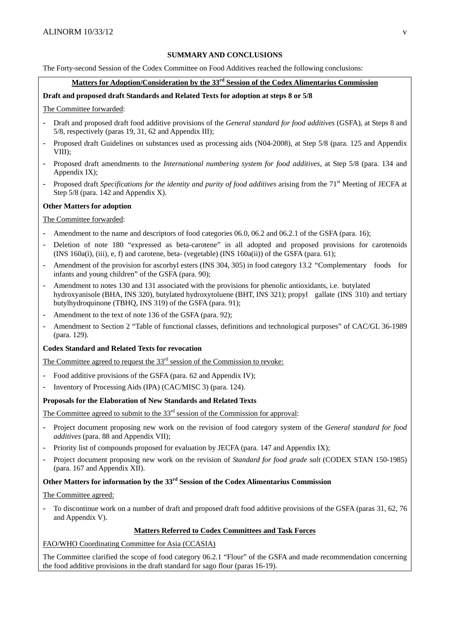#### **SUMMARY AND CONCLUSIONS**

The Forty-second Session of the Codex Committee on Food Additives reached the following conclusions:

## **Matters for Adoption/Consideration by the 33rd Session of the Codex Alimentarius Commission**

#### **Draft and proposed draft Standards and Related Texts for adoption at steps 8 or 5/8**

The Committee forwarded:

- Draft and proposed draft food additive provisions of the *General standard for food additives* (GSFA), at Steps 8 and 5/8, respectively (paras 19, 31, 62 and Appendix III);
- Proposed draft Guidelines on substances used as processing aids (N04-2008), at Step 5/8 (para. 125 and Appendix VIII);
- Proposed draft amendments to the *International numbering system for food additives*, at Step 5/8 (para. 134 and Appendix IX);
- Proposed draft *Specifications for the identity and purity of food additives* arising from the 71<sup>st</sup> Meeting of JECFA at Step 5/8 (para. 142 and Appendix X).

#### **Other Matters for adoption**

#### The Committee forwarded:

- Amendment to the name and descriptors of food categories 06.0, 06.2 and 06.2.1 of the GSFA (para. 16);
- Deletion of note 180 "expressed as beta-carotene" in all adopted and proposed provisions for carotenoids (INS 160a(i), (iii), e, f) and carotene, beta- (vegetable) (INS  $160a(ii)$ ) of the GSFA (para. 61);
- Amendment of the provision for ascorbyl esters (INS 304, 305) in food category 13.2 "Complementary foods for infants and young children" of the GSFA (para. 90);
- Amendment to notes 130 and 131 associated with the provisions for phenolic antioxidants, i.e. butylated hydroxyanisole (BHA, INS 320), butylated hydroxytoluene (BHT, INS 321); propyl gallate (INS 310) and tertiary butylhydroquinone (TBHQ, INS 319) of the GSFA (para. 91);
- Amendment to the text of note 136 of the GSFA (para, 92);
- Amendment to Section 2 "Table of functional classes, definitions and technological purposes" of CAC/GL 36-1989 (para. 129).

#### **Codex Standard and Related Texts for revocation**

The Committee agreed to request the  $33<sup>rd</sup>$  session of the Commission to revoke:

- Food additive provisions of the GSFA (para. 62 and Appendix IV);
- Inventory of Processing Aids (IPA) (CAC/MISC 3) (para. 124).

#### **Proposals for the Elaboration of New Standards and Related Texts**

The Committee agreed to submit to the 33<sup>rd</sup> session of the Commission for approval:

- Project document proposing new work on the revision of food category system of the *General standard for food additives* (para. 88 and Appendix VII);
- Priority list of compounds proposed for evaluation by JECFA (para. 147 and Appendix IX);
- Project document proposing new work on the revision of *Standard for food grade salt* (CODEX STAN 150-1985) (para. 167 and Appendix XII).

## **Other Matters for information by the 33rd Session of the Codex Alimentarius Commission**

The Committee agreed:

- To discontinue work on a number of draft and proposed draft food additive provisions of the GSFA (paras 31, 62, 76 and Appendix V).

#### **Matters Referred to Codex Committees and Task Forces**

FAO/WHO Coordinating Committee for Asia (CCASIA)

The Committee clarified the scope of food category 06.2.1 "Flour" of the GSFA and made recommendation concerning the food additive provisions in the draft standard for sago flour (paras 16-19).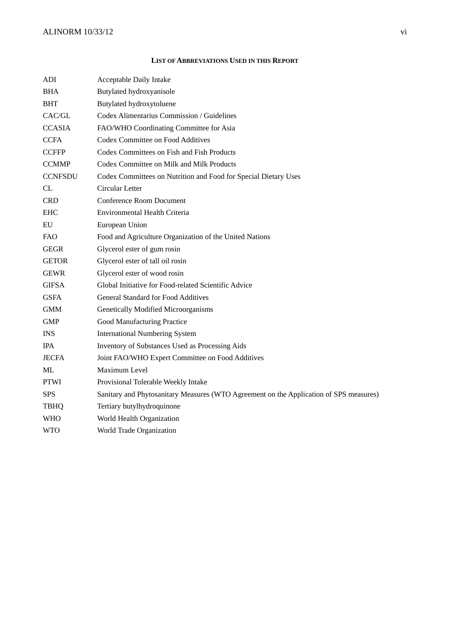#### **LIST OF ABBREVIATIONS USED IN THIS REPORT**

| ADI            | Acceptable Daily Intake                                                                |
|----------------|----------------------------------------------------------------------------------------|
| <b>BHA</b>     | Butylated hydroxyanisole                                                               |
| BHT            | Butylated hydroxytoluene                                                               |
| CAC/GL         | Codex Alimentarius Commission / Guidelines                                             |
| <b>CCASIA</b>  | FAO/WHO Coordinating Committee for Asia                                                |
| <b>CCFA</b>    | <b>Codex Committee on Food Additives</b>                                               |
| <b>CCFFP</b>   | Codex Committees on Fish and Fish Products                                             |
| <b>CCMMP</b>   | Codex Committee on Milk and Milk Products                                              |
| <b>CCNFSDU</b> | Codex Committees on Nutrition and Food for Special Dietary Uses                        |
| CL             | Circular Letter                                                                        |
| <b>CRD</b>     | <b>Conference Room Document</b>                                                        |
| EHC            | Environmental Health Criteria                                                          |
| EU             | European Union                                                                         |
| FAO.           | Food and Agriculture Organization of the United Nations                                |
| <b>GEGR</b>    | Glycerol ester of gum rosin                                                            |
| <b>GETOR</b>   | Glycerol ester of tall oil rosin                                                       |
| <b>GEWR</b>    | Glycerol ester of wood rosin                                                           |
| <b>GIFSA</b>   | Global Initiative for Food-related Scientific Advice                                   |
| <b>GSFA</b>    | <b>General Standard for Food Additives</b>                                             |
| <b>GMM</b>     | Genetically Modified Microorganisms                                                    |
| <b>GMP</b>     | Good Manufacturing Practice                                                            |
| <b>INS</b>     | <b>International Numbering System</b>                                                  |
| <b>IPA</b>     | Inventory of Substances Used as Processing Aids                                        |
| <b>JECFA</b>   | Joint FAO/WHO Expert Committee on Food Additives                                       |
| ML             | Maximum Level                                                                          |
| <b>PTWI</b>    | Provisional Tolerable Weekly Intake                                                    |
| <b>SPS</b>     | Sanitary and Phytosanitary Measures (WTO Agreement on the Application of SPS measures) |
| <b>TBHQ</b>    | Tertiary butylhydroquinone                                                             |
| <b>WHO</b>     | World Health Organization                                                              |
| <b>WTO</b>     | World Trade Organization                                                               |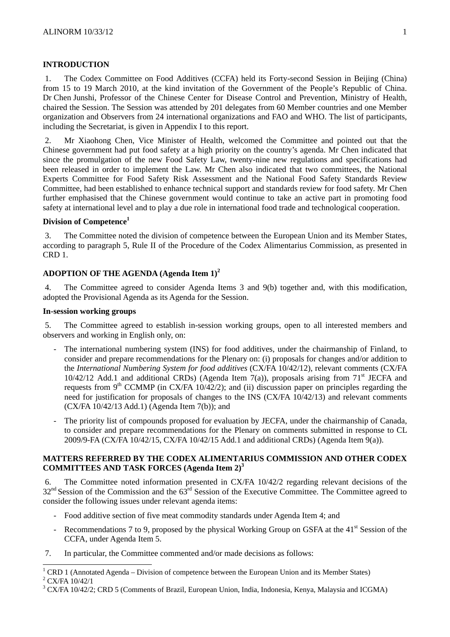### **INTRODUCTION**

1. The Codex Committee on Food Additives (CCFA) held its Forty-second Session in Beijing (China) from 15 to 19 March 2010, at the kind invitation of the Government of the People's Republic of China. Dr Chen Junshi, Professor of the Chinese Center for Disease Control and Prevention, Ministry of Health, chaired the Session. The Session was attended by 201 delegates from 60 Member countries and one Member organization and Observers from 24 international organizations and FAO and WHO. The list of participants, including the Secretariat, is given in Appendix I to this report.

2. Mr Xiaohong Chen, Vice Minister of Health, welcomed the Committee and pointed out that the Chinese government had put food safety at a high priority on the country's agenda. Mr Chen indicated that since the promulgation of the new Food Safety Law, twenty-nine new regulations and specifications had been released in order to implement the Law. Mr Chen also indicated that two committees, the National Experts Committee for Food Safety Risk Assessment and the National Food Safety Standards Review Committee, had been established to enhance technical support and standards review for food safety. Mr Chen further emphasised that the Chinese government would continue to take an active part in promoting food safety at international level and to play a due role in international food trade and technological cooperation.

## **Division of Competence<sup>1</sup>**

3. The Committee noted the division of competence between the European Union and its Member States, according to paragraph 5, Rule II of the Procedure of the Codex Alimentarius Commission, as presented in CRD 1.

#### **ADOPTION OF THE AGENDA (Agenda Item 1)<sup>2</sup>**

4. The Committee agreed to consider Agenda Items 3 and 9(b) together and, with this modification, adopted the Provisional Agenda as its Agenda for the Session.

#### **In-session working groups**

5. The Committee agreed to establish in-session working groups, open to all interested members and observers and working in English only, on:

- The international numbering system (INS) for food additives, under the chairmanship of Finland, to consider and prepare recommendations for the Plenary on: (i) proposals for changes and/or addition to the *International Numbering System for food additives* (CX/FA 10/42/12), relevant comments (CX/FA  $10/42/12$  Add.1 and additional CRDs) (Agenda Item 7(a)), proposals arising from 71<sup>st</sup> JECFA and requests from 9<sup>th</sup> CCMMP (in CX/FA 10/42/2); and (ii) discussion paper on principles regarding the need for justification for proposals of changes to the INS (CX/FA 10/42/13) and relevant comments (CX/FA 10/42/13 Add.1) (Agenda Item 7(b)); and
- The priority list of compounds proposed for evaluation by JECFA, under the chairmanship of Canada, to consider and prepare recommendations for the Plenary on comments submitted in response to CL 2009/9-FA (CX/FA 10/42/15, CX/FA 10/42/15 Add.1 and additional CRDs) (Agenda Item 9(a)).

## **MATTERS REFERRED BY THE CODEX ALIMENTARIUS COMMISSION AND OTHER CODEX COMMITTEES AND TASK FORCES (Agenda Item 2)<sup>3</sup>**

6. The Committee noted information presented in CX/FA 10/42/2 regarding relevant decisions of the  $32<sup>nd</sup>$  Session of the Commission and the  $63<sup>rd</sup>$  Session of the Executive Committee. The Committee agreed to consider the following issues under relevant agenda items:

- Food additive section of five meat commodity standards under Agenda Item 4; and
- Recommendations 7 to 9, proposed by the physical Working Group on GSFA at the  $41<sup>st</sup>$  Session of the CCFA, under Agenda Item 5.
- 7. In particular, the Committee commented and/or made decisions as follows:

<sup>&</sup>lt;sup>1</sup> CRD 1 (Annotated Agenda – Division of competence between the European Union and its Member States)

CX/FA 10/42/1

<sup>&</sup>lt;sup>3</sup> CX/FA 10/42/2; CRD 5 (Comments of Brazil, European Union, India, Indonesia, Kenya, Malaysia and ICGMA)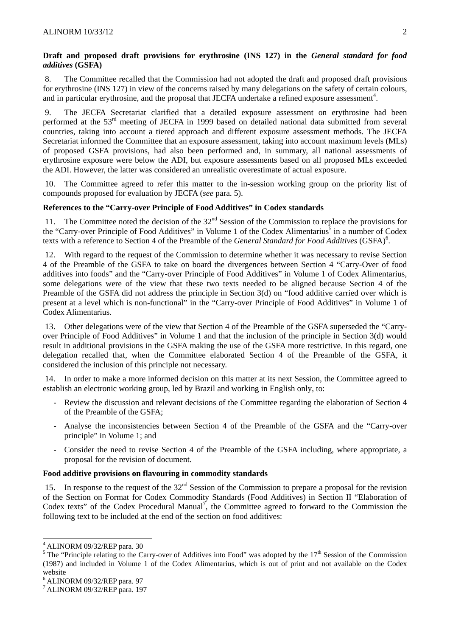#### **Draft and proposed draft provisions for erythrosine (INS 127) in the** *General standard for food additives* **(GSFA)**

8. The Committee recalled that the Commission had not adopted the draft and proposed draft provisions for erythrosine (INS 127) in view of the concerns raised by many delegations on the safety of certain colours, and in particular erythrosine, and the proposal that JECFA undertake a refined exposure assessment<sup>4</sup>.

9. The JECFA Secretariat clarified that a detailed exposure assessment on erythrosine had been performed at the 53rd meeting of JECFA in 1999 based on detailed national data submitted from several countries, taking into account a tiered approach and different exposure assessment methods. The JECFA Secretariat informed the Committee that an exposure assessment, taking into account maximum levels (MLs) of proposed GSFA provisions, had also been performed and, in summary, all national assessments of erythrosine exposure were below the ADI, but exposure assessments based on all proposed MLs exceeded the ADI. However, the latter was considered an unrealistic overestimate of actual exposure.

10. The Committee agreed to refer this matter to the in-session working group on the priority list of compounds proposed for evaluation by JECFA (*see* para. 5).

#### **References to the "Carry-over Principle of Food Additives" in Codex standards**

11. The Committee noted the decision of the 32<sup>nd</sup> Session of the Commission to replace the provisions for the "Carry-over Principle of Food Additives" in Volume 1 of the Codex Alimentarius<sup>5</sup> in a number of Codex texts with a reference to Section 4 of the Preamble of the *General Standard for Food Additives* (GSFA)<sup>6</sup>.

12. With regard to the request of the Commission to determine whether it was necessary to revise Section 4 of the Preamble of the GSFA to take on board the divergences between Section 4 "Carry-Over of food additives into foods" and the "Carry-over Principle of Food Additives" in Volume 1 of Codex Alimentarius, some delegations were of the view that these two texts needed to be aligned because Section 4 of the Preamble of the GSFA did not address the principle in Section 3(d) on "food additive carried over which is present at a level which is non-functional" in the "Carry-over Principle of Food Additives" in Volume 1 of Codex Alimentarius.

13. Other delegations were of the view that Section 4 of the Preamble of the GSFA superseded the "Carryover Principle of Food Additives" in Volume 1 and that the inclusion of the principle in Section 3(d) would result in additional provisions in the GSFA making the use of the GSFA more restrictive. In this regard, one delegation recalled that, when the Committee elaborated Section 4 of the Preamble of the GSFA, it considered the inclusion of this principle not necessary.

14. In order to make a more informed decision on this matter at its next Session, the Committee agreed to establish an electronic working group, led by Brazil and working in English only, to:

- Review the discussion and relevant decisions of the Committee regarding the elaboration of Section 4 of the Preamble of the GSFA;
- Analyse the inconsistencies between Section 4 of the Preamble of the GSFA and the "Carry-over principle" in Volume 1; and
- Consider the need to revise Section 4 of the Preamble of the GSFA including, where appropriate, a proposal for the revision of document.

## **Food additive provisions on flavouring in commodity standards**

15. In response to the request of the  $32<sup>nd</sup>$  Session of the Commission to prepare a proposal for the revision of the Section on Format for Codex Commodity Standards (Food Additives) in Section II "Elaboration of Codex texts" of the Codex Procedural Manual<sup>7</sup>, the Committee agreed to forward to the Commission the following text to be included at the end of the section on food additives:

 4 ALINORM 09/32/REP para. 30

<sup>&</sup>lt;sup>5</sup> The "Principle relating to the Carry-over of Additives into Food" was adopted by the  $17<sup>th</sup>$  Session of the Commission (1987) and included in Volume 1 of the Codex Alimentarius, which is out of print and not available on the Codex website

<sup>6</sup> ALINORM 09/32/REP para. 97

<sup>7</sup> ALINORM 09/32/REP para. 197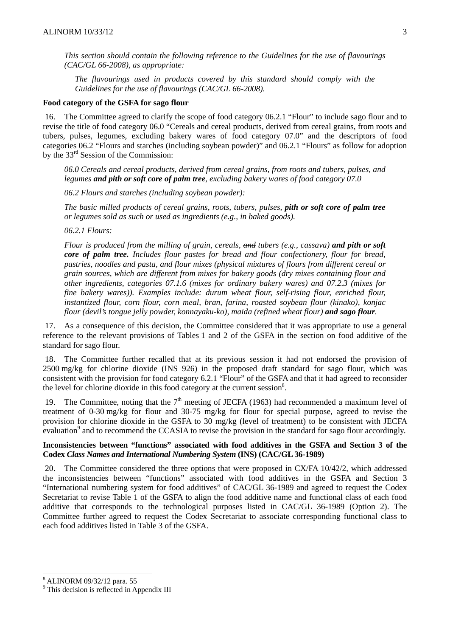*This section should contain the following reference to the Guidelines for the use of flavourings (CAC/GL 66-2008), as appropriate:* 

*The flavourings used in products covered by this standard should comply with the Guidelines for the use of flavourings (CAC/GL 66-2008).* 

#### **Food category of the GSFA for sago flour**

16. The Committee agreed to clarify the scope of food category 06.2.1 "Flour" to include sago flour and to revise the title of food category 06.0 "Cereals and cereal products, derived from cereal grains, from roots and tubers, pulses, legumes, excluding bakery wares of food category 07.0" and the descriptors of food categories 06.2 "Flours and starches (including soybean powder)" and 06.2.1 "Flours" as follow for adoption by the 33rd Session of the Commission:

*06.0 Cereals and cereal products, derived from cereal grains, from roots and tubers, pulses, and legumes and pith or soft core of palm tree, excluding bakery wares of food category 07.0* 

*06.2 Flours and starches (including soybean powder):* 

*The basic milled products of cereal grains, roots, tubers, pulses, pith or soft core of palm tree or legumes sold as such or used as ingredients (e.g., in baked goods).* 

*06.2.1 Flours:* 

*Flour is produced from the milling of grain, cereals, and tubers (e.g., cassava) and pith or soft core of palm tree. Includes flour pastes for bread and flour confectionery, flour for bread, pastries, noodles and pasta, and flour mixes (physical mixtures of flours from different cereal or grain sources, which are different from mixes for bakery goods (dry mixes containing flour and other ingredients, categories 07.1.6 (mixes for ordinary bakery wares) and 07.2.3 (mixes for fine bakery wares)). Examples include: durum wheat flour, self-rising flour, enriched flour, instantized flour, corn flour, corn meal, bran, farina, roasted soybean flour (kinako), konjac flour (devil's tongue jelly powder, konnayaku-ko), maida (refined wheat flour) and sago flour.* 

17. As a consequence of this decision, the Committee considered that it was appropriate to use a general reference to the relevant provisions of Tables 1 and 2 of the GSFA in the section on food additive of the standard for sago flour.

18. The Committee further recalled that at its previous session it had not endorsed the provision of 2500 mg/kg for chlorine dioxide (INS 926) in the proposed draft standard for sago flour, which was consistent with the provision for food category 6.2.1 "Flour" of the GSFA and that it had agreed to reconsider the level for chlorine dioxide in this food category at the current session $8$ .

19. The Committee, noting that the  $7<sup>th</sup>$  meeting of JECFA (1963) had recommended a maximum level of treatment of 0-30 mg/kg for flour and 30-75 mg/kg for flour for special purpose, agreed to revise the provision for chlorine dioxide in the GSFA to 30 mg/kg (level of treatment) to be consistent with JECFA evaluation<sup>9</sup> and to recommend the CCASIA to revise the provision in the standard for sago flour accordingly.

#### **Inconsistencies between "functions" associated with food additives in the GSFA and Section 3 of the Codex** *Class Names and International Numbering System* **(INS) (CAC/GL 36-1989)**

20. The Committee considered the three options that were proposed in CX/FA 10/42/2, which addressed the inconsistencies between "functions" associated with food additives in the GSFA and Section 3 "International numbering system for food additives" of CAC/GL 36-1989 and agreed to request the Codex Secretariat to revise Table 1 of the GSFA to align the food additive name and functional class of each food additive that corresponds to the technological purposes listed in CAC/GL 36-1989 (Option 2). The Committee further agreed to request the Codex Secretariat to associate corresponding functional class to each food additives listed in Table 3 of the GSFA.

l

<sup>8</sup> ALINORM 09/32/12 para. 55

<sup>&</sup>lt;sup>9</sup> This decision is reflected in Appendix III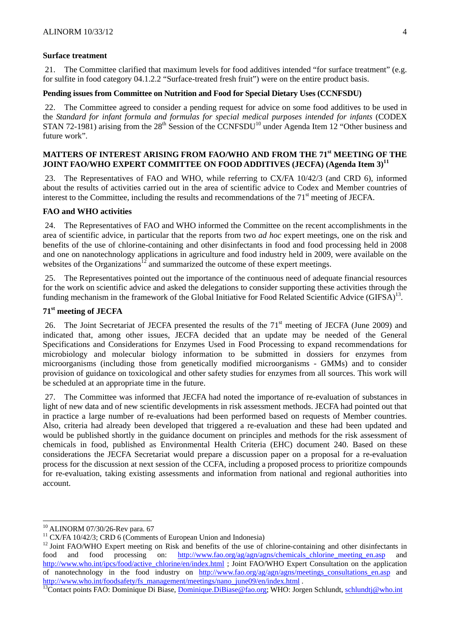#### **Surface treatment**

21. The Committee clarified that maximum levels for food additives intended "for surface treatment" (e.g. for sulfite in food category 04.1.2.2 "Surface-treated fresh fruit") were on the entire product basis.

#### **Pending issues from Committee on Nutrition and Food for Special Dietary Uses (CCNFSDU)**

22. The Committee agreed to consider a pending request for advice on some food additives to be used in the *Standard for infant formula and formulas for special medical purposes intended for infants* (CODEX STAN 72-1981) arising from the  $28<sup>th</sup>$  Session of the CCNFSDU<sup>10</sup> under Agenda Item 12 "Other business and future work".

## **MATTERS OF INTEREST ARISING FROM FAO/WHO AND FROM THE 71st MEETING OF THE JOINT FAO/WHO EXPERT COMMITTEE ON FOOD ADDITIVES (JECFA) (Agenda Item 3)11**

23. The Representatives of FAO and WHO, while referring to CX/FA 10/42/3 (and CRD 6), informed about the results of activities carried out in the area of scientific advice to Codex and Member countries of interest to the Committee, including the results and recommendations of the  $71<sup>st</sup>$  meeting of JECFA.

#### **FAO and WHO activities**

24. The Representatives of FAO and WHO informed the Committee on the recent accomplishments in the area of scientific advice, in particular that the reports from two *ad hoc* expert meetings, one on the risk and benefits of the use of chlorine-containing and other disinfectants in food and food processing held in 2008 and one on nanotechnology applications in agriculture and food industry held in 2009, were available on the websites of the Organizations<sup>12</sup> and summarized the outcome of these expert meetings.

25. The Representatives pointed out the importance of the continuous need of adequate financial resources for the work on scientific advice and asked the delegations to consider supporting these activities through the funding mechanism in the framework of the Global Initiative for Food Related Scientific Advice  $(GIFSA)^{13}$ .

## **71st meeting of JECFA**

26. The Joint Secretariat of JECFA presented the results of the 71<sup>st</sup> meeting of JECFA (June 2009) and indicated that, among other issues, JECFA decided that an update may be needed of the General Specifications and Considerations for Enzymes Used in Food Processing to expand recommendations for microbiology and molecular biology information to be submitted in dossiers for enzymes from microorganisms (including those from genetically modified microorganisms - GMMs) and to consider provision of guidance on toxicological and other safety studies for enzymes from all sources. This work will be scheduled at an appropriate time in the future.

27. The Committee was informed that JECFA had noted the importance of re-evaluation of substances in light of new data and of new scientific developments in risk assessment methods. JECFA had pointed out that in practice a large number of re-evaluations had been performed based on requests of Member countries. Also, criteria had already been developed that triggered a re-evaluation and these had been updated and would be published shortly in the guidance document on principles and methods for the risk assessment of chemicals in food, published as Environmental Health Criteria (EHC) document 240. Based on these considerations the JECFA Secretariat would prepare a discussion paper on a proposal for a re-evaluation process for the discussion at next session of the CCFA, including a proposed process to prioritize compounds for re-evaluation, taking existing assessments and information from national and regional authorities into account.

l

<sup>10</sup> ALINORM 07/30/26-Rev para. 67

 $11$  CX/FA 10/42/3; CRD 6 (Comments of European Union and Indonesia)

<sup>&</sup>lt;sup>12</sup> Joint FAO/WHO Expert meeting on Risk and benefits of the use of chlorine-containing and other disinfectants in food and food processing on: http://www.fao.org/ag/agn/agns/chemicals chlorine meeting en.asp and http://www.who.int/ipcs/food/active\_chlorine/en/index.html ; Joint FAO/WHO Expert Consultation on the application of nanotechnology in the food industry on http://www.fao.org/ag/agn/agns/meetings\_consultations\_en.asp and http://www.who.int/foodsafety/fs\_management/meetings/nano\_june09/en/index.html .<br><sup>13</sup>Contact points FAO: Dominique Di Biase, <u>Dominique.DiBiase@fao.org</u>; WHO: Jorgen Schlundt, schlundtj@who.int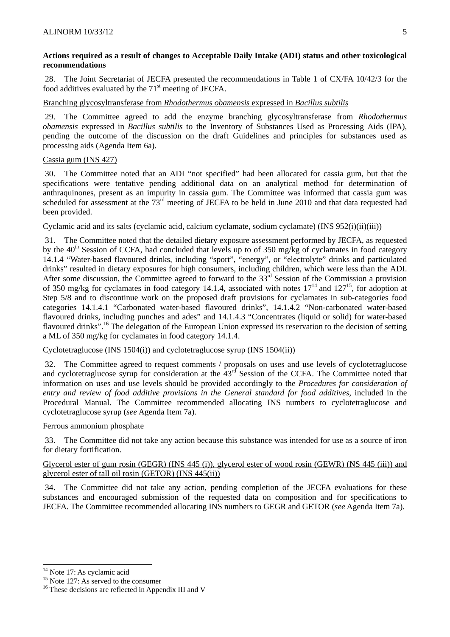## **Actions required as a result of changes to Acceptable Daily Intake (ADI) status and other toxicological recommendations**

28. The Joint Secretariat of JECFA presented the recommendations in Table 1 of CX/FA 10/42/3 for the food additives evaluated by the  $71<sup>st</sup>$  meeting of JECFA.

# Branching glycosyltransferase from *Rhodothermus obamensis* expressed in *Bacillus subtilis*

29. The Committee agreed to add the enzyme branching glycosyltransferase from *Rhodothermus obamensis* expressed in *Bacillus subtilis* to the Inventory of Substances Used as Processing Aids (IPA), pending the outcome of the discussion on the draft Guidelines and principles for substances used as processing aids (Agenda Item 6a).

# Cassia gum (INS 427)

30. The Committee noted that an ADI "not specified" had been allocated for cassia gum, but that the specifications were tentative pending additional data on an analytical method for determination of anthraquinones, present as an impurity in cassia gum. The Committee was informed that cassia gum was scheduled for assessment at the 73<sup>rd</sup> meeting of JECFA to be held in June 2010 and that data requested had been provided.

# Cyclamic acid and its salts (cyclamic acid, calcium cyclamate, sodium cyclamate) (INS 952(i)(ii)(iii))

31. The Committee noted that the detailed dietary exposure assessment performed by JECFA, as requested by the  $40<sup>th</sup>$  Session of CCFA, had concluded that levels up to of 350 mg/kg of cyclamates in food category 14.1.4 "Water-based flavoured drinks, including "sport", "energy", or "electrolyte" drinks and particulated drinks" resulted in dietary exposures for high consumers, including children, which were less than the ADI. After some discussion, the Committee agreed to forward to the 33<sup>rd</sup> Session of the Commission a provision of 350 mg/kg for cyclamates in food category 14.1.4, associated with notes  $17<sup>14</sup>$  and  $127<sup>15</sup>$ , for adoption at Step 5/8 and to discontinue work on the proposed draft provisions for cyclamates in sub-categories food categories 14.1.4.1 "Carbonated water-based flavoured drinks", 14.1.4.2 "Non-carbonated water-based flavoured drinks, including punches and ades" and 14.1.4.3 "Concentrates (liquid or solid) for water-based flavoured drinks".16 The delegation of the European Union expressed its reservation to the decision of setting a ML of 350 mg/kg for cyclamates in food category 14.1.4.

# Cyclotetraglucose (INS 1504(i)) and cyclotetraglucose syrup (INS 1504(ii))

32. The Committee agreed to request comments / proposals on uses and use levels of cyclotetraglucose and cyclotetraglucose syrup for consideration at the 43<sup>rd</sup> Session of the CCFA. The Committee noted that information on uses and use levels should be provided accordingly to the *Procedures for consideration of entry and review of food additive provisions in the General standard for food additives*, included in the Procedural Manual. The Committee recommended allocating INS numbers to cyclotetraglucose and cyclotetraglucose syrup (*see* Agenda Item 7a).

# Ferrous ammonium phosphate

33. The Committee did not take any action because this substance was intended for use as a source of iron for dietary fortification.

# Glycerol ester of gum rosin (GEGR) (INS 445 (i)), glycerol ester of wood rosin (GEWR) (NS 445 (iii)) and glycerol ester of tall oil rosin (GETOR) (INS 445(ii))

34. The Committee did not take any action, pending completion of the JECFA evaluations for these substances and encouraged submission of the requested data on composition and for specifications to JECFA. The Committee recommended allocating INS numbers to GEGR and GETOR (*see* Agenda Item 7a).

l  $14$  Note 17: As cyclamic acid

<sup>&</sup>lt;sup>15</sup> Note 127: As served to the consumer

<sup>&</sup>lt;sup>16</sup> These decisions are reflected in Appendix III and V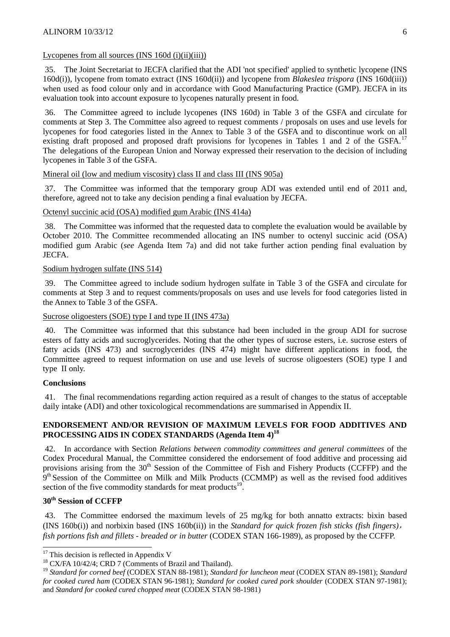#### $ALINORM$  10/33/12 6

#### Lycopenes from all sources  $(INS 160d (i)(ii)(iii))$

35. The Joint Secretariat to JECFA clarified that the ADI 'not specified' applied to synthetic lycopene (INS 160d(i)), lycopene from tomato extract (INS 160d(ii)) and lycopene from *Blakeslea trispora* (INS 160d(iii)) when used as food colour only and in accordance with Good Manufacturing Practice (GMP). JECFA in its evaluation took into account exposure to lycopenes naturally present in food.

36. The Committee agreed to include lycopenes (INS 160d) in Table 3 of the GSFA and circulate for comments at Step 3. The Committee also agreed to request comments / proposals on uses and use levels for lycopenes for food categories listed in the Annex to Table 3 of the GSFA and to discontinue work on all existing draft proposed and proposed draft provisions for lycopenes in Tables 1 and 2 of the GSFA.<sup>17</sup> The delegations of the European Union and Norway expressed their reservation to the decision of including lycopenes in Table 3 of the GSFA.

#### Mineral oil (low and medium viscosity) class II and class III (INS 905a)

37. The Committee was informed that the temporary group ADI was extended until end of 2011 and, therefore, agreed not to take any decision pending a final evaluation by JECFA.

### Octenyl succinic acid (OSA) modified gum Arabic (INS 414a)

38. The Committee was informed that the requested data to complete the evaluation would be available by October 2010. The Committee recommended allocating an INS number to octenyl succinic acid (OSA) modified gum Arabic (*see* Agenda Item 7a) and did not take further action pending final evaluation by JECFA.

#### Sodium hydrogen sulfate (INS 514)

39. The Committee agreed to include sodium hydrogen sulfate in Table 3 of the GSFA and circulate for comments at Step 3 and to request comments/proposals on uses and use levels for food categories listed in the Annex to Table 3 of the GSFA.

Sucrose oligoesters (SOE) type I and type II (INS 473a)

40. The Committee was informed that this substance had been included in the group ADI for sucrose esters of fatty acids and sucroglycerides. Noting that the other types of sucrose esters, i.e. sucrose esters of fatty acids (INS 473) and sucroglycerides (INS 474) might have different applications in food, the Committee agreed to request information on use and use levels of sucrose oligoesters (SOE) type I and type II only.

#### **Conclusions**

The final recommendations regarding action required as a result of changes to the status of acceptable daily intake (ADI) and other toxicological recommendations are summarised in Appendix II.

#### **ENDORSEMENT AND/OR REVISION OF MAXIMUM LEVELS FOR FOOD ADDITIVES AND**  PROCESSING AIDS IN CODEX STANDARDS (Agenda Item 4)<sup>18</sup>

42. In accordance with Section *Relations between commodity committees and general committees* of the Codex Procedural Manual, the Committee considered the endorsement of food additive and processing aid provisions arising from the 30<sup>th</sup> Session of the Committee of Fish and Fishery Products (CCFFP) and the  $9<sup>th</sup>$  Session of the Committee on Milk and Milk Products (CCMMP) as well as the revised food additives section of the five commodity standards for meat products<sup>19</sup>.

## **30th Session of CCFFP**

l

43. The Committee endorsed the maximum levels of 25 mg/kg for both annatto extracts: bixin based (INS 160b(i)) and norbixin based (INS 160b(ii)) in the *Standard for quick frozen fish sticks (fish fingers)*, *fish portions fish and fillets - breaded or in butter* (CODEX STAN 166-1989), as proposed by the CCFFP.

 $17$  This decision is reflected in Appendix V

<sup>&</sup>lt;sup>18</sup> CX/FA 10/42/4; CRD 7 (Comments of Brazil and Thailand).

<sup>19</sup> *Standard for corned beef* (CODEX STAN 88-1981); *Standard for luncheon meat* (CODEX STAN 89-1981); *Standard for cooked cured ham* (CODEX STAN 96-1981); *Standard for cooked cured pork shoulder* (CODEX STAN 97-1981); and *Standard for cooked cured chopped meat* (CODEX STAN 98-1981)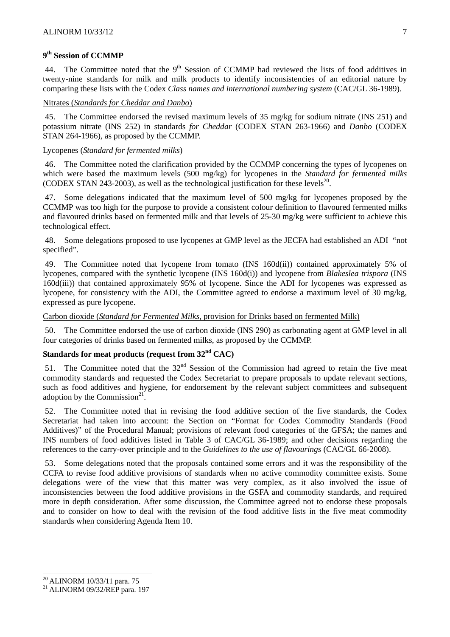### **9th Session of CCMMP**

44. The Committee noted that the 9<sup>th</sup> Session of CCMMP had reviewed the lists of food additives in twenty-nine standards for milk and milk products to identify inconsistencies of an editorial nature by comparing these lists with the Codex *Class names and international numbering system* (CAC/GL 36-1989).

#### Nitrates (*Standards for Cheddar and Danbo*)

45. The Committee endorsed the revised maximum levels of 35 mg/kg for sodium nitrate (INS 251) and potassium nitrate (INS 252) in standards *for Cheddar* (CODEX STAN 263-1966) and *Danbo* (CODEX STAN 264-1966), as proposed by the CCMMP.

#### Lycopenes (*Standard for fermented milks*)

46. The Committee noted the clarification provided by the CCMMP concerning the types of lycopenes on which were based the maximum levels (500 mg/kg) for lycopenes in the *Standard for fermented milks*  (CODEX STAN 243-2003), as well as the technological justification for these levels<sup>20</sup>.

Some delegations indicated that the maximum level of 500 mg/kg for lycopenes proposed by the CCMMP was too high for the purpose to provide a consistent colour definition to flavoured fermented milks and flavoured drinks based on fermented milk and that levels of 25-30 mg/kg were sufficient to achieve this technological effect.

48. Some delegations proposed to use lycopenes at GMP level as the JECFA had established an ADI "not specified".

49. The Committee noted that lycopene from tomato (INS 160d(ii)) contained approximately 5% of lycopenes, compared with the synthetic lycopene (INS 160d(i)) and lycopene from *Blakeslea trispora* (INS 160d(iii)) that contained approximately 95% of lycopene. Since the ADI for lycopenes was expressed as lycopene, for consistency with the ADI, the Committee agreed to endorse a maximum level of 30 mg/kg, expressed as pure lycopene.

#### Carbon dioxide (*Standard for Fermented Milks*, provision for Drinks based on fermented Milk)

50. The Committee endorsed the use of carbon dioxide (INS 290) as carbonating agent at GMP level in all four categories of drinks based on fermented milks, as proposed by the CCMMP.

## **Standards for meat products (request from 32nd CAC)**

51. The Committee noted that the  $32<sup>nd</sup>$  Session of the Commission had agreed to retain the five meat commodity standards and requested the Codex Secretariat to prepare proposals to update relevant sections, such as food additives and hygiene, for endorsement by the relevant subject committees and subsequent adoption by the Commission $2<sup>1</sup>$ .

52. The Committee noted that in revising the food additive section of the five standards, the Codex Secretariat had taken into account: the Section on "Format for Codex Commodity Standards (Food Additives)" of the Procedural Manual; provisions of relevant food categories of the GFSA; the names and INS numbers of food additives listed in Table 3 of CAC/GL 36-1989; and other decisions regarding the references to the carry-over principle and to the *Guidelines to the use of flavourings* (CAC/GL 66-2008).

53. Some delegations noted that the proposals contained some errors and it was the responsibility of the CCFA to revise food additive provisions of standards when no active commodity committee exists. Some delegations were of the view that this matter was very complex, as it also involved the issue of inconsistencies between the food additive provisions in the GSFA and commodity standards, and required more in depth consideration. After some discussion, the Committee agreed not to endorse these proposals and to consider on how to deal with the revision of the food additive lists in the five meat commodity standards when considering Agenda Item 10.

l

<sup>20</sup> ALINORM 10/33/11 para. 75

<sup>21</sup> ALINORM 09/32/REP para. 197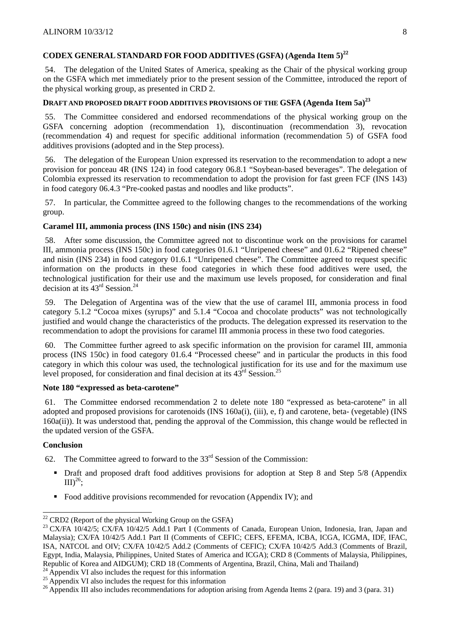# **CODEX GENERALSTANDARD FOR FOOD ADDITIVES (GSFA) (Agenda Item 5)<sup>22</sup>**

54. The delegation of the United States of America, speaking as the Chair of the physical working group on the GSFA which met immediately prior to the present session of the Committee, introduced the report of the physical working group, as presented in CRD 2.

# DRAFT AND PROPOSED DRAFT FOOD ADDITIVES PROVISIONS OF THE GSFA (Agenda Item 5a)<sup>23</sup>

55. The Committee considered and endorsed recommendations of the physical working group on the GSFA concerning adoption (recommendation 1), discontinuation (recommendation 3), revocation (recommendation 4) and request for specific additional information (recommendation 5) of GSFA food additives provisions (adopted and in the Step process).

56. The delegation of the European Union expressed its reservation to the recommendation to adopt a new provision for ponceau 4R (INS 124) in food category 06.8.1 "Soybean-based beverages". The delegation of Colombia expressed its reservation to recommendation to adopt the provision for fast green FCF (INS 143) in food category 06.4.3 "Pre-cooked pastas and noodles and like products".

57. In particular, the Committee agreed to the following changes to the recommendations of the working group.

## **Caramel III, ammonia process (INS 150c) and nisin (INS 234)**

58. After some discussion, the Committee agreed not to discontinue work on the provisions for caramel III, ammonia process (INS 150c) in food categories 01.6.1 "Unripened cheese" and 01.6.2 "Ripened cheese" and nisin (INS 234) in food category 01.6.1 "Unripened cheese". The Committee agreed to request specific information on the products in these food categories in which these food additives were used, the technological justification for their use and the maximum use levels proposed, for consideration and final decision at its  $43<sup>rd</sup>$  Session.<sup>24</sup>

59. The Delegation of Argentina was of the view that the use of caramel III, ammonia process in food category 5.1.2 "Cocoa mixes (syrups)" and 5.1.4 "Cocoa and chocolate products" was not technologically justified and would change the characteristics of the products. The delegation expressed its reservation to the recommendation to adopt the provisions for caramel III ammonia process in these two food categories.

60. The Committee further agreed to ask specific information on the provision for caramel III, ammonia process (INS 150c) in food category 01.6.4 "Processed cheese" and in particular the products in this food category in which this colour was used, the technological justification for its use and for the maximum use level proposed, for consideration and final decision at its  $43<sup>rd</sup>$  Session.<sup>25</sup>

# **Note 180 "expressed as beta-carotene"**

61. The Committee endorsed recommendation 2 to delete note 180 "expressed as beta-carotene" in all adopted and proposed provisions for carotenoids (INS 160a(i), (iii), e, f) and carotene, beta- (vegetable) (INS 160a(ii)). It was understood that, pending the approval of the Commission, this change would be reflected in the updated version of the GSFA.

#### **Conclusion**

l

62. The Committee agreed to forward to the  $33<sup>rd</sup>$  Session of the Commission:

- Draft and proposed draft food additives provisions for adoption at Step 8 and Step 5/8 (Appendix  $III)^{26}$ ;
- Food additive provisions recommended for revocation (Appendix IV); and

 $22$  CRD2 (Report of the physical Working Group on the GSFA)

<sup>&</sup>lt;sup>23</sup> CX/FA 10/42/5; CX/FA 10/42/5 Add.1 Part I (Comments of Canada, European Union, Indonesia, Iran, Japan and Malaysia); CX/FA 10/42/5 Add.1 Part II (Comments of CEFIC; CEFS, EFEMA, ICBA, ICGA, ICGMA, IDF, IFAC, ISA, NATCOL and OIV; CX/FA 10/42/5 Add.2 (Comments of CEFIC); CX/FA 10/42/5 Add.3 (Comments of Brazil, Egypt, India, Malaysia, Philippines, United States of America and ICGA); CRD 8 (Comments of Malaysia, Philippines, Republic of Korea and AIDGUM); CRD 18 (Comments of Argentina, Brazil, China, Mali and Thailand)

<sup>&</sup>lt;sup>24</sup> Appendix VI also includes the request for this information  $25$  Appendix VI also includes the request for this information

 $^{26}$  Appendix III also includes recommendations for adoption arising from Agenda Items 2 (para. 19) and 3 (para. 31)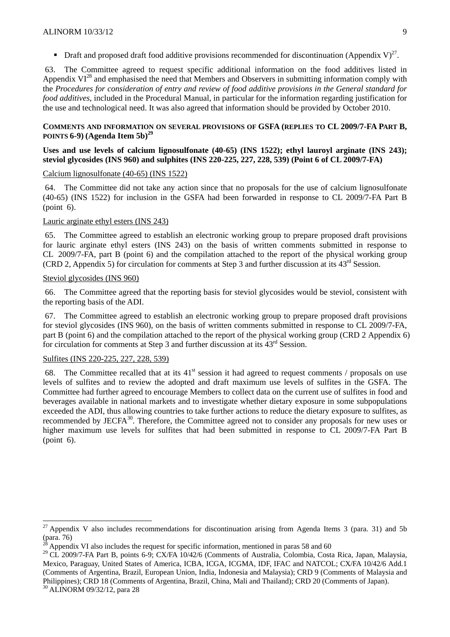Draft and proposed draft food additive provisions recommended for discontinuation (Appendix V)<sup>27</sup>.

63. The Committee agreed to request specific additional information on the food additives listed in Appendix  $VI^{28}$  and emphasised the need that Members and Observers in submitting information comply with the *Procedures for consideration of entry and review of food additive provisions in the General standard for food additives*, included in the Procedural Manual, in particular for the information regarding justification for the use and technological need. It was also agreed that information should be provided by October 2010.

#### **COMMENTS AND INFORMATION ON SEVERAL PROVISIONS OF GSFA (REPLIES TO CL 2009/7-FA PART B, POINTS 6-9)**  $(A$ **genda Item 5b** $)^{29}$

### **Uses and use levels of calcium lignosulfonate (40-65) (INS 1522); ethyl lauroyl arginate (INS 243); steviol glycosides (INS 960) and sulphites (INS 220-225, 227, 228, 539) (Point 6 of CL 2009/7-FA)**

#### Calcium lignosulfonate (40-65) (INS 1522)

64. The Committee did not take any action since that no proposals for the use of calcium lignosulfonate (40-65) (INS 1522) for inclusion in the GSFA had been forwarded in response to CL 2009/7-FA Part B (point 6).

## Lauric arginate ethyl esters (INS 243)

65. The Committee agreed to establish an electronic working group to prepare proposed draft provisions for lauric arginate ethyl esters (INS 243) on the basis of written comments submitted in response to CL 2009/7-FA, part B (point 6) and the compilation attached to the report of the physical working group (CRD 2, Appendix 5) for circulation for comments at Step 3 and further discussion at its 43rd Session.

#### Steviol glycosides (INS 960)

66. The Committee agreed that the reporting basis for steviol glycosides would be steviol, consistent with the reporting basis of the ADI.

67. The Committee agreed to establish an electronic working group to prepare proposed draft provisions for steviol glycosides (INS 960), on the basis of written comments submitted in response to CL 2009/7-FA, part B (point 6) and the compilation attached to the report of the physical working group (CRD 2 Appendix 6) for circulation for comments at Step 3 and further discussion at its 43rd Session.

#### Sulfites (INS 220-225, 227, 228, 539)

l

68. The Committee recalled that at its  $41<sup>st</sup>$  session it had agreed to request comments / proposals on use levels of sulfites and to review the adopted and draft maximum use levels of sulfites in the GSFA. The Committee had further agreed to encourage Members to collect data on the current use of sulfites in food and beverages available in national markets and to investigate whether dietary exposure in some subpopulations exceeded the ADI, thus allowing countries to take further actions to reduce the dietary exposure to sulfites, as recommended by JECFA<sup>30</sup>. Therefore, the Committee agreed not to consider any proposals for new uses or higher maximum use levels for sulfites that had been submitted in response to CL 2009/7-FA Part B (point 6).

<sup>&</sup>lt;sup>27</sup> Appendix V also includes recommendations for discontinuation arising from Agenda Items 3 (para. 31) and 5b (para. 76)

Appendix VI also includes the request for specific information, mentioned in paras 58 and 60

<sup>&</sup>lt;sup>29</sup> CL 2009/7-FA Part B, points 6-9; CX/FA 10/42/6 (Comments of Australia, Colombia, Costa Rica, Japan, Malaysia, Mexico, Paraguay, United States of America, ICBA, ICGA, ICGMA, IDF, IFAC and NATCOL; CX/FA 10/42/6 Add.1 (Comments of Argentina, Brazil, European Union, India, Indonesia and Malaysia); CRD 9 (Comments of Malaysia and Philippines); CRD 18 (Comments of Argentina, Brazil, China, Mali and Thailand); CRD 20 (Comments of Japan). 30 ALINORM 09/32/12, para 28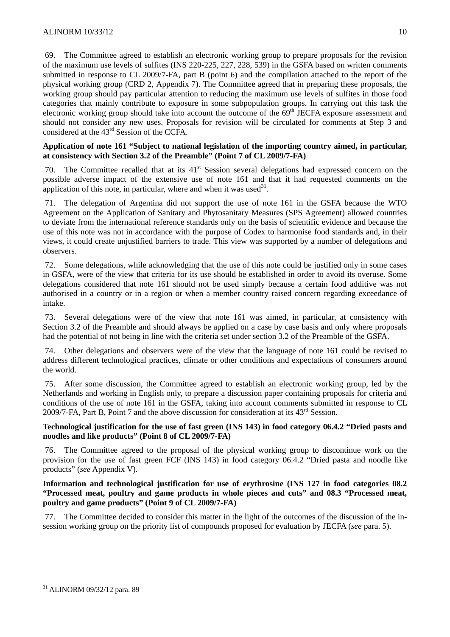69. The Committee agreed to establish an electronic working group to prepare proposals for the revision of the maximum use levels of sulfites (INS 220-225, 227, 228, 539) in the GSFA based on written comments submitted in response to CL 2009/7-FA, part B (point 6) and the compilation attached to the report of the physical working group (CRD 2, Appendix 7). The Committee agreed that in preparing these proposals, the working group should pay particular attention to reducing the maximum use levels of sulfites in those food categories that mainly contribute to exposure in some subpopulation groups. In carrying out this task the electronic working group should take into account the outcome of the  $69<sup>th</sup>$  JECFA exposure assessment and should not consider any new uses. Proposals for revision will be circulated for comments at Step 3 and considered at the 43rd Session of the CCFA.

## **Application of note 161 "Subject to national legislation of the importing country aimed, in particular, at consistency with Section 3.2 of the Preamble" (Point 7 of CL 2009/7-FA)**

The Committee recalled that at its  $41<sup>st</sup>$  Session several delegations had expressed concern on the possible adverse impact of the extensive use of note 161 and that it had requested comments on the application of this note, in particular, where and when it was used  $31$ .

The delegation of Argentina did not support the use of note 161 in the GSFA because the WTO Agreement on the Application of Sanitary and Phytosanitary Measures (SPS Agreement) allowed countries to deviate from the international reference standards only on the basis of scientific evidence and because the use of this note was not in accordance with the purpose of Codex to harmonise food standards and, in their views, it could create unjustified barriers to trade. This view was supported by a number of delegations and observers.

72. Some delegations, while acknowledging that the use of this note could be justified only in some cases in GSFA, were of the view that criteria for its use should be established in order to avoid its overuse. Some delegations considered that note 161 should not be used simply because a certain food additive was not authorised in a country or in a region or when a member country raised concern regarding exceedance of intake.

73. Several delegations were of the view that note 161 was aimed, in particular, at consistency with Section 3.2 of the Preamble and should always be applied on a case by case basis and only where proposals had the potential of not being in line with the criteria set under section 3.2 of the Preamble of the GSFA.

74. Other delegations and observers were of the view that the language of note 161 could be revised to address different technological practices, climate or other conditions and expectations of consumers around the world.

75. After some discussion, the Committee agreed to establish an electronic working group, led by the Netherlands and working in English only, to prepare a discussion paper containing proposals for criteria and conditions of the use of note 161 in the GSFA, taking into account comments submitted in response to CL 2009/7-FA, Part B, Point 7 and the above discussion for consideration at its  $43<sup>rd</sup>$  Session.

## **Technological justification for the use of fast green (INS 143) in food category 06.4.2 "Dried pasts and noodles and like products" (Point 8 of CL 2009/7-FA)**

76. The Committee agreed to the proposal of the physical working group to discontinue work on the provision for the use of fast green FCF (INS 143) in food category 06.4.2 "Dried pasta and noodle like products" (*see* Appendix V).

### **Information and technological justification for use of erythrosine (INS 127 in food categories 08.2 "Processed meat, poultry and game products in whole pieces and cuts" and 08.3 "Processed meat, poultry and game products" (Point 9 of CL 2009/7-FA)**

77. The Committee decided to consider this matter in the light of the outcomes of the discussion of the insession working group on the priority list of compounds proposed for evaluation by JECFA (*see* para. 5).

l

<sup>31</sup> ALINORM 09/32/12 para. 89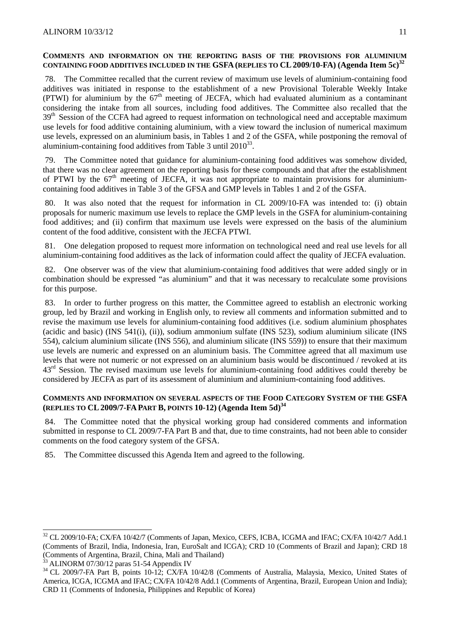#### **COMMENTS AND INFORMATION ON THE REPORTING BASIS OF THE PROVISIONS FOR ALUMINIUM CONTAINING FOOD ADDITIVES INCLUDED IN THE GSFA (REPLIES TO CL2009/10-FA) (Agenda Item 5c)<sup>32</sup>**

The Committee recalled that the current review of maximum use levels of aluminium-containing food additives was initiated in response to the establishment of a new Provisional Tolerable Weekly Intake (PTWI) for aluminium by the 67<sup>th</sup> meeting of JECFA, which had evaluated aluminium as a contaminant considering the intake from all sources, including food additives. The Committee also recalled that the 39<sup>th</sup> Session of the CCFA had agreed to request information on technological need and acceptable maximum use levels for food additive containing aluminium, with a view toward the inclusion of numerical maximum use levels, expressed on an aluminium basis, in Tables 1 and 2 of the GSFA, while postponing the removal of aluminium-containing food additives from Table 3 until  $2010^{33}$ .

79. The Committee noted that guidance for aluminium-containing food additives was somehow divided, that there was no clear agreement on the reporting basis for these compounds and that after the establishment of PTWI by the  $67<sup>th</sup>$  meeting of JECFA, it was not appropriate to maintain provisions for aluminiumcontaining food additives in Table 3 of the GFSA and GMP levels in Tables 1 and 2 of the GSFA.

80. It was also noted that the request for information in CL 2009/10-FA was intended to: (i) obtain proposals for numeric maximum use levels to replace the GMP levels in the GSFA for aluminium-containing food additives; and (ii) confirm that maximum use levels were expressed on the basis of the aluminium content of the food additive, consistent with the JECFA PTWI.

81. One delegation proposed to request more information on technological need and real use levels for all aluminium-containing food additives as the lack of information could affect the quality of JECFA evaluation.

82. One observer was of the view that aluminium-containing food additives that were added singly or in combination should be expressed "as aluminium" and that it was necessary to recalculate some provisions for this purpose.

83. In order to further progress on this matter, the Committee agreed to establish an electronic working group, led by Brazil and working in English only, to review all comments and information submitted and to revise the maximum use levels for aluminium-containing food additives (i.e. sodium aluminium phosphates (acidic and basic) (INS 541(i), (ii)), sodium ammonium sulfate (INS 523), sodium aluminium silicate (INS 554), calcium aluminium silicate (INS 556), and aluminium silicate (INS 559)) to ensure that their maximum use levels are numeric and expressed on an aluminium basis. The Committee agreed that all maximum use levels that were not numeric or not expressed on an aluminium basis would be discontinued / revoked at its  $43<sup>rd</sup>$  Session. The revised maximum use levels for aluminium-containing food additives could thereby be considered by JECFA as part of its assessment of aluminium and aluminium-containing food additives.

#### **COMMENTS AND INFORMATION ON SEVERAL ASPECTS OF THE FOOD CATEGORY SYSTEM OF THE GSFA (REPLIES TO CL2009/7-FA PART B, POINTS 10-12) (Agenda Item 5d)34**

84. The Committee noted that the physical working group had considered comments and information submitted in response to CL 2009/7-FA Part B and that, due to time constraints, had not been able to consider comments on the food category system of the GFSA.

85. The Committee discussed this Agenda Item and agreed to the following.

l

<sup>&</sup>lt;sup>32</sup> CL 2009/10-FA; CX/FA 10/42/7 (Comments of Japan, Mexico, CEFS, ICBA, ICGMA and IFAC; CX/FA 10/42/7 Add.1 (Comments of Brazil, India, Indonesia, Iran, EuroSalt and ICGA); CRD 10 (Comments of Brazil and Japan); CRD 18 (Comments of Argentina, Brazil, China, Mali and Thailand)

 $33$  ALINORM 07/30/12 paras 51-54 Appendix IV

<sup>&</sup>lt;sup>34</sup> CL 2009/7-FA Part B, points 10-12; CX/FA 10/42/8 (Comments of Australia, Malaysia, Mexico, United States of America, ICGA, ICGMA and IFAC; CX/FA 10/42/8 Add.1 (Comments of Argentina, Brazil, European Union and India); CRD 11 (Comments of Indonesia, Philippines and Republic of Korea)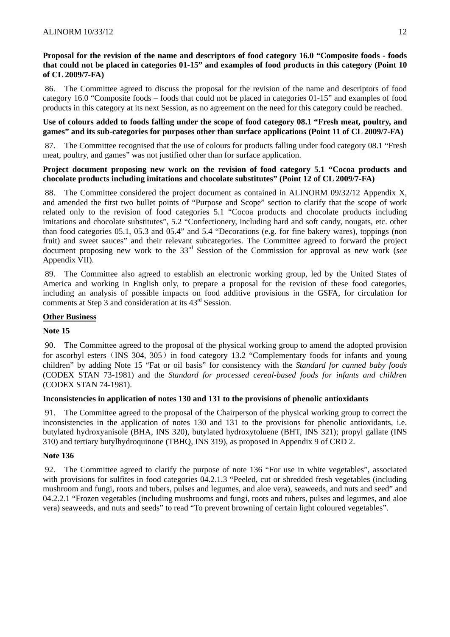## **Proposal for the revision of the name and descriptors of food category 16.0 "Composite foods - foods that could not be placed in categories 01-15" and examples of food products in this category (Point 10 of CL 2009/7-FA)**

86. The Committee agreed to discuss the proposal for the revision of the name and descriptors of food category 16.0 "Composite foods – foods that could not be placed in categories 01-15" and examples of food products in this category at its next Session, as no agreement on the need for this category could be reached.

## **Use of colours added to foods falling under the scope of food category 08.1 "Fresh meat, poultry, and games" and its sub-categories for purposes other than surface applications (Point 11 of CL 2009/7-FA)**

87. The Committee recognised that the use of colours for products falling under food category 08.1 "Fresh meat, poultry, and games" was not justified other than for surface application.

## **Project document proposing new work on the revision of food category 5.1 "Cocoa products and chocolate products including imitations and chocolate substitutes" (Point 12 of CL 2009/7-FA)**

88. The Committee considered the project document as contained in ALINORM 09/32/12 Appendix X, and amended the first two bullet points of "Purpose and Scope" section to clarify that the scope of work related only to the revision of food categories 5.1 "Cocoa products and chocolate products including imitations and chocolate substitutes", 5.2 "Confectionery, including hard and soft candy, nougats, etc. other than food categories 05.1, 05.3 and 05.4" and 5.4 "Decorations (e.g. for fine bakery wares), toppings (non fruit) and sweet sauces" and their relevant subcategories. The Committee agreed to forward the project document proposing new work to the 33rd Session of the Commission for approval as new work (*see* Appendix VII).

89. The Committee also agreed to establish an electronic working group, led by the United States of America and working in English only, to prepare a proposal for the revision of these food categories, including an analysis of possible impacts on food additive provisions in the GSFA, for circulation for comments at Step 3 and consideration at its 43rd Session.

## **Other Business**

## **Note 15**

90. The Committee agreed to the proposal of the physical working group to amend the adopted provision for ascorbyl esters (INS 304, 305) in food category 13.2 "Complementary foods for infants and young children" by adding Note 15 "Fat or oil basis" for consistency with the *Standard for canned baby foods* (CODEX STAN 73-1981) and the *Standard for processed cereal-based foods for infants and children* (CODEX STAN 74-1981).

## **Inconsistencies in application of notes 130 and 131 to the provisions of phenolic antioxidants**

91. The Committee agreed to the proposal of the Chairperson of the physical working group to correct the inconsistencies in the application of notes 130 and 131 to the provisions for phenolic antioxidants, i.e. butylated hydroxyanisole (BHA, INS 320), butylated hydroxytoluene (BHT, INS 321); propyl gallate (INS 310) and tertiary butylhydroquinone (TBHQ, INS 319), as proposed in Appendix 9 of CRD 2.

## **Note 136**

92. The Committee agreed to clarify the purpose of note 136 "For use in white vegetables", associated with provisions for sulfites in food categories 04.2.1.3 "Peeled, cut or shredded fresh vegetables (including mushroom and fungi, roots and tubers, pulses and legumes, and aloe vera), seaweeds, and nuts and seed" and 04.2.2.1 "Frozen vegetables (including mushrooms and fungi, roots and tubers, pulses and legumes, and aloe vera) seaweeds, and nuts and seeds" to read "To prevent browning of certain light coloured vegetables".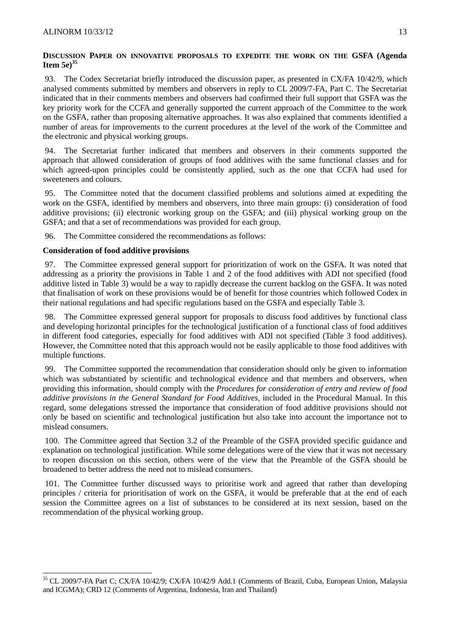## **DISCUSSION PAPER ON INNOVATIVE PROPOSALS TO EXPEDITE THE WORK ON THE GSFA (Agenda Item 5e)<sup>35</sup>**

93. The Codex Secretariat briefly introduced the discussion paper, as presented in CX/FA 10/42/9, which analysed comments submitted by members and observers in reply to CL 2009/7-FA, Part C. The Secretariat indicated that in their comments members and observers had confirmed their full support that GSFA was the key priority work for the CCFA and generally supported the current approach of the Committee to the work on the GSFA, rather than proposing alternative approaches. It was also explained that comments identified a number of areas for improvements to the current procedures at the level of the work of the Committee and the electronic and physical working groups.

94. The Secretariat further indicated that members and observers in their comments supported the approach that allowed consideration of groups of food additives with the same functional classes and for which agreed-upon principles could be consistently applied, such as the one that CCFA had used for sweeteners and colours.

95. The Committee noted that the document classified problems and solutions aimed at expediting the work on the GSFA, identified by members and observers, into three main groups: (i) consideration of food additive provisions; (ii) electronic working group on the GSFA; and (iii) physical working group on the GSFA; and that a set of recommendations was provided for each group.

96. The Committee considered the recommendations as follows:

## **Consideration of food additive provisions**

l

97. The Committee expressed general support for prioritization of work on the GSFA. It was noted that addressing as a priority the provisions in Table 1 and 2 of the food additives with ADI not specified (food additive listed in Table 3) would be a way to rapidly decrease the current backlog on the GSFA. It was noted that finalisation of work on these provisions would be of benefit for those countries which followed Codex in their national regulations and had specific regulations based on the GSFA and especially Table 3.

98. The Committee expressed general support for proposals to discuss food additives by functional class and developing horizontal principles for the technological justification of a functional class of food additives in different food categories, especially for food additives with ADI not specified (Table 3 food additives). However, the Committee noted that this approach would not be easily applicable to those food additives with multiple functions.

99. The Committee supported the recommendation that consideration should only be given to information which was substantiated by scientific and technological evidence and that members and observers, when providing this information, should comply with the *Procedures for consideration of entry and review of food additive provisions in the General Standard for Food Additives*, included in the Procedural Manual. In this regard, some delegations stressed the importance that consideration of food additive provisions should not only be based on scientific and technological justification but also take into account the importance not to mislead consumers.

100. The Committee agreed that Section 3.2 of the Preamble of the GSFA provided specific guidance and explanation on technological justification. While some delegations were of the view that it was not necessary to reopen discussion on this section, others were of the view that the Preamble of the GSFA should be broadened to better address the need not to mislead consumers.

101. The Committee further discussed ways to prioritise work and agreed that rather than developing principles / criteria for prioritisation of work on the GSFA, it would be preferable that at the end of each session the Committee agrees on a list of substances to be considered at its next session, based on the recommendation of the physical working group.

<sup>&</sup>lt;sup>35</sup> CL 2009/7-FA Part C; CX/FA 10/42/9; CX/FA 10/42/9 Add.1 (Comments of Brazil, Cuba, European Union, Malaysia and ICGMA); CRD 12 (Comments of Argentina, Indonesia, Iran and Thailand)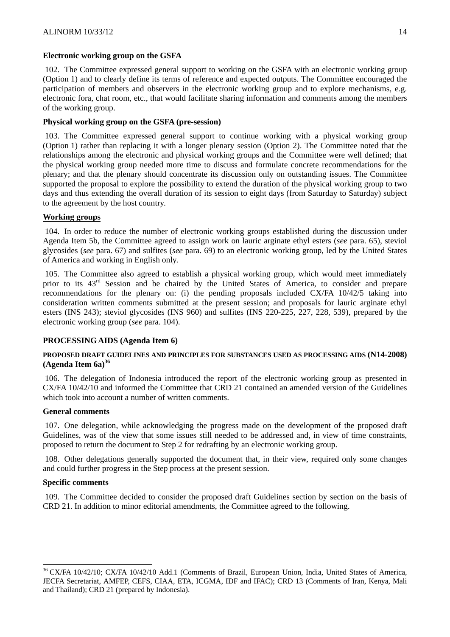### **Electronic working group on the GSFA**

102. The Committee expressed general support to working on the GSFA with an electronic working group (Option 1) and to clearly define its terms of reference and expected outputs. The Committee encouraged the participation of members and observers in the electronic working group and to explore mechanisms, e.g. electronic fora, chat room, etc., that would facilitate sharing information and comments among the members of the working group.

## **Physical working group on the GSFA (pre-session)**

103. The Committee expressed general support to continue working with a physical working group (Option 1) rather than replacing it with a longer plenary session (Option 2). The Committee noted that the relationships among the electronic and physical working groups and the Committee were well defined; that the physical working group needed more time to discuss and formulate concrete recommendations for the plenary; and that the plenary should concentrate its discussion only on outstanding issues. The Committee supported the proposal to explore the possibility to extend the duration of the physical working group to two days and thus extending the overall duration of its session to eight days (from Saturday to Saturday) subject to the agreement by the host country.

## **Working groups**

104. In order to reduce the number of electronic working groups established during the discussion under Agenda Item 5b, the Committee agreed to assign work on lauric arginate ethyl esters (*see* para. 65), steviol glycosides (*see* para. 67) and sulfites (*see* para. 69) to an electronic working group, led by the United States of America and working in English only.

105. The Committee also agreed to establish a physical working group, which would meet immediately prior to its 43<sup>rd</sup> Session and be chaired by the United States of America, to consider and prepare recommendations for the plenary on: (i) the pending proposals included CX/FA 10/42/5 taking into consideration written comments submitted at the present session; and proposals for lauric arginate ethyl esters (INS 243); steviol glycosides (INS 960) and sulfites (INS 220-225, 227, 228, 539), prepared by the electronic working group (*see* para. 104).

#### **PROCESSING AIDS (Agenda Item 6)**

#### **PROPOSED DRAFT GUIDELINES AND PRINCIPLES FOR SUBSTANCES USED AS PROCESSING AIDS (N14-2008) (Agenda Item 6a)36**

106. The delegation of Indonesia introduced the report of the electronic working group as presented in CX/FA 10/42/10 and informed the Committee that CRD 21 contained an amended version of the Guidelines which took into account a number of written comments.

#### **General comments**

107. One delegation, while acknowledging the progress made on the development of the proposed draft Guidelines, was of the view that some issues still needed to be addressed and, in view of time constraints, proposed to return the document to Step 2 for redrafting by an electronic working group.

108. Other delegations generally supported the document that, in their view, required only some changes and could further progress in the Step process at the present session.

#### **Specific comments**

l

109. The Committee decided to consider the proposed draft Guidelines section by section on the basis of CRD 21. In addition to minor editorial amendments, the Committee agreed to the following.

<sup>&</sup>lt;sup>36</sup> CX/FA 10/42/10; CX/FA 10/42/10 Add.1 (Comments of Brazil, European Union, India, United States of America, JECFA Secretariat, AMFEP, CEFS, CIAA, ETA, ICGMA, IDF and IFAC); CRD 13 (Comments of Iran, Kenya, Mali and Thailand); CRD 21 (prepared by Indonesia).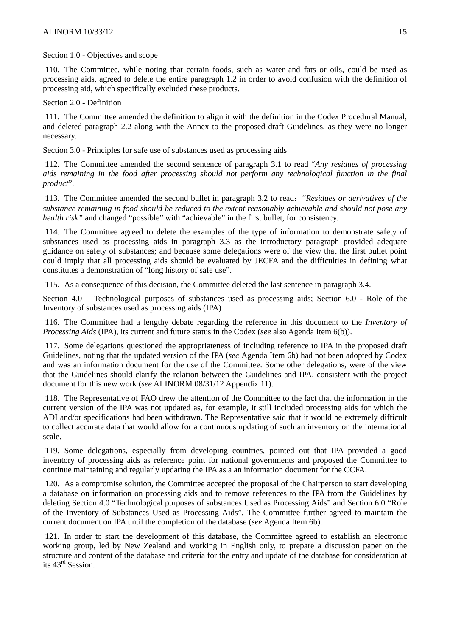#### Section 1.0 - Objectives and scope

110. The Committee, while noting that certain foods, such as water and fats or oils, could be used as processing aids, agreed to delete the entire paragraph 1.2 in order to avoid confusion with the definition of processing aid, which specifically excluded these products.

#### Section 2.0 - Definition

111. The Committee amended the definition to align it with the definition in the Codex Procedural Manual, and deleted paragraph 2.2 along with the Annex to the proposed draft Guidelines, as they were no longer necessary.

#### Section 3.0 - Principles for safe use of substances used as processing aids

112. The Committee amended the second sentence of paragraph 3.1 to read "*Any residues of processing aids remaining in the food after processing should not perform any technological function in the final product*".

113. The Committee amended the second bullet in paragraph 3.2 to read:"*Residues or derivatives of the substance remaining in food should be reduced to the extent reasonably achievable and should not pose any health risk"* and changed "possible" with "achievable" in the first bullet, for consistency.

114. The Committee agreed to delete the examples of the type of information to demonstrate safety of substances used as processing aids in paragraph 3.3 as the introductory paragraph provided adequate guidance on safety of substances; and because some delegations were of the view that the first bullet point could imply that all processing aids should be evaluated by JECFA and the difficulties in defining what constitutes a demonstration of "long history of safe use".

115. As a consequence of this decision, the Committee deleted the last sentence in paragraph 3.4.

Section 4.0 – Technological purposes of substances used as processing aids; Section 6.0 - Role of the Inventory of substances used as processing aids (IPA)

116. The Committee had a lengthy debate regarding the reference in this document to the *Inventory of Processing Aids* (IPA), its current and future status in the Codex (*see* also Agenda Item 6(b)).

117. Some delegations questioned the appropriateness of including reference to IPA in the proposed draft Guidelines, noting that the updated version of the IPA (*see* Agenda Item 6b) had not been adopted by Codex and was an information document for the use of the Committee. Some other delegations, were of the view that the Guidelines should clarify the relation between the Guidelines and IPA, consistent with the project document for this new work (*see* ALINORM 08/31/12 Appendix 11).

118. The Representative of FAO drew the attention of the Committee to the fact that the information in the current version of the IPA was not updated as, for example, it still included processing aids for which the ADI and/or specifications had been withdrawn. The Representative said that it would be extremely difficult to collect accurate data that would allow for a continuous updating of such an inventory on the international scale.

119. Some delegations, especially from developing countries, pointed out that IPA provided a good inventory of processing aids as reference point for national governments and proposed the Committee to continue maintaining and regularly updating the IPA as a an information document for the CCFA.

120. As a compromise solution, the Committee accepted the proposal of the Chairperson to start developing a database on information on processing aids and to remove references to the IPA from the Guidelines by deleting Section 4.0 "Technological purposes of substances Used as Processing Aids" and Section 6.0 "Role of the Inventory of Substances Used as Processing Aids". The Committee further agreed to maintain the current document on IPA until the completion of the database (*see* Agenda Item 6b).

121. In order to start the development of this database, the Committee agreed to establish an electronic working group, led by New Zealand and working in English only, to prepare a discussion paper on the structure and content of the database and criteria for the entry and update of the database for consideration at its 43rd Session.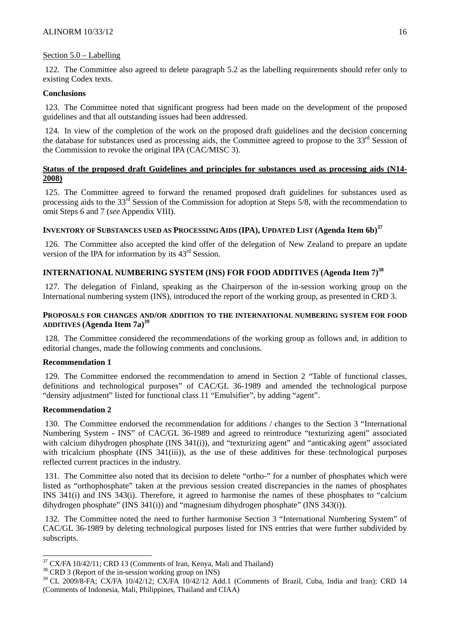#### Section 5.0 – Labelling

122. The Committee also agreed to delete paragraph 5.2 as the labelling requirements should refer only to existing Codex texts.

#### **Conclusions**

123. The Committee noted that significant progress had been made on the development of the proposed guidelines and that all outstanding issues had been addressed.

124. In view of the completion of the work on the proposed draft guidelines and the decision concerning the database for substances used as processing aids, the Committee agreed to propose to the 33<sup>rd</sup> Session of the Commission to revoke the original IPA (CAC/MISC 3).

### **Status of the proposed draft Guidelines and principles for substances used as processing aids (N14- 2008)**

125. The Committee agreed to forward the renamed proposed draft guidelines for substances used as processing aids to the 33<sup>rd</sup> Session of the Commission for adoption at Steps 5/8, with the recommendation to omit Steps 6 and 7 (*see* Appendix VIII).

## **INVENTORY OF SUBSTANCES USED AS PROCESSING AIDS (IPA), UPDATED LIST (Agenda Item 6b)<sup>37</sup>**

126. The Committee also accepted the kind offer of the delegation of New Zealand to prepare an update version of the IPA for information by its 43rd Session.

# **INTERNATIONAL NUMBERING SYSTEM (INS) FOR FOOD ADDITIVES (Agenda Item 7)<sup>38</sup>**

127. The delegation of Finland, speaking as the Chairperson of the in-session working group on the International numbering system (INS), introduced the report of the working group, as presented in CRD 3.

## **PROPOSALS FOR CHANGES AND/OR ADDITION TO THE INTERNATIONAL NUMBERING SYSTEM FOR FOOD ADDITIVES (Agenda Item 7a)39**

128. The Committee considered the recommendations of the working group as follows and, in addition to editorial changes, made the following comments and conclusions.

### **Recommendation 1**

129. The Committee endorsed the recommendation to amend in Section 2 "Table of functional classes, definitions and technological purposes" of CAC/GL 36-1989 and amended the technological purpose "density adjustment" listed for functional class 11 "Emulsifier", by adding "agent".

#### **Recommendation 2**

l

130. The Committee endorsed the recommendation for additions / changes to the Section 3 "International Numbering System - INS" of CAC/GL 36-1989 and agreed to reintroduce "texturizing agent" associated with calcium dihydrogen phosphate (INS 341(i)), and "texturizing agent" and "anticaking agent" associated with tricalcium phosphate (INS 341(iii)), as the use of these additives for these technological purposes reflected current practices in the industry.

131. The Committee also noted that its decision to delete "ortho-" for a number of phosphates which were listed as "orthophosphate" taken at the previous session created discrepancies in the names of phosphates INS 341(i) and INS 343(i). Therefore, it agreed to harmonise the names of these phosphates to "calcium dihydrogen phosphate" (INS 341(i)) and "magnesium dihydrogen phosphate" (INS 343(i)).

132. The Committee noted the need to further harmonise Section 3 "International Numbering System" of CAC/GL 36-1989 by deleting technological purposes listed for INS entries that were further subdivided by subscripts.

 $37 \text{ CX/FA } 10/42/11$ ; CRD 13 (Comments of Iran, Kenya, Mali and Thailand)  $38 \text{ CRD } 3$  (Report of the in-session working group on INS)

 $38$  CRD 3 (Report of the in-session working group on INS)<br> $39$  CL 2009/8-FA; CX/FA 10/42/12; CX/FA 10/42/12 Add.1 (Comments of Brazil, Cuba, India and Iran); CRD 14 (Comments of Indonesia, Mali, Philippines, Thailand and CIAA)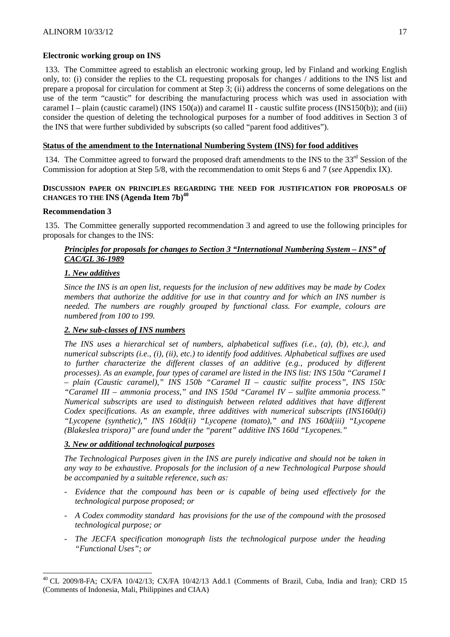#### **Electronic working group on INS**

133. The Committee agreed to establish an electronic working group, led by Finland and working English only, to: (i) consider the replies to the CL requesting proposals for changes / additions to the INS list and prepare a proposal for circulation for comment at Step 3; (ii) address the concerns of some delegations on the use of the term "caustic" for describing the manufacturing process which was used in association with caramel I – plain (caustic caramel) (INS  $150(a)$ ) and caramel II - caustic sulfite process (INS $150(b)$ ); and (iii) consider the question of deleting the technological purposes for a number of food additives in Section 3 of the INS that were further subdivided by subscripts (so called "parent food additives").

#### **Status of the amendment to the International Numbering System (INS) for food additives**

134. The Committee agreed to forward the proposed draft amendments to the INS to the 33<sup>rd</sup> Session of the Commission for adoption at Step 5/8, with the recommendation to omit Steps 6 and 7 (*see* Appendix IX).

#### **DISCUSSION PAPER ON PRINCIPLES REGARDING THE NEED FOR JUSTIFICATION FOR PROPOSALS OF CHANGES TO THE INS (Agenda Item 7b)40**

#### **Recommendation 3**

l

135. The Committee generally supported recommendation 3 and agreed to use the following principles for proposals for changes to the INS:

## *Principles for proposals for changes to Section 3 "International Numbering System – INS" of CAC/GL 36-1989*

#### *1. New additives*

*Since the INS is an open list, requests for the inclusion of new additives may be made by Codex members that authorize the additive for use in that country and for which an INS number is needed. The numbers are roughly grouped by functional class. For example, colours are numbered from 100 to 199.* 

#### *2. New sub-classes of INS numbers*

*The INS uses a hierarchical set of numbers, alphabetical suffixes (i.e., (a), (b), etc.), and numerical subscripts (i.e., (i), (ii), etc.) to identify food additives. Alphabetical suffixes are used*  to further characterize the different classes of an additive (e.g., produced by different *processes). As an example, four types of caramel are listed in the INS list: INS 150a "Caramel I – plain (Caustic caramel)," INS 150b "Caramel II – caustic sulfite process", INS 150c "Caramel III – ammonia process," and INS 150d "Caramel IV – sulfite ammonia process." Numerical subscripts are used to distinguish between related additives that have different Codex specifications. As an example, three additives with numerical subscripts (INS160d(i) "Lycopene (synthetic)," INS 160d(ii) "Lycopene (tomato)," and INS 160d(iii) "Lycopene (Blakeslea trispora)" are found under the "parent" additive INS 160d "Lycopenes."* 

#### *3. New or additional technological purposes*

*The Technological Purposes given in the INS are purely indicative and should not be taken in any way to be exhaustive. Proposals for the inclusion of a new Technological Purpose should be accompanied by a suitable reference, such as:* 

- *Evidence that the compound has been or is capable of being used effectively for the technological purpose proposed; or*
- *A Codex commodity standard has provisions for the use of the compound with the prososed technological purpose; or*
- The JECFA specification monograph lists the technological purpose under the heading *"Functional Uses"; or*

<sup>40</sup> CL 2009/8-FA; CX/FA 10/42/13; CX/FA 10/42/13 Add.1 (Comments of Brazil, Cuba, India and Iran); CRD 15 (Comments of Indonesia, Mali, Philippines and CIAA)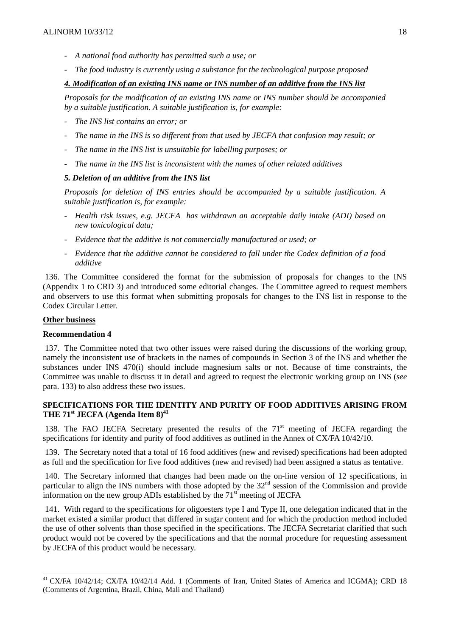- *A national food authority has permitted such a use; or*
- *The food industry is currently using a substance for the technological purpose proposed*

## *4. Modification of an existing INS name or INS number of an additive from the INS list*

*Proposals for the modification of an existing INS name or INS number should be accompanied by a suitable justification. A suitable justification is, for example:* 

- *The INS list contains an error; or*
- The name in the INS is so different from that used by JECFA that confusion may result; or
- The name in the INS list is unsuitable for labelling purposes; or
- *The name in the INS list is inconsistent with the names of other related additives*

## *5. Deletion of an additive from the INS list*

*Proposals for deletion of INS entries should be accompanied by a suitable justification. A suitable justification is, for example:* 

- *Health risk issues, e.g. JECFA has withdrawn an acceptable daily intake (ADI) based on new toxicological data;*
- *Evidence that the additive is not commercially manufactured or used; or*
- *Evidence that the additive cannot be considered to fall under the Codex definition of a food additive*

136. The Committee considered the format for the submission of proposals for changes to the INS (Appendix 1 to CRD 3) and introduced some editorial changes. The Committee agreed to request members and observers to use this format when submitting proposals for changes to the INS list in response to the Codex Circular Letter.

#### **Other business**

l

#### **Recommendation 4**

137. The Committee noted that two other issues were raised during the discussions of the working group, namely the inconsistent use of brackets in the names of compounds in Section 3 of the INS and whether the substances under INS 470(i) should include magnesium salts or not. Because of time constraints, the Committee was unable to discuss it in detail and agreed to request the electronic working group on INS (*see* para. 133) to also address these two issues.

## **SPECIFICATIONS FOR THE IDENTITY AND PURITY OF FOOD ADDITIVES ARISING FROM**  THE 71<sup>st</sup> JECFA (Agenda Item 8)<sup>41</sup>

138. The FAO JECFA Secretary presented the results of the 71<sup>st</sup> meeting of JECFA regarding the specifications for identity and purity of food additives as outlined in the Annex of CX/FA 10/42/10.

139. The Secretary noted that a total of 16 food additives (new and revised) specifications had been adopted as full and the specification for five food additives (new and revised) had been assigned a status as tentative.

140. The Secretary informed that changes had been made on the on-line version of 12 specifications, in particular to align the INS numbers with those adopted by the  $32<sup>nd</sup>$  session of the Commission and provide information on the new group ADIs established by the  $71<sup>st</sup>$  meeting of JECFA

141. With regard to the specifications for oligoesters type I and Type II, one delegation indicated that in the market existed a similar product that differed in sugar content and for which the production method included the use of other solvents than those specified in the specifications. The JECFA Secretariat clarified that such product would not be covered by the specifications and that the normal procedure for requesting assessment by JECFA of this product would be necessary.

<sup>&</sup>lt;sup>41</sup> CX/FA 10/42/14; CX/FA 10/42/14 Add. 1 (Comments of Iran, United States of America and ICGMA); CRD 18 (Comments of Argentina, Brazil, China, Mali and Thailand)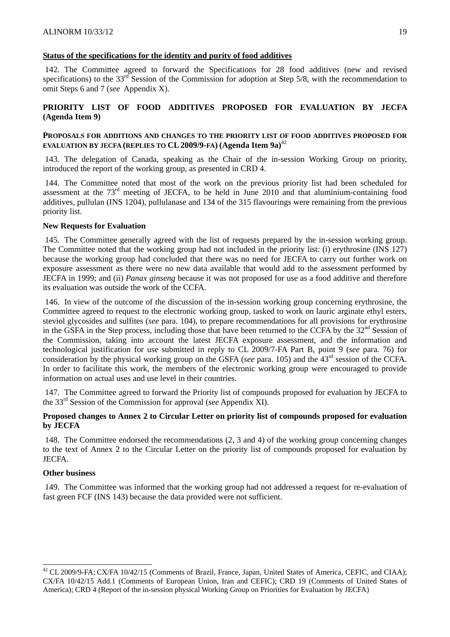## **Status of the specifications for the identity and purity of food additives**

142. The Committee agreed to forward the Specifications for 28 food additives (new and revised specifications) to the  $33<sup>rd</sup>$  Session of the Commission for adoption at Step 5/8, with the recommendation to omit Steps 6 and 7 (*see* Appendix X).

## **PRIORITY LIST OF FOOD ADDITIVES PROPOSED FOR EVALUATION BY JECFA (Agenda Item 9)**

#### **PROPOSALS FOR ADDITIONS AND CHANGES TO THE PRIORITY LIST OF FOOD ADDITIVES PROPOSED FOR**  EVALUATION BY JECFA (REPLIES TO CL 2009/9-FA) (Agenda Item 9a)<sup>42</sup>

143. The delegation of Canada, speaking as the Chair of the in-session Working Group on priority, introduced the report of the working group, as presented in CRD 4.

144. The Committee noted that most of the work on the previous priority list had been scheduled for assessment at the 73rd meeting of JECFA, to be held in June 2010 and that aluminium-containing food additives, pullulan (INS 1204), pullulanase and 134 of the 315 flavourings were remaining from the previous priority list.

#### **New Requests for Evaluation**

145. The Committee generally agreed with the list of requests prepared by the in-session working group. The Committee noted that the working group had not included in the priority list: (i) erythrosine (INS 127) because the working group had concluded that there was no need for JECFA to carry out further work on exposure assessment as there were no new data available that would add to the assessment performed by JECFA in 1999; and (ii) *Panax ginseng* because it was not proposed for use as a food additive and therefore its evaluation was outside the work of the CCFA.

146. In view of the outcome of the discussion of the in-session working group concerning erythrosine, the Committee agreed to request to the electronic working group, tasked to work on lauric arginate ethyl esters, steviol glycosides and sulfites (*see* para. 104), to prepare recommendations for all provisions for erythrosine in the GSFA in the Step process, including those that have been returned to the CCFA by the  $32<sup>nd</sup>$  Session of the Commission, taking into account the latest JECFA exposure assessment, and the information and technological justification for use submitted in reply to CL 2009/7-FA Part B, point 9 (*see* para. 76) for consideration by the physical working group on the GSFA (*see* para. 105) and the 43<sup>rd</sup> session of the CCFA. In order to facilitate this work, the members of the electronic working group were encouraged to provide information on actual uses and use level in their countries.

147. The Committee agreed to forward the Priority list of compounds proposed for evaluation by JECFA to the 33rd Session of the Commission for approval (*see* Appendix XI).

#### **Proposed changes to Annex 2 to Circular Letter on priority list of compounds proposed for evaluation by JECFA**

148. The Committee endorsed the recommendations (2, 3 and 4) of the working group concerning changes to the text of Annex 2 to the Circular Letter on the priority list of compounds proposed for evaluation by JECFA.

#### **Other business**

l

149. The Committee was informed that the working group had not addressed a request for re-evaluation of fast green FCF (INS 143) because the data provided were not sufficient.

 $^{42}$  CL 2009/9-FA; CX/FA 10/42/15 (Comments of Brazil, France, Japan, United States of America, CEFIC, and CIAA); CX/FA 10/42/15 Add.1 (Comments of European Union, Iran and CEFIC); CRD 19 (Comments of United States of America); CRD 4 (Report of the in-session physical Working Group on Priorities for Evaluation by JECFA)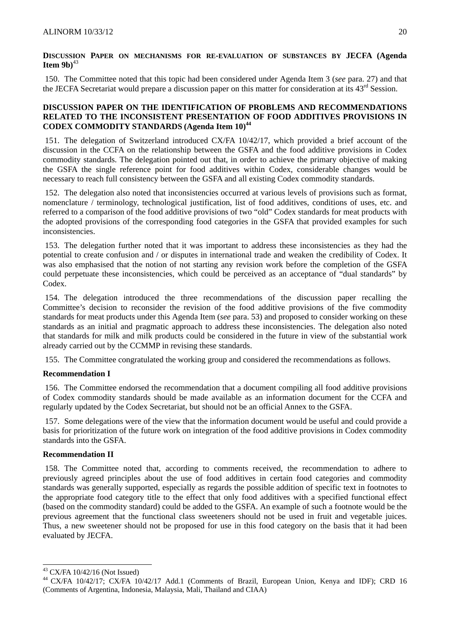### **DISCUSSION PAPER ON MECHANISMS FOR RE-EVALUATION OF SUBSTANCES BY JECFA (Agenda <sup>43</sup>**

150. The Committee noted that this topic had been considered under Agenda Item 3 (*see* para. 27) and that the JECFA Secretariat would prepare a discussion paper on this matter for consideration at its  $43<sup>rd</sup>$  Session.

### **DISCUSSION PAPER ON THE IDENTIFICATION OF PROBLEMS AND RECOMMENDATIONS RELATED TO THE INCONSISTENT PRESENTATION OF FOOD ADDITIVES PROVISIONS IN CODEX COMMODITY STANDARDS (Agenda Item 10)44**

151. The delegation of Switzerland introduced CX/FA 10/42/17, which provided a brief account of the discussion in the CCFA on the relationship between the GSFA and the food additive provisions in Codex commodity standards. The delegation pointed out that, in order to achieve the primary objective of making the GSFA the single reference point for food additives within Codex, considerable changes would be necessary to reach full consistency between the GSFA and all existing Codex commodity standards.

152. The delegation also noted that inconsistencies occurred at various levels of provisions such as format, nomenclature / terminology, technological justification, list of food additives, conditions of uses, etc. and referred to a comparison of the food additive provisions of two "old" Codex standards for meat products with the adopted provisions of the corresponding food categories in the GSFA that provided examples for such inconsistencies.

153. The delegation further noted that it was important to address these inconsistencies as they had the potential to create confusion and / or disputes in international trade and weaken the credibility of Codex. It was also emphasised that the notion of not starting any revision work before the completion of the GSFA could perpetuate these inconsistencies, which could be perceived as an acceptance of "dual standards" by Codex.

154. The delegation introduced the three recommendations of the discussion paper recalling the Committee's decision to reconsider the revision of the food additive provisions of the five commodity standards for meat products under this Agenda Item (*see* para. 53) and proposed to consider working on these standards as an initial and pragmatic approach to address these inconsistencies. The delegation also noted that standards for milk and milk products could be considered in the future in view of the substantial work already carried out by the CCMMP in revising these standards.

155. The Committee congratulated the working group and considered the recommendations as follows.

## **Recommendation I**

156. The Committee endorsed the recommendation that a document compiling all food additive provisions of Codex commodity standards should be made available as an information document for the CCFA and regularly updated by the Codex Secretariat, but should not be an official Annex to the GSFA.

157. Some delegations were of the view that the information document would be useful and could provide a basis for prioritization of the future work on integration of the food additive provisions in Codex commodity standards into the GSFA.

## **Recommendation II**

158. The Committee noted that, according to comments received, the recommendation to adhere to previously agreed principles about the use of food additives in certain food categories and commodity standards was generally supported, especially as regards the possible addition of specific text in footnotes to the appropriate food category title to the effect that only food additives with a specified functional effect (based on the commodity standard) could be added to the GSFA. An example of such a footnote would be the previous agreement that the functional class sweeteners should not be used in fruit and vegetable juices. Thus, a new sweetener should not be proposed for use in this food category on the basis that it had been evaluated by JECFA.

l

 $43$  CX/FA 10/42/16 (Not Issued)

<sup>&</sup>lt;sup>44</sup> CX/FA 10/42/17; CX/FA 10/42/17 Add.1 (Comments of Brazil, European Union, Kenya and IDF); CRD 16 (Comments of Argentina, Indonesia, Malaysia, Mali, Thailand and CIAA)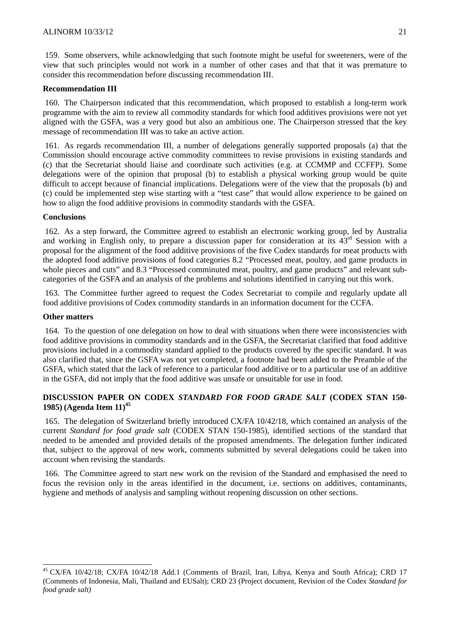159. Some observers, while acknowledging that such footnote might be useful for sweeteners, were of the view that such principles would not work in a number of other cases and that that it was premature to consider this recommendation before discussing recommendation III.

#### **Recommendation III**

160. The Chairperson indicated that this recommendation, which proposed to establish a long-term work programme with the aim to review all commodity standards for which food additives provisions were not yet aligned with the GSFA, was a very good but also an ambitious one. The Chairperson stressed that the key message of recommendation III was to take an active action.

161. As regards recommendation III, a number of delegations generally supported proposals (a) that the Commission should encourage active commodity committees to revise provisions in existing standards and (c) that the Secretariat should liaise and coordinate such activities (e.g. at CCMMP and CCFFP). Some delegations were of the opinion that proposal (b) to establish a physical working group would be quite difficult to accept because of financial implications. Delegations were of the view that the proposals (b) and (c) could be implemented step wise starting with a "test case" that would allow experience to be gained on how to align the food additive provisions in commodity standards with the GSFA.

#### **Conclusions**

162. As a step forward, the Committee agreed to establish an electronic working group, led by Australia and working in English only, to prepare a discussion paper for consideration at its 43rd Session with a proposal for the alignment of the food additive provisions of the five Codex standards for meat products with the adopted food additive provisions of food categories 8.2 "Processed meat, poultry, and game products in whole pieces and cuts" and 8.3 "Processed comminuted meat, poultry, and game products" and relevant subcategories of the GSFA and an analysis of the problems and solutions identified in carrying out this work.

163. The Committee further agreed to request the Codex Secretariat to compile and regularly update all food additive provisions of Codex commodity standards in an information document for the CCFA.

#### **Other matters**

l

164. To the question of one delegation on how to deal with situations when there were inconsistencies with food additive provisions in commodity standards and in the GSFA, the Secretariat clarified that food additive provisions included in a commodity standard applied to the products covered by the specific standard. It was also clarified that, since the GSFA was not yet completed, a footnote had been added to the Preamble of the GSFA, which stated that the lack of reference to a particular food additive or to a particular use of an additive in the GSFA, did not imply that the food additive was unsafe or unsuitable for use in food.

## **DISCUSSION PAPER ON CODEX** *STANDARD FOR FOOD GRADE SALT* **(CODEX STAN 150- 1985) (Agenda Item 11)45**

165. The delegation of Switzerland briefly introduced CX/FA 10/42/18, which contained an analysis of the current *Standard for food grade salt* (CODEX STAN 150-1985), identified sections of the standard that needed to be amended and provided details of the proposed amendments. The delegation further indicated that, subject to the approval of new work, comments submitted by several delegations could be taken into account when revising the standards.

166. The Committee agreed to start new work on the revision of the Standard and emphasised the need to focus the revision only in the areas identified in the document, i.e. sections on additives, contaminants, hygiene and methods of analysis and sampling without reopening discussion on other sections.

<sup>&</sup>lt;sup>45</sup> CX/FA 10/42/18; CX/FA 10/42/18 Add.1 (Comments of Brazil, Iran, Libya, Kenya and South Africa); CRD 17 (Comments of Indonesia, Mali, Thailand and EUSalt); CRD 23 (Project document, Revision of the Codex *Standard for food grade salt)*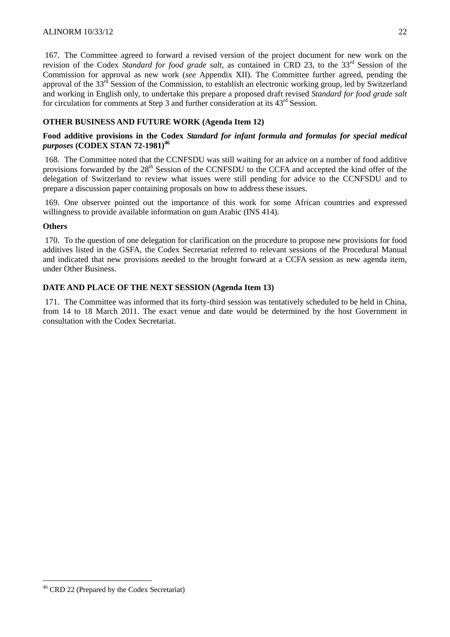167. The Committee agreed to forward a revised version of the project document for new work on the revision of the Codex *Standard for food grade salt*, as contained in CRD 23, to the 33rd Session of the Commission for approval as new work (*see* Appendix XII). The Committee further agreed, pending the approval of the 33<sup>rd</sup> Session of the Commission, to establish an electronic working group, led by Switzerland and working in English only, to undertake this prepare a proposed draft revised *Standard for food grade salt* for circulation for comments at Step 3 and further consideration at its 43rd Session.

## **OTHER BUSINESS AND FUTURE WORK (Agenda Item 12)**

### **Food additive provisions in the Codex** *Standard for infant formula and formulas for special medical purposes* **(CODEX STAN 72-1981)46**

168. The Committee noted that the CCNFSDU was still waiting for an advice on a number of food additive provisions forwarded by the 28<sup>th</sup> Session of the CCNFSDU to the CCFA and accepted the kind offer of the delegation of Switzerland to review what issues were still pending for advice to the CCNFSDU and to prepare a discussion paper containing proposals on how to address these issues.

169. One observer pointed out the importance of this work for some African countries and expressed willingness to provide available information on gum Arabic (INS 414).

#### **Others**

170. To the question of one delegation for clarification on the procedure to propose new provisions for food additives listed in the GSFA, the Codex Secretariat referred to relevant sessions of the Procedural Manual and indicated that new provisions needed to the brought forward at a CCFA session as new agenda item, under Other Business.

## **DATE AND PLACE OF THE NEXT SESSION (Agenda Item 13)**

171. The Committee was informed that its forty-third session was tentatively scheduled to be held in China, from 14 to 18 March 2011. The exact venue and date would be determined by the host Government in consultation with the Codex Secretariat.

l

<sup>46</sup> CRD 22 (Prepared by the Codex Secretariat)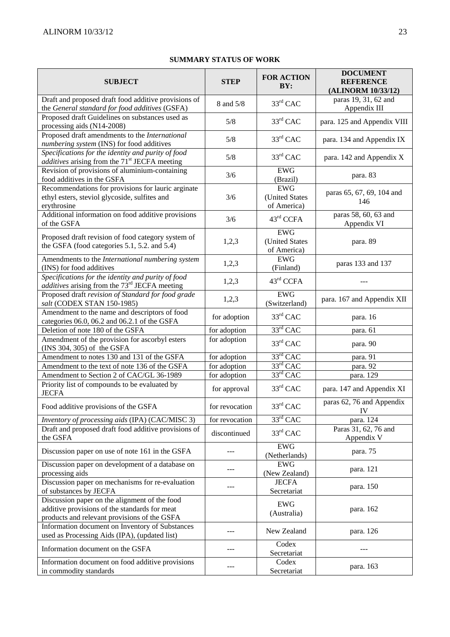## **SUMMARY STATUS OF WORK**

| <b>SUBJECT</b>                                                                                                                                 | <b>STEP</b>    | <b>FOR ACTION</b><br>BY:                    | <b>DOCUMENT</b><br><b>REFERENCE</b><br>(ALINORM 10/33/12) |
|------------------------------------------------------------------------------------------------------------------------------------------------|----------------|---------------------------------------------|-----------------------------------------------------------|
| Draft and proposed draft food additive provisions of<br>the General standard for food additives (GSFA)                                         | 8 and 5/8      | $33rd$ CAC                                  | paras 19, 31, 62 and<br>Appendix III                      |
| Proposed draft Guidelines on substances used as<br>processing aids (N14-2008)                                                                  | 5/8            | $33rd$ CAC                                  | para. 125 and Appendix VIII                               |
| Proposed draft amendments to the International<br>numbering system (INS) for food additives                                                    | 5/8            | $33rd$ CAC                                  | para. 134 and Appendix IX                                 |
| Specifications for the identity and purity of food<br><i>additives</i> arising from the 71 <sup>st</sup> JECFA meeting                         | 5/8            | $33rd$ CAC                                  | para. 142 and Appendix X                                  |
| Revision of provisions of aluminium-containing<br>food additives in the GSFA                                                                   | 3/6            | <b>EWG</b><br>(Brazil)                      | para. 83                                                  |
| Recommendations for provisions for lauric arginate<br>ethyl esters, steviol glycoside, sulfites and<br>erythrosine                             | 3/6            | <b>EWG</b><br>(United States<br>of America) | paras 65, 67, 69, 104 and<br>146                          |
| Additional information on food additive provisions<br>of the GSFA                                                                              | 3/6            | 43rd CCFA                                   | paras 58, 60, 63 and<br>Appendix VI                       |
| Proposed draft revision of food category system of<br>the GSFA (food categories 5.1, 5.2. and 5.4)                                             | 1,2,3          | <b>EWG</b><br>(United States<br>of America) | para. 89                                                  |
| Amendments to the International numbering system<br>(INS) for food additives                                                                   | 1,2,3          | <b>EWG</b><br>(Finland)                     | paras 133 and 137                                         |
| Specifications for the identity and purity of food<br><i>additives</i> arising from the 73 <sup>rd</sup> JECFA meeting                         | 1,2,3          | 43 <sup>rd</sup> CCFA                       |                                                           |
| Proposed draft revision of Standard for food grade<br>salt (CODEX STAN 150-1985)                                                               | 1,2,3          | <b>EWG</b><br>(Switzerland)                 | para. 167 and Appendix XII                                |
| Amendment to the name and descriptors of food<br>categories 06.0, 06.2 and 06.2.1 of the GSFA                                                  | for adoption   | $33rd$ CAC                                  | para. 16                                                  |
| Deletion of note 180 of the GSFA                                                                                                               | for adoption   | $33rd$ CAC                                  | para. 61                                                  |
| Amendment of the provision for ascorbyl esters<br>(INS 304, 305) of the GSFA                                                                   | for adoption   | $33rd$ CAC                                  | para. 90                                                  |
| Amendment to notes 130 and 131 of the GSFA                                                                                                     | for adoption   | 33rd CAC                                    | para. 91                                                  |
| Amendment to the text of note 136 of the GSFA                                                                                                  | for adoption   | $33^{\text{rd}}$ CAC                        | para. 92                                                  |
| Amendment to Section 2 of CAC/GL 36-1989                                                                                                       | for adoption   | $33^{\text{rd}}$ CAC                        | para. 129                                                 |
| Priority list of compounds to be evaluated by<br><b>JECFA</b>                                                                                  | for approval   | 33rd CAC                                    | para. 147 and Appendix XI                                 |
| Food additive provisions of the GSFA                                                                                                           | for revocation | 33rd CAC                                    | paras 62, 76 and Appendix<br>IV                           |
| Inventory of processing aids (IPA) (CAC/MISC 3)                                                                                                | for revocation | 33rd CAC                                    | para. 124                                                 |
| Draft and proposed draft food additive provisions of<br>the GSFA                                                                               | discontinued   | $33rd$ CAC                                  | Paras 31, 62, 76 and<br>Appendix V                        |
| Discussion paper on use of note 161 in the GSFA                                                                                                |                | <b>EWG</b><br>(Netherlands)                 | para. 75                                                  |
| Discussion paper on development of a database on<br>processing aids                                                                            |                | <b>EWG</b><br>(New Zealand)                 | para. 121                                                 |
| Discussion paper on mechanisms for re-evaluation<br>of substances by JECFA                                                                     |                | <b>JECFA</b><br>Secretariat                 | para. 150                                                 |
| Discussion paper on the alignment of the food<br>additive provisions of the standards for meat<br>products and relevant provisions of the GSFA |                | <b>EWG</b><br>(Australia)                   | para. 162                                                 |
| Information document on Inventory of Substances<br>used as Processing Aids (IPA), (updated list)                                               |                | New Zealand                                 | para. 126                                                 |
| Information document on the GSFA                                                                                                               |                | Codex<br>Secretariat                        |                                                           |
| Information document on food additive provisions<br>in commodity standards                                                                     | ---            | Codex<br>Secretariat                        | para. 163                                                 |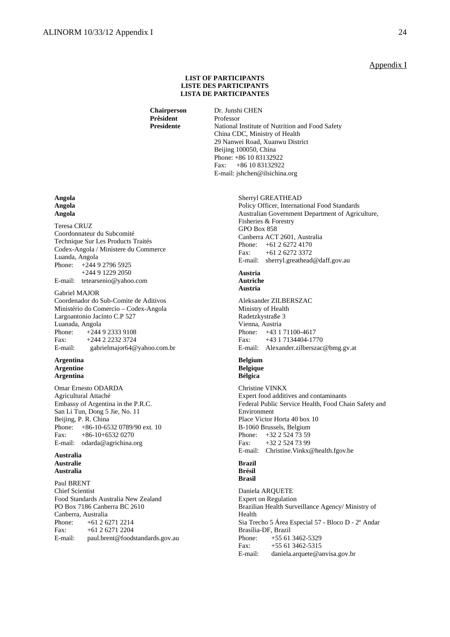#### Appendix I

#### **LIST OF PARTICIPANTS LISTE DES PARTICIPANTS LISTA DE PARTICIPANTES**

 **Chairperson** Dr. Junshi CHEN **Prêsident** Professor

**Presidente** National Institute of Nutrition and Food Safety China CDC, Ministry of Health 29 Nanwei Road, Xuanwu District Beijing 100050, China Phone: +86 10 83132922 Fax: +86 10 83132922 E-mail: jshchen@ilsichina.org

#### Sherryl GREATHEAD Policy Officer, International Food Standards Australian Government Department of Agriculture, Fisheries & Forestry GPO Box 858 Canberra ACT 2601, Australia Phone: +61 2 6272 4170 Fax: +61 2 6272 3372 E-mail: sherryl.greathead@daff.gov.au

#### **Austria Autriche Austria**

Aleksander ZILBERSZAC Ministry of Health Radetzkystraße 3 Vienna, Austria Phone: +43 1 71100-4617 Fax: +43 1 7134404-1770 E-mail: Alexander.zilberszac@bmg.gv.at

#### **Belgium Belgique Bélgica**

Christine VINKX Expert food additives and contaminants Federal Public Service Health, Food Chain Safety and Environment Place Victor Horta 40 box 10 B-1060 Brussels, Belgium Phone: +32 2 524 73 59 Fax: +32 2 524 73 99 E-mail: Christine.Vinkx@health.fgov.be

#### **Brazil Brésil Brasil**

Daniela ARQUETE Expert on Regulation Brazilian Health Surveillance Agency/ Ministry of Health Sia Trecho 5 Área Especial 57 - Bloco D - 2º Andar Brasília-DF, Brazil Phone: +55 61 3462-5329 Fax: +55 61 3462-5315 E-mail: daniela.arquete@anvisa.gov.br

#### **Angola Angola Angola**

Teresa CRUZ Coordonnateur du Subcomité Technique Sur Les Products Traités Codex-Angola / Ministere du Commerce Luanda, Angola Phone: +244 9 2796 5925 +244 9 1229 2050 E-mail: tetearsenio@yahoo.com

Gabriel MAJOR Coordenador do Sub-Comite de Aditivos Ministério do Comercio – Codex-Angola Largoantonio Jacinto C.P 527 Luanada, Angola<br>Phone: +244  $+244923339108$ Fax: +244 2 2232 3724 E-mail: gabrielmajor64@yahoo.com.br

#### **Argentina Argentine Argentina**

Omar Ernesto ODARDA Agricultural Attaché Embassy of Argentina in the P.R.C. San Li Tun, Dong 5 Jie, No. 11 Beijing, P. R. China Phone: +86-10-6532 0789/90 ext. 10 Fax: +86-10+6532 0270 E-mail: odarda@agrichina.org

#### **Australia Australie Australia**

Paul BRENT Chief Scientist Food Standards Australia New Zealand PO Box 7186 Canberra BC 2610 Canberra, Australia Phone: +61 2 6271 2214 Fax: +61 2 6271 2204 E-mail: paul.brent@foodstandards.gov.au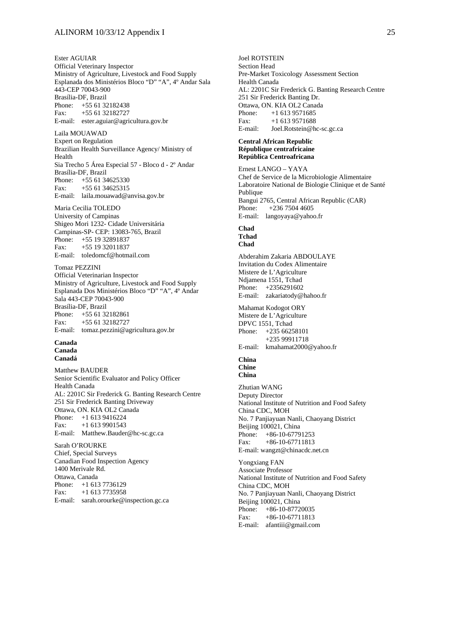Ester AGUIAR Official Veterinary Inspector Ministry of Agriculture, Livestock and Food Supply Esplanada dos Ministérios Bloco "D" "A", 4º Andar Sala 443-CEP 70043-900 Brasília-DF, Brazil Phone: +55 61 32182438 Fax: +55 61 32182727 E-mail: ester.aguiar@agricultura.gov.br

Laila MOUAWAD Expert on Regulation Brazilian Health Surveillance Agency/ Ministry of Health Sia Trecho 5 Área Especial 57 - Bloco d - 2º Andar Brasília-DF, Brazil Phone: +55 61 34625330 Fax: +55 61 34625315 E-mail: laila.mouawad@anvisa.gov.br

Maria Cecilia TOLEDO University of Campinas Shigeo Mori 1232- Cidade Universitária Campinas-SP- CEP: 13083-765, Brazil Phone: +55 19 32891837 Fax: +55 19 32011837 E-mail: toledomcf@hotmail.com

Tomaz PEZZINI Official Veterinarian Inspector Ministry of Agriculture, Livestock and Food Supply Esplanada Dos Ministérios Bloco "D" "A", 4º Andar Sala 443-CEP 70043-900 Brasília-DF, Brazil Phone: +55 61 32182861 Fax: +55 61 32182727 E-mail: tomaz.pezzini@agricultura.gov.br

#### **Canada Canada**

**Canadá** 

Matthew BAUDER Senior Scientific Evaluator and Policy Officer Health Canada AL: 2201C Sir Frederick G. Banting Research Centre 251 Sir Frederick Banting Driveway Ottawa, ON. KIA OL2 Canada Phone: +1 613 9416224<br>Fax: +1 613 9901543  $+1$  613 9901543 E-mail: Matthew.Bauder@hc-sc.gc.ca

Sarah O'ROURKE Chief, Special Surveys Canadian Food Inspection Agency 1400 Merivale Rd. Ottawa, Canada Phone: +1 613 7736129 Fax: +1 613 7735958 E-mail: sarah.orourke@inspection.gc.ca

Joel ROTSTEIN Section Head Pre-Market Toxicology Assessment Section Health Canada AL: 2201C Sir Frederick G. Banting Research Centre 251 Sir Frederick Banting Dr. Ottawa, ON. KIA OL2 Canada<br>Phone: +1 613 9571685  $+1$  613 9571685 Fax: +1 613 9571688 E-mail: Joel.Rotstein@hc-sc.gc.ca

#### **Central African Republic République centrafricaine República Centroafricana**

Ernest LANGO – YAYA Chef de Service de la Microbiologie Alimentaire Laboratoire National de Biologie Clinique et de Santé Publique Bangui 2765, Central African Republic (CAR) Phone: +236 7504 4605 E-mail: langoyaya@yahoo.fr

#### **Chad Tchad Chad**

Abderahim Zakaria ABDOULAYE Invitation du Codex Alimentaire Mistere de L'Agriculture Ndjamena 1551, Tchad Phone: +2356291602 E-mail: zakariatody@hahoo.fr

Mahamat Kodogot ORY Mistere de L'Agriculture DPVC 1551, Tchad Phone: +235 66258101 +235 99911718 E-mail: kmahamat2000@yahoo.fr

#### **China Chine China**

Zhutian WANG Deputy Director National Institute of Nutrition and Food Safety China CDC, MOH No. 7 Panjiayuan Nanli, Chaoyang District Beijing 100021, China Phone: +86-10-67791253 Fax: +86-10-67711813 E-mail: wangzt@chinacdc.net.cn

Yongxiang FAN Associate Professor National Institute of Nutrition and Food Safety China CDC, MOH No. 7 Panjiayuan Nanli, Chaoyang District Beijing 100021, China Phone: +86-10-87720035 Fax: +86-10-67711813 E-mail: afantiii@gmail.com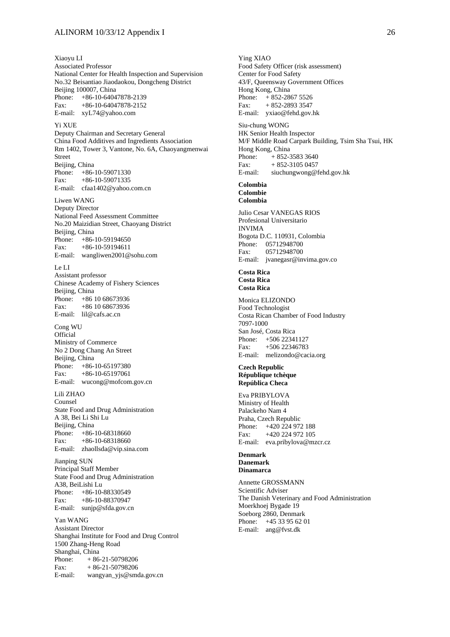Xiaoyu LI Associated Professor National Center for Health Inspection and Supervision No.32 Beisantiao Jiaodaokou, Dongcheng District Beijing 100007, China Phone: +86-10-64047878-2139 Fax: +86-10-64047878-2152 E-mail: xyL74@yahoo.com Yi XUE Deputy Chairman and Secretary General China Food Additives and Ingredients Association Rm 1402, Tower 3, Vantone, No. 6A, Chaoyangmenwai Street Beijing, China Phone: +86-10-59071330 Fax: +86-10-59071335 E-mail: cfaa1402@yahoo.com.cn Liwen WANG Deputy Director National Feed Assessment Committee No.20 Maizidian Street, Chaoyang District Beijing, China Phone: +86-10-59194650 Fax: +86-10-59194611 E-mail: wangliwen2001@sohu.com Le LI Assistant professor Chinese Academy of Fishery Sciences Beijing, China Phone: +86 10 68673936 Fax: +86 10 68673936 E-mail: lil@cafs.ac.cn Cong WU **Official** Ministry of Commerce No 2 Dong Chang An Street Beijing, China<br>Phone: +86- $+86-10-65197380$ Fax: +86-10-65197061 E-mail: wucong@mofcom.gov.cn Lili ZHAO Counsel State Food and Drug Administration A 38, Bei Li Shi Lu Beijing, China Phone: +86-10-68318660 Fax: +86-10-68318660 E-mail: zhaollsda@vip.sina.com Jianping SUN Principal Staff Member State Food and Drug Administration A38, BeiLishi Lu Phone: +86-10-88330549 Fax: +86-10-88370947 E-mail: sunjp@sfda.gov.cn Yan WANG Assistant Director Shanghai Institute for Food and Drug Control 1500 Zhang-Heng Road Shanghai, China<br>Phone:  $+86$  $+ 86 - 21 - 50798206$ 

Fax:  $+86-21-50798206$ E-mail: wangyan\_yjs@smda.gov.cn

Ying XIAO Food Safety Officer (risk assessment) Center for Food Safety 43/F, Queensway Government Offices Hong Kong, China Phone: + 852-2867 5526 Fax:  $+852-289333547$ E-mail: yxiao@fehd.gov.hk

Siu-chung WONG HK Senior Health Inspector M/F Middle Road Carpark Building, Tsim Sha Tsui, HK Hong Kong, China Phone:  $+ 852-35833640$ <br>Fax:  $+ 852-31050457$  $+ 852 - 31050457$ E-mail: siuchungwong@fehd.gov.hk

#### **Colombia Colombie Colombia**

Julio Cesar VANEGAS RIOS Profesional Universitario INVIMA Bogota D.C. 110931, Colombia Phone: 05712948700 Fax: 05712948700 E-mail: jvanegasr@invima.gov.co

#### **Costa Rica Costa Rica Costa Rica**

Monica ELIZONDO Food Technologist Costa Rican Chamber of Food Industry 7097-1000 San José, Costa Rica Phone: +506 22341127 Fax: +506 22346783 E-mail: melizondo@cacia.org

#### **Czech Republic République tchèque República Checa**

Eva PRIBYLOVA Ministry of Health Palackeho Nam 4 Praha, Czech Republic Phone: +420 224 972 188 Fax: +420 224 972 105 E-mail: eva.pribylova@mzcr.cz

#### **Denmark Danemark Dinamarca**

Annette GROSSMANN Scientific Adviser The Danish Veterinary and Food Administration Moerkhoej Bygade 19 Soeborg 2860, Denmark Phone: +45 33 95 62 01 E-mail: ang@fvst.dk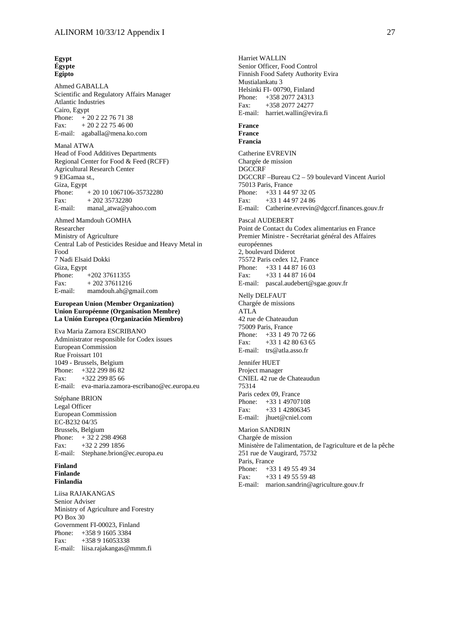#### **Egypt Égypte Egipto**

Ahmed GABALLA Scientific and Regulatory Affairs Manager Atlantic Industries Cairo, Egypt Phone:  $+20222767138$ Fax:  $+20222754600$ E-mail: agaballa@mena.ko.com

Manal ATWA Head of Food Additives Departments Regional Center for Food & Feed (RCFF) Agricultural Research Center 9 ElGamaa st., Giza, Egypt Phone: + 20 10 1067106-35732280 Fax:  $+20235732280$ E-mail: manal**\_**atwa@yahoo.com

Ahmed Mamdouh GOMHA Researcher Ministry of Agriculture Central Lab of Pesticides Residue and Heavy Metal in Food 7 Nadi Elsaid Dokki Giza, Egypt Phone: +202 37611355 Fax:  $+20237611216$ E-mail: mamdouh.ah@gmail.com

#### **European Union (Member Organization) Union Européenne (Organisation Membre) La Unión Europea (Organización Miembro)**

Eva Maria Zamora ESCRIBANO Administrator responsible for Codex issues European Commission Rue Froissart 101 1049 - Brussels, Belgium Phone: +322 299 86 82 Fax: +322 299 85 66 E-mail: eva-maria.zamora-escribano@ec.europa.eu

Stéphane BRION Legal Officer European Commission EC-B232 04/35 Brussels, Belgium Phone:  $+32222984968$ Fax: +32 2 299 1856 E-mail: Stephane.brion@ec.europa.eu

#### **Finland Finlande Finlandia**

Liisa RAJAKANGAS Senior Adviser Ministry of Agriculture and Forestry PO Box 30 Government FI-00023, Finland Phone: +358 9 1605 3384 Fax: +358 9 16053338 E-mail: liisa.rajakangas@mmm.fi

Harriet WALLIN Senior Officer, Food Control Finnish Food Safety Authority Evira Mustialankatu 3 Helsinki FI- 00790, Finland Phone: +358 2077 24313 Fax: +358 2077 24277 E-mail: harriet.wallin@evira.fi **France France Francia**  Catherine EVREVIN Chargée de mission **DGCCRF** DGCCRF –Bureau C2 – 59 boulevard Vincent Auriol 75013 Paris, France Phone: +33 1 44 97 32 05 Fax: +33 1 44 97 24 86 E-mail: Catherine.evrevin@dgccrf.finances.gouv.fr Pascal AUDEBERT Point de Contact du Codex alimentarius en France Premier Ministre - Secrétariat général des Affaires européennes 2, boulevard Diderot 75572 Paris cedex 12, France Phone: +33 1 44 87 16 03 Fax: +33 1 44 87 16 04 E-mail: pascal.audebert@sgae.gouv.fr Nelly DELFAUT Chargée de missions ATLA 42 rue de Chateaudun 75009 Paris, France Phone: +33 1 49 70 72 66 Fax:  $+33142806365$ E-mail: trs@atla.asso.fr Jennifer HUET Project manager CNIEL 42 rue de Chateaudun 75314 Paris cedex 09, France Phone: +33 1 49707108 Fax: +33 1 42806345 E-mail: jhuet@cniel.com Marion SANDRIN Chargée de mission Ministère de l'alimentation, de l'agriculture et de la pêche 251 rue de Vaugirard, 75732 Paris, France Phone: +33 1 49 55 49 34 Fax: +33 1 49 55 59 48 E-mail: marion.sandrin@agriculture.gouv.fr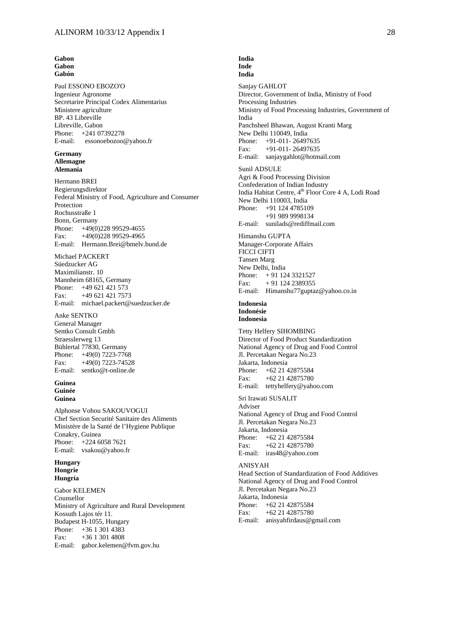#### **Gabon Gabon Gabón**

Paul ESSONO EBOZO'O Ingenieur Agronome Secretarire Principal Codex Alimentarius Ministere agriculture BP. 43 Libreville Libreville, Gabon Phone: +241 07392278 E-mail: essonoebozoo@yahoo.fr

#### **Germany Allemagne Alemania**

Hermann BREI Regierungsdirektor Federal Ministry of Food, Agriculture and Consumer Protection Rochusstraße 1 Bonn, Germany Phone: +49(0)228 99529-4655 Fax: +49(0)228 99529-4965 E-mail: Hermann.Brei@bmelv.bund.de

Michael PACKERT Süedzucker AG Maximilianstr. 10 Mannheim 68165, Germany Phone: +49 621 421 573 Fax: +49 621 421 7573 E-mail: michael.packert@suedzucker.de

#### Anke SENTKO

General Manager Sentko Consult Gmbh Straesslerweg 13 Bühlertal 77830, Germany Phone: +49(0) 7223-7768 Fax: +49(0) 7223-74528 E-mail: sentko@t-online.de

#### **Guinea Guinée Guinea**

Alphonse Vohou SAKOUVOGUI Chef Section Securité Sanitaire des Aliments Ministère de la Santé de l'Hygiene Publique Conakry, Guinea Phone: +224 6058 7621 E-mail: vsakou@yahoo.fr

#### **Hungary Hongrie Hungría**

Gabor KELEMEN Counsellor Ministry of Agriculture and Rural Development Kossuth Lajos tér 11. Budapest H-1055, Hungary Phone: +36 1 301 4383 Fax: +36 1 301 4808 E-mail: gabor.kelemen@fvm.gov.hu

#### **India Inde India**

Sanjay GAHLOT Director, Government of India, Ministry of Food Processing Industries Ministry of Food Processing Industries, Government of India Panchsheel Bhawan, August Kranti Marg New Delhi 110049, India Phone: +91-011- 26497635 Fax: +91-011- 26497635 E-mail: sanjaygahlot@hotmail.com

Sunil ADSULE Agri & Food Processing Division Confederation of Indian Industry India Habitat Centre, 4<sup>th</sup> Floor Core 4 A, Lodi Road New Delhi 110003, India Phone: +91 124 4785109 +91 989 9998134 E-mail: sunilads@rediffmail.com

Himanshu GUPTA Manager-Corporate Affairs FICCI CIFTI Tansen Marg New Delhi, India Phone: + 91 124 3321527 Fax:  $+91$  124 2389355 E-mail: Himanshu77guptaz@yahoo.co.in

#### **Indonesia Indonésie Indonesia**

Tetty Helfery SIHOMBING Director of Food Product Standardization National Agency of Drug and Food Control Jl. Percetakan Negara No.23 Jakarta, Indonesia Phone: +62 21 42875584 Fax: +62 21 42875780 E-mail: tettyhelfery@yahoo.com

Sri Irawati SUSALIT Adviser National Agency of Drug and Food Control Jl. Percetakan Negara No.23 Jakarta, Indonesia Phone: +62 21 42875584 Fax: +62 21 42875780 E-mail: iras48@yahoo.com

#### ANISYAH

Head Section of Standardization of Food Additives National Agency of Drug and Food Control Jl. Percetakan Negara No.23 Jakarta, Indonesia Phone: +62 21 42875584 Fax: +62 21 42875780 E-mail: anisyahfirdaus@gmail.com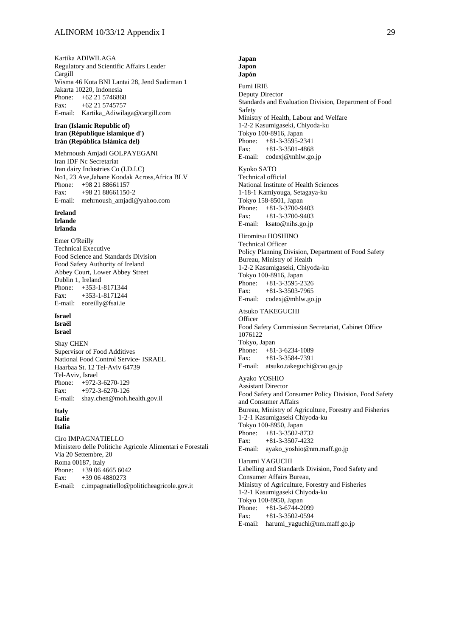Kartika ADIWILAGA Regulatory and Scientific Affairs Leader Cargill Wisma 46 Kota BNI Lantai 28, Jend Sudirman 1 Jakarta 10220, Indonesia Phone: +62 21 5746868 Fax: +62 21 5745757 E-mail: Kartika\_Adiwilaga@cargill.com

#### **Iran (Islamic Republic of) Iran (République islamique d') Irán (República Islámica del)**

Mehrnoush Amjadi GOLPAYEGANI Iran IDF Nc Secretariat Iran dairy Industries Co (I.D.I.C) No1, 23 Ave,Jahane Koodak Across,Africa BLV Phone: +98 21 88661157 Fax: +98 21 88661150-2 E-mail: mehrnoush\_amjadi@yahoo.com

#### **Ireland Irlande Irlanda**

Emer O'Reilly Technical Executive Food Science and Standards Division Food Safety Authority of Ireland Abbey Court, Lower Abbey Street Dublin 1, Ireland Phone: +353-1-8171344 Fax: +353-1-8171244 E-mail: eoreilly@fsai.ie

#### **Israel Israël**

**Israel** 

Shay CHEN Supervisor of Food Additives National Food Control Service- ISRAEL Haarbaa St. 12 Tel-Aviv 64739 Tel-Aviv, Israel Phone: +972-3-6270-129 Fax: +972-3-6270-126 E-mail: shay.chen@moh.health.gov.il

#### **Italy Italie Italia**

Ciro IMPAGNATIELLO Ministero delle Politiche Agricole Alimentari e Forestali Via 20 Settembre, 20 Roma 00187, Italy Phone: +39 06 4665 6042 Fax: +39 06 4880273 E-mail: c.impagnatiello@politicheagricole.gov.it

#### **Japan Japon Japón**

Fumi IRIE Deputy Director Standards and Evaluation Division, Department of Food Safety Ministry of Health, Labour and Welfare 1-2-2 Kasumigaseki, Chiyoda-ku Tokyo 100-8916, Japan Phone: +81-3-3595-2341 Fax: +81-3-3501-4868 E-mail: codexj@mhlw.go.jp Kyoko SATO Technical official National Institute of Health Sciences 1-18-1 Kamiyouga, Setagaya-ku Tokyo 158-8501, Japan Phone: +81-3-3700-9403 Fax: +81-3-3700-9403 E-mail: ksato@nihs.go.jp Hiromitsu HOSHINO Technical Officer Policy Planning Division, Department of Food Safety Bureau, Ministry of Health 1-2-2 Kasumigaseki, Chiyoda-ku Tokyo 100-8916, Japan Phone: +81-3-3595-2326 Fax: +81-3-3503-7965 E-mail: codexj@mhlw.go.jp Atsuko TAKEGUCHI **Officer** Food Safety Commission Secretariat, Cabinet Office 1076122 Tokyo, Japan Phone: +81-3-6234-1089 Fax: +81-3-3584-7391 E-mail: atsuko.takeguchi@cao.go.jp Ayako YOSHIO Assistant Director Food Safety and Consumer Policy Division, Food Safety and Consumer Affairs Bureau, Ministry of Agriculture, Forestry and Fisheries 1-2-1 Kasumigaseki Chiyoda-ku Tokyo 100-8950, Japan Phone: +81-3-3502-8732 Fax: +81-3-3507-4232 E-mail: ayako\_yoshio@nm.maff.go.jp Harumi YAGUCHI Labelling and Standards Division, Food Safety and Consumer Affairs Bureau, Ministry of Agriculture, Forestry and Fisheries 1-2-1 Kasumigaseki Chiyoda-ku

Tokyo 100-8950, Japan  $+81-3-6744-2099$ 

Fax: +81-3-3502-0594

E-mail: harumi\_yaguchi@nm.maff.go.jp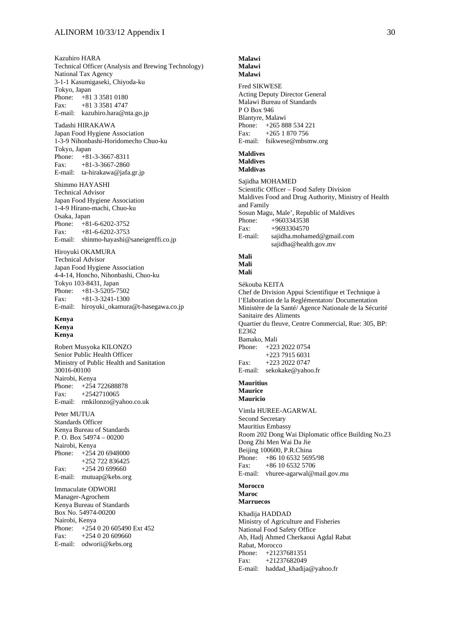Kazuhiro HARA Technical Officer (Analysis and Brewing Technology) National Tax Agency 3-1-1 Kasumigaseki, Chiyoda-ku Tokyo, Japan Phone: +81 3 3581 0180 Fax: +81 3 3581 4747 E-mail: kazuhiro.hara@nta.go.jp

Tadashi HIRAKAWA Japan Food Hygiene Association 1-3-9 Nihonbashi-Horidomecho Chuo-ku Tokyo, Japan Phone: +81-3-3667-8311 Fax:  $+81-3-3667-2860$ E-mail: ta-hirakawa@jafa.gr.jp

Shimmo HAYASHI Technical Advisor Japan Food Hygiene Association 1-4-9 Hirano-machi, Chuo-ku Osaka, Japan Phone: +81-6-6202-3752 Fax: +81-6-6202-3753 E-mail: shinmo-hayashi@saneigenffi.co.jp

Hiroyuki OKAMURA Technical Advisor Japan Food Hygiene Association 4-4-14, Honcho, Nihonbashi, Chuo-ku Tokyo 103-8431, Japan Phone: +81-3-5205-7502 Fax: +81-3-3241-1300 E-mail: hiroyuki\_okamura@t-hasegawa.co.jp

#### **Kenya Kenya Kenya**

Robert Musyoka KILONZO Senior Public Health Officer Ministry of Public Health and Sanitation 30016-00100 Nairobi, Kenya Phone: +254 722688878 Fax: +2542710065 E-mail: rmkilonzo@yahoo.co.uk

Peter MUTUA Standards Officer Kenya Bureau of Standards P. O. Box 54974 – 00200 Nairobi, Kenya Phone: +254 20 6948000 +252 722 836425 Fax: +254 20 699660 E-mail: mutuap@kebs.org

Immaculate ODWORI Manager-Agrochem Kenya Bureau of Standards Box No. 54974-00200 Nairobi, Kenya Phone: +254 0 20 605490 Ext 452 Fax:  $+254020609660$ E-mail: odworii@kebs.org

#### **Malawi Malawi Malawi**

Fred SIKWESE

Acting Deputy Director General Malawi Bureau of Standards P O Box 946 Blantyre, Malawi Phone: +265 888 534 221 Fax: +265 1 870 756 E-mail: fsikwese@mbsmw.org **Maldives Maldives Maldivas**  Sajidha MOHAMED Scientific Officer – Food Safety Division Maldives Food and Drug Authority, Ministry of Health and Family Sosun Magu, Male', Republic of Maldives Phone: +9603343538 Fax:  $+9693304570$ E-mail: sajidha.mohamed@gmail.com sajidha@health.gov.mv **Mali Mali Malí**  Sékouba KEITA Chef de Division Appui Scientifique et Technique à l'Elaboration de la Reglémentaton/ Documentation Ministère de la Santé/ Agence Nationale de la Sécurité Sanitaire des Aliments Quartier du fleuve, Centre Commercial, Rue: 305, BP: E<sub>2362</sub> Bamako, Mali Phone: +223 2022 0754 +223 7915 6031 Fax: +223 2022 0747 E-mail: sekokake@yahoo.fr **Mauritius** 

# **Maurice Mauricio**

Vimla HUREE-AGARWAL Second Secretary Mauritius Embassy Room 202 Dong Wai Diplomatic office Building No.23 Dong Zhi Men Wai Da Jie Beijing 100600, P.R.China Phone: +86 10 6532 5695/98 Fax:  $+86\,10\,6532\,5706$ E-mail: vhuree-agarwal@mail.gov.mu

#### **Morocco Maroc Marruecos**

Khadija HADDAD Ministry of Agriculture and Fisheries National Food Safety Office Ab, Hadj Ahmed Cherkaoui Agdal Rabat Rabat, Morocco Phone: +21237681351 Fax: +21237682049 E-mail: haddad\_khadija@yahoo.fr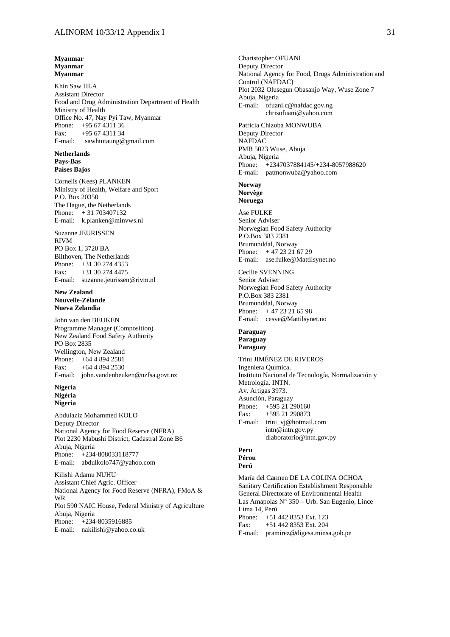**Myanmar Myanmar Myanmar** 

Khin Saw HLA Assistant Director Food and Drug Administration Department of Health Ministry of Health Office No. 47, Nay Pyi Taw, Myanmar Phone: +95 67 4311 36 Fax: +95 67 4311 34 E-mail: sawhtutaung@gmail.com

#### **Netherlands Pays-Bas Países Bajos**

Cornelis (Kees) PLANKEN Ministry of Health, Welfare and Sport P.O. Box 20350 The Hague, the Netherlands Phone: + 31 703407132 E-mail: k.planken@minvws.nl

Suzanne JEURISSEN RIVM PO Box 1, 3720 BA Bilthoven, The Netherlands Phone: +31 30 274 4353 Fax: +31 30 274 4475 E-mail: suzanne.jeurissen@rivm.nl

#### **New Zealand Nouvelle-Zélande Nueva Zelandia**

John van den BEUKEN Programme Manager (Composition) New Zealand Food Safety Authority PO Box 2835 Wellington, New Zealand Phone: +64 4 894 2581 Fax:  $+6448942530$ E-mail: john.vandenbeuken@nzfsa.govt.nz

#### **Nigeria Nigéria Nigeria**

Abdulaziz Mohammed KOLO Deputy Director National Agency for Food Reserve (NFRA) Plot 2230 Mabushi District, Cadastral Zone B6 Abuja, Nigeria Phone: +234-808033118777 E-mail: abdulkolo747@yahoo.com

Kilishi Adamu NUHU Assistant Chief Agric. Officer National Agency for Food Reserve (NFRA), FMoA & WR Plot 590 NAIC House, Federal Ministry of Agriculture Abuja, Nigeria Phone: +234-8035916885 E-mail: nakilishi@yahoo.co.uk

Charistopher OFUANI Deputy Director National Agency for Food, Drugs Administration and Control (NAFDAC) Plot 2032 Olusegun Obasanjo Way, Wuse Zone 7 Abuja, Nigeria E-mail: ofuani.c@nafdac.gov.ng chrisofuani@yahoo.com Patricia Chizoba MONWUBA Deputy Director NAFDAC PMB 5023 Wuse, Abuja Abuja, Nigeria Phone: +2347037884145/+234-8057988620 E-mail: patmonwuba@yahoo.com **Norway Norvège Noruega**  Åse FULKE Senior Adviser Norwegian Food Safety Authority P.O.Box 383 2381 Brumunddal, Norway Phone: + 47 23 21 67 29 E-mail: ase.fulke@Mattilsynet.no Cecilie SVENNING Senior Adviser Norwegian Food Safety Authority P.O.Box 383 2381 Brumunddal, Norway Phone: + 47 23 21 65 98 E-mail: cesve@Mattilsynet.no **Paraguay Paraguay Paraguay**  Trini JIMÉNEZ DE RIVEROS Ingeniera Química. Instituto Nacional de Tecnología, Normalización y Metrología. INTN. Av. Artigas 3973. Asunción, Paraguay Phone: +595 21 290160 Fax: +595 21 290873 E-mail: trini\_vj@hotmail.com intn@intn.gov.py dlaboratorio@intn.gov.py **Peru Pérou Perú** 

María del Carmen DE LA COLINA OCHOA Sanitary Certification Establishment Responsible General Directorate of Environmental Health Las Amapolas N° 350 – Urb. San Eugenio, Lince Lima 14, Perú Phone: +51 442 8353 Ext. 123<br>Fax: +51 442 8353 Ext. 204 Fax: +51 442 8353 Ext. 204 E-mail: pramirez@digesa.minsa.gob.pe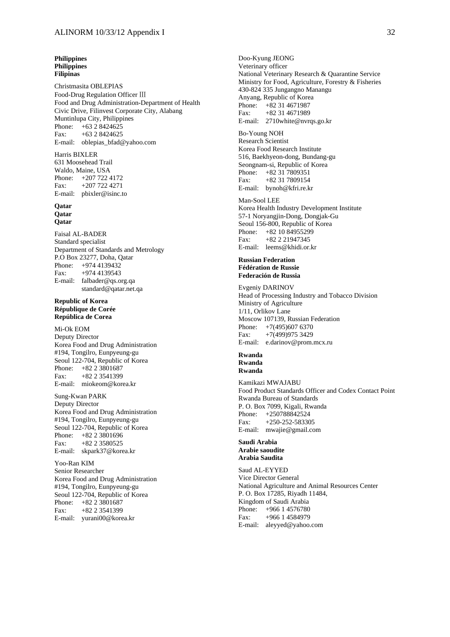#### **Philippines Philippines Filipinas**

Christmasita OBLEPIAS Food-Drug Regulation Officer Ⅲ Food and Drug Administration-Department of Health Civic Drive, Filinvest Corporate City, Alabang Muntinlupa City, Philippines Phone: +63 2 8424625 Fax: +63 2 8424625 E-mail: oblepias\_bfad@yahoo.com

#### Harris BIXLER

631 Moosehead Trail Waldo, Maine, USA Phone: +207 722 4172 Fax: +207 722 4271 E-mail: pbixler@isinc.to

#### **Qatar Qatar Qatar**

Faisal AL-BADER Standard specialist Department of Standards and Metrology P.O Box 23277, Doha, Qatar Phone: +974 4139432 Fax: +974 4139543 E-mail: falbader@qs.org.qa standard@qatar.net.qa

#### **Republic of Korea République de Corée República de Corea**

Mi-Ok EOM Deputy Director Korea Food and Drug Administration #194, Tongilro, Eunpyeung-gu Seoul 122-704, Republic of Korea Phone: +82 2 3801687 Fax: +82 2 3541399 E-mail: miokeom@korea.kr

Sung-Kwan PARK Deputy Director Korea Food and Drug Administration #194, Tongilro, Eunpyeung-gu Seoul 122-704, Republic of Korea Phone: +82 2 3801696 Fax: +82 2 3580525 E-mail: skpark37@korea.kr

Yoo-Ran KIM Senior Researcher Korea Food and Drug Administration #194, Tongilro, Eunpyeung-gu Seoul 122-704, Republic of Korea Phone: +82 2 3801687 Fax:  $+82.2.3541399$ E-mail: yurani00@korea.kr

Doo-Kyung JEONG Veterinary officer National Veterinary Research & Quarantine Service Ministry for Food, Agriculture, Forestry & Fisheries 430-824 335 Jungangno Manangu Anyang, Republic of Korea Phone: +82 31 4671987<br>Fax: +82 31 4671989 Fax: +82 31 4671989 E-mail: 2710white@nvrqs.go.kr

#### Bo-Young NOH Research Scientist Korea Food Research Institute 516, Baekhyeon-dong, Bundang-gu Seongnam-si, Republic of Korea Phone: +82 31 7809351 Fax: +82 31 7809154 E-mail: bynoh@kfri.re.kr

#### Man-Sool LEE

Korea Health Industry Development Institute 57-1 Noryangjin-Dong, Dongjak-Gu Seoul 156-800, Republic of Korea Phone: +82 10 84955299 Fax: +82 2 21947345 E-mail: leems@khidi.or.kr

#### **Russian Federation Fédération de Russie Federación de Russia**

Evgeniy DARINOV Head of Processing Industry and Tobacco Division Ministry of Agriculture 1/11, Orlikov Lane Moscow 107139, Russian Federation Phone: +7(495)607 6370 Fax: +7(499)975 3429 E-mail: e.darinov@prom.mcx.ru

#### **Rwanda Rwanda**

**Rwanda**  Kamikazi MWAJABU Food Product Standards Officer and Codex Contact Point Rwanda Bureau of Standards P. O. Box 7099, Kigali, Rwanda Phone: +250788842524 Fax: +250-252-583305 E-mail: mwajie@gmail.com

#### **Saudi Arabia Arabie saoudite Arabia Saudita**

Saud AL-EYYED Vice Director General National Agriculture and Animal Resources Center P. O. Box 17285, Riyadh 11484, Kingdom of Saudi Arabia Phone: +966 1 4576780 Fax: +966 1 4584979 E-mail: aleyyed@yahoo.com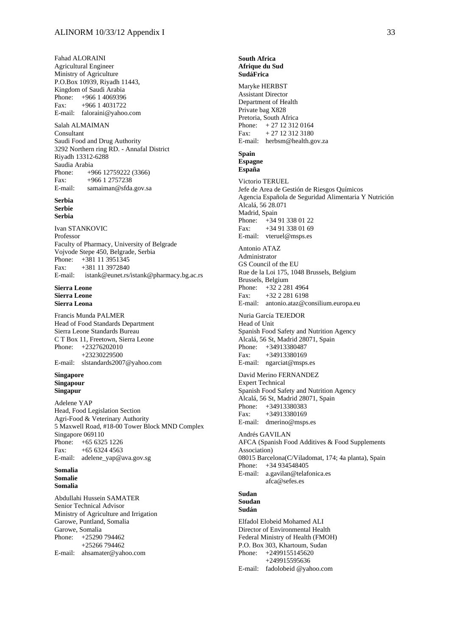Fahad ALORAINI Agricultural Engineer Ministry of Agriculture P.O.Box 10939, Riyadh 11443, Kingdom of Saudi Arabia Phone: +966 1 4069396 Fax: +966 1 4031722 E-mail: faloraini@yahoo.com

Salah ALMAIMAN Consultant Saudi Food and Drug Authority 3292 Northern ring RD. - Annafal District Riyadh 13312-6288 Saudia Arabia Phone: +966 12759222 (3366) Fax: +966 1 2757238 E-mail: samaiman@sfda.gov.sa

**Serbia Serbie Serbia** 

Ivan STANKOVIC Professor Faculty of Pharmacy, University of Belgrade Vojvode Stepe 450, Belgrade, Serbia Phone: +381 11 3951345 Fax: +381 11 3972840 E-mail: istank@eunet.rs/istank@pharmacy.bg.ac.rs

#### **Sierra Leone Sierra Leone Sierra Leona**

Francis Munda PALMER Head of Food Standards Department Sierra Leone Standards Bureau C T Box 11, Freetown, Sierra Leone Phone: +23276202010 +23230229500 E-mail: slstandards2007@yahoo.com

#### **Singapore Singapour Singapur**

Adelene YAP Head, Food Legislation Section Agri-Food & Veterinary Authority 5 Maxwell Road, #18-00 Tower Block MND Complex Singapore 069110<br>Phone: +65 632: Phone: +65 6325 1226 Fax:  $+6563244563$ E-mail: adelene\_yap@ava.gov.sg

#### **Somalia Somalie Somalia**

Abdullahi Hussein SAMATER Senior Technical Advisor Ministry of Agriculture and Irrigation Garowe, Puntland, Somalia Garowe, Somalia Phone: +25290 794462 +25266 794462 E-mail: ahsamater@yahoo.com

#### **South Africa Afrique du Sud SudáFrica**

Maryke HERBST Assistant Director Department of Health Private bag X828 Pretoria, South Africa Phone: + 27 12 312 0164 Fax:  $+ 27 12 312 3180$ E-mail: herbsm@health.gov.za **Spain Espagne España**  Victorio TERUEL Jefe de Area de Gestión de Riesgos Químicos Agencia Española de Seguridad Alimentaria Y Nutrición Alcalá, 56 28.071 Madrid, Spain Phone: +34 91 338 01 22 Fax: +34 91 338 01 69 E-mail: vteruel@msps.es Antonio ATAZ Administrator GS Council of the EU Rue de la Loi 175, 1048 Brussels, Belgium Brussels, Belgium Phone: +32 2 281 4964 Fax: +32 2 281 6198 E-mail: antonio.ataz@consilium.europa.eu Nuria García TEJEDOR Head of Unit Spanish Food Safety and Nutrition Agency Alcalá, 56 St, Madrid 28071, Spain Phone: +34913380487 Fax: +34913380169 E-mail: ngarciat@msps.es David Merino FERNANDEZ Expert Technical Spanish Food Safety and Nutrition Agency Alcalá, 56 St, Madrid 28071, Spain Phone: +34913380383 Fax: +34913380169 E-mail: dmerino@msps.es Andrés GAVILAN AFCA (Spanish Food Additives & Food Supplements Association) 08015 Barcelona(C/Viladomat, 174; 4a planta), Spain Phone: +34 934548405 E-mail: a.gavilan@telafonica.es afca@sefes.es **Sudan Soudan Sudán**  Elfadol Elobeid Mohamed ALI

Director of Environmental Health Federal Ministry of Health (FMOH) P.O. Box 303, Khartoum, Sudan Phone: +2499155145620 +249915595636 E-mail: fadolobeid @yahoo.com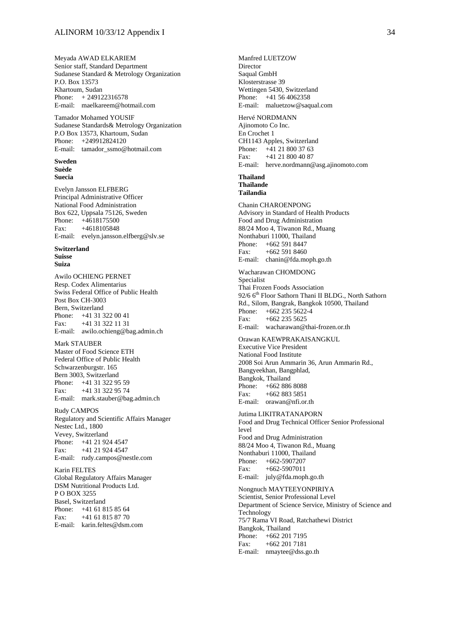Meyada AWAD ELKARIEM Senior staff, Standard Department Sudanese Standard & Metrology Organization P.O. Box 13573 Khartoum, Sudan Phone: + 249122316578 E-mail: maelkareem@hotmail.com

Tamador Mohamed YOUSIF Sudanese Standards& Metrology Organization P.O Box 13573, Khartoum, Sudan Phone: +249912824120 E-mail: tamador\_ssmo@hotmail.com

#### **Sweden Suède Suecia**

Evelyn Jansson ELFBERG Principal Administrative Officer National Food Administration Box 622, Uppsala 75126, Sweden Phone: +4618175500 Fax: +4618105848 E-mail: evelyn.jansson.elfberg@slv.se

#### **Switzerland Suisse Suiza**

Awilo OCHIENG PERNET Resp. Codex Alimentarius Swiss Federal Office of Public Health Post Box CH-3003 Bern, Switzerland Phone: +41 31 322 00 41 Fax: +41 31 322 11 31 E-mail: awilo.ochieng@bag.admin.ch

Mark STAUBER Master of Food Science ETH Federal Office of Public Health Schwarzenburgstr. 165 Bern 3003, Switzerland Phone: +41 31 322 95 59 Fax: +41 31 322 95 74 E-mail: mark.stauber@bag.admin.ch

Rudy CAMPOS Regulatory and Scientific Affairs Manager Nestec Ltd., 1800 Vevey, Switzerland Phone: +41 21 924 4547 Fax: +41 21 924 4547 E-mail: rudy.campos@nestle.com

Karin FELTES Global Regulatory Affairs Manager DSM Nutritional Products Ltd. P O BOX 3255 Basel, Switzerland Phone: +41 61 815 85 64 Fax: +41 61 815 87 70 E-mail: karin.feltes@dsm.com

Manfred LUETZOW Director Saqual GmbH Klosterstrasse 39 Wettingen 5430, Switzerland Phone: +41 56 4062358 E-mail: maluetzow@saqual.com Hervé NORDMANN

Ajinomoto Co Inc. En Crochet 1 CH1143 Apples, Switzerland Phone: +41 21 800 37 63 Fax: +41 21 800 40 87 E-mail: herve.nordmann@asg.ajinomoto.com

#### **Thailand Thaïlande**

**Tailandia** 

Chanin CHAROENPONG Advisory in Standard of Health Products Food and Drug Administration 88/24 Moo 4, Tiwanon Rd., Muang Nonthaburi 11000, Thailand Phone: +662 591 8447 Fax: +662 591 8460 E-mail: chanin@fda.moph.go.th

Wacharawan CHOMDONG Specialist Thai Frozen Foods Association 92/6 6<sup>th</sup> Floor Sathorn Thani II BLDG., North Sathorn Rd., Silom, Bangrak, Bangkok 10500, Thailand Phone:  $+662\overline{235\overline{5622-4}}$ <br>Fax:  $+662\overline{235\overline{5625}}$  $+662$  235 5625 E-mail: wacharawan@thai-frozen.or.th

Orawan KAEWPRAKAISANGKUL Executive Vice President National Food Institute 2008 Soi Arun Ammarin 36, Arun Ammarin Rd., Bangyeekhan, Bangphlad, Bangkok, Thailand Phone: +662 886 8088 Fax: +662 883 5851 E-mail: orawan@nfi.or.th

Jutima LIKITRATANAPORN Food and Drug Technical Officer Senior Professional level Food and Drug Administration 88/24 Moo 4, Tiwanon Rd., Muang Nonthaburi 11000, Thailand Phone: +662-5907207 Fax: +662-5907011 E-mail: july@fda.moph.go.th Nongnuch MAYTEEYONPIRIYA Scientist, Senior Professional Level Department of Science Service, Ministry of Science and Technology 75/7 Rama VI Road, Ratchathewi District Bangkok, Thailand

Phone: +662 201 7195 Fax: +662 201 7181

E-mail: nmaytee@dss.go.th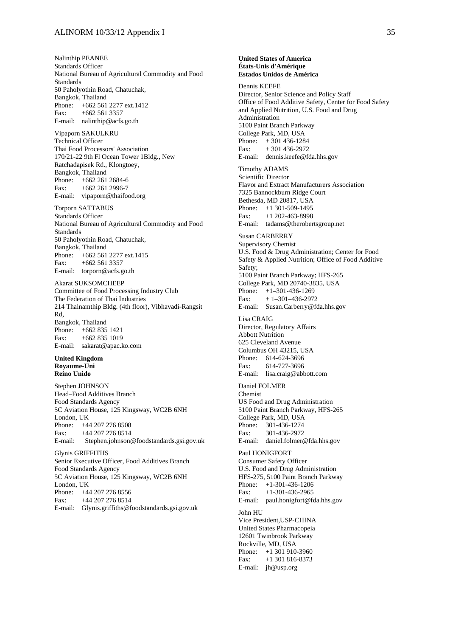Nalinthip PEANEE Standards Officer National Bureau of Agricultural Commodity and Food Standards 50 Paholyothin Road, Chatuchak, Bangkok, Thailand Phone: +662 561 2277 ext.1412 Fax:  $+662\,561\,3357$ E-mail: nalinthip@acfs.go.th

Vipaporn SAKULKRU Technical Officer Thai Food Processors' Association 170/21-22 9th Fl Ocean Tower 1Bldg., New Ratchadapisek Rd., Klongtoey, Bangkok, Thailand Phone: +662 261 2684-6 Fax: +662 261 2996-7 E-mail: vipaporn@thaifood.org

Torporn SATTABUS Standards Officer National Bureau of Agricultural Commodity and Food Standards 50 Paholyothin Road, Chatuchak, Bangkok, Thailand Phone: +662 561 2277 ext.1415 Fax:  $+662,561,3357$ E-mail: torporn@acfs.go.th

Akarat SUKSOMCHEEP Committee of Food Processing Industry Club The Federation of Thai Industries 214 Thainamthip Bldg. (4th floor), Vibhavadi-Rangsit Rd, Bangkok, Thailand Phone: +662 835 1421 Fax:  $+6628351019$ E-mail: sakarat@apac.ko.com

#### **United Kingdom Royaume-Uni Reino Unido**

Stephen JOHNSON Head–Food Additives Branch Food Standards Agency 5C Aviation House, 125 Kingsway, WC2B 6NH London, UK Phone: +44 207 276 8508 Fax: +44 207 276 8514 E-mail: Stephen.johnson@foodstandards.gsi.gov.uk Glynis GRIFFITHS Senior Executive Officer, Food Additives Branch

Food Standards Agency 5C Aviation House, 125 Kingsway, WC2B 6NH London, UK Phone: +44 207 276 8556 Fax: +44 207 276 8514 E-mail: Glynis.griffiths@foodstandards.gsi.gov.uk

#### **États-Unis d'Amérique Estados Unidos de América**  Dennis KEEFE Director, Senior Science and Policy Staff Office of Food Additive Safety, Center for Food Safety and Applied Nutrition, U.S. Food and Drug Administration 5100 Paint Branch Parkway College Park, MD, USA Phone: + 301 436-1284 Fax:  $+301436-2972$ E-mail: dennis.keefe@fda.hhs.gov Timothy ADAMS Scientific Director Flavor and Extract Manufacturers Association 7325 Bannockburn Ridge Court Bethesda, MD 20817, USA Phone: +1 301-509-1495 Fax: +1 202-463-8998 E-mail: tadams@therobertsgroup.net Susan CARBERRY Supervisory Chemist U.S. Food & Drug Administration; Center for Food Safety & Applied Nutrition; Office of Food Additive Safety; 5100 Paint Branch Parkway; HFS-265 College Park, MD 20740-3835, USA Phone: +1–301-436-1269 Fax:  $+1-301-436-2972$ E-mail: Susan.Carberry@fda.hhs.gov Lisa CRAIG Director, Regulatory Affairs Abbott Nutrition 625 Cleveland Avenue Columbus OH 43215, USA Phone: 614-624-3696 Fax: 614-727-3696 E-mail: lisa.craig@abbott.com Daniel FOLMER Chemist US Food and Drug Administration 5100 Paint Branch Parkway, HFS-265 College Park, MD, USA<br>Phone: 301-436-1274 Phone: 301-436-1274 Fax: 301-436-2972 E-mail: daniel.folmer@fda.hhs.gov Paul HONIGFORT Consumer Safety Officer U.S. Food and Drug Administration HFS-275, 5100 Paint Branch Parkway Phone: +1-301-436-1206 Fax: +1-301-436-2965 E-mail: paul.honigfort@fda.hhs.gov John HU Vice President,USP-CHINA United States Pharmacopeia

**United States of America** 

12601 Twinbrook Parkway Rockville, MD, USA Phone: +1 301 910-3960 Fax: +1 301 816-8373 E-mail: jh@usp.org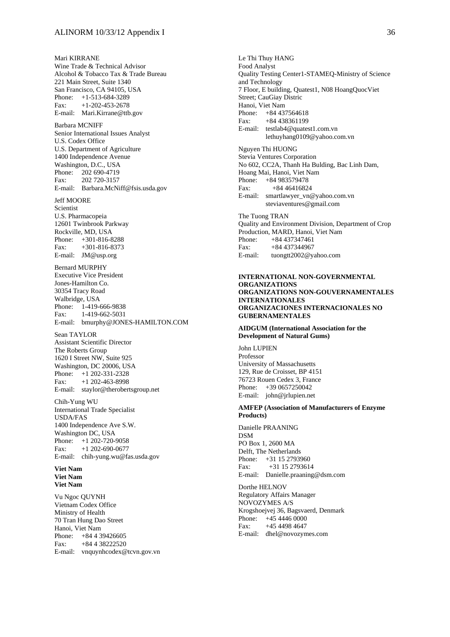Mari KIRRANE Wine Trade & Technical Advisor Alcohol & Tobacco Tax & Trade Bureau 221 Main Street, Suite 1340 San Francisco, CA 94105, USA Phone: +1-513-684-3289 Fax:  $+1-202-453-2678$ E-mail: Mari.Kirrane@ttb.gov Barbara MCNIFF Senior International Issues Analyst U.S. Codex Office U.S. Department of Agriculture 1400 Independence Avenue Washington, D.C., USA Phone: 202 690-4719 Fax: 202 720-3157 E-mail: Barbara.McNiff@fsis.usda.gov Jeff MOORE Scientist U.S. Pharmacopeia 12601 Twinbrook Parkway Rockville, MD, USA Phone: +301-816-8288 Fax: +301-816-8373 E-mail: JM@usp.org Bernard MURPHY Executive Vice President Jones-Hamilton Co. 30354 Tracy Road Walbridge, USA Phone: 1-419-666-9838 Fax: 1-419-662-5031 E-mail: bmurphy@JONES-HAMILTON.COM Sean TAYLOR Assistant Scientific Director The Roberts Group 1620 I Street NW, Suite 925 Washington, DC 20006, USA Phone: +1 202-331-2328 Fax: +1 202-463-8998 E-mail: staylor@therobertsgroup.net Chih-Yung WU International Trade Specialist USDA/FAS 1400 Independence Ave S.W. Washington DC, USA Phone:  $+1$  202-720-9058 Fax: +1 202-690-0677 E-mail: chih-yung.wu@fas.usda.gov **Viet Nam Viet Nam Viet Nam**  Vu Ngoc QUYNH Vietnam Codex Office Ministry of Health

70 Tran Hung Dao Street Hanoi, Viet Nam Phone: +84 4 39426605 Fax: +84 4 38222520 E-mail: vnquynhcodex@tcvn.gov.vn

Le Thi Thuy HANG Food Analyst Quality Testing Center1-STAMEQ-Ministry of Science and Technology 7 Floor, E building, Quatest1, N08 HoangQuocViet Street; CauGiay Distric Hanoi, Viet Nam Phone: +84 437564618 Fax: +84 438361199 E-mail: testlab4@quatest1.com.vn lethuyhang0109@yahoo.com.vn Nguyen Thi HUONG Stevia Ventures Corporation No 602, CC2A, Thanh Ha Bulding, Bac Linh Dam, Hoang Mai, Hanoi, Viet Nam Phone: +84 983579478 Fax: +84 46416824 E-mail: smartlawyer\_vn@yahoo.com.vn steviaventures@gmail.com The Tuong TRAN Quality and Environment Division, Department of Crop Production, MARD, Hanoi, Viet Nam Phone: +84 437347461 Fax: +84 437344967

#### **INTERNATIONAL NON-GOVERNMENTAL ORGANIZATIONS ORGANIZATIONS NON-GOUVERNAMENTALES INTERNATIONALES ORGANIZACIONES INTERNACIONALES NO GUBERNAMENTALES**

#### **AIDGUM (International Association for the Development of Natural Gums)**

E-mail: tuongtt2002@yahoo.com

John LUPIEN Professor University of Massachusetts 129, Rue de Croisset, BP 4151 76723 Rouen Cedex 3, France Phone: +39 0657250042 E-mail: john@jrlupien.net

#### **AMFEP (Association of Manufacturers of Enzyme Products)**

Danielle PRAANING DSM PO Box 1, 2600 MA Delft, The Netherlands Phone: +31 15 2793960 Fax: +31 15 2793614 E-mail: Danielle.praaning@dsm.com

Dorthe HELNOV Regulatory Affairs Manager NOVOZYMES A/S Krogshoejvej 36, Bagsvaerd, Denmark Phone: +45 4446 0000 Fax: +45 4498 4647 E-mail: dhel@novozymes.com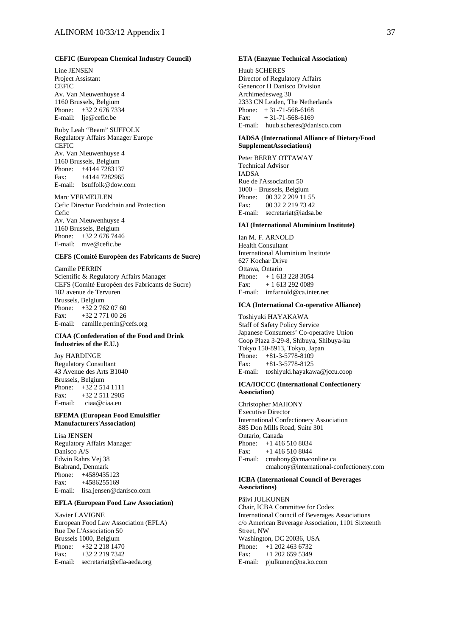#### **CEFIC (European Chemical Industry Council)**

Line JENSEN Project Assistant **CEFIC** Av. Van Nieuwenhuyse 4 1160 Brussels, Belgium Phone: +32 2 676 7334 E-mail: lje@cefic.be

#### Ruby Leah "Beam" SUFFOLK Regulatory Affairs Manager Europe CEFIC Av. Van Nieuwenhuyse 4 1160 Brussels, Belgium Phone: +4144 7283137 Fax: +4144 7282965

E-mail: bsuffolk@dow.com

Marc VERMEULEN Cefic Director Foodchain and Protection Cefic Av. Van Nieuwenhuyse 4 1160 Brussels, Belgium Phone: +32 2 676 7446 E-mail: mve@cefic.be

#### **CEFS (Comité Européen des Fabricants de Sucre)**

Camille PERRIN Scientific & Regulatory Affairs Manager CEFS (Comité Européen des Fabricants de Sucre) 182 avenue de Tervuren Brussels, Belgium Phone: +32 2 762 07 60 Fax: +32 2 771 00 26 E-mail: camille.perrin@cefs.org

#### **CIAA (Confederation of the Food and Drink Industries of the E.U.)**

Joy HARDINGE Regulatory Consultant 43 Avenue des Arts B1040

Brussels, Belgium Phone:  $+32.25141111$ Fax: +32 2 511 2905 E-mail: ciaa@ciaa.eu

#### **EFEMA (European Food Emulsifier Manufacturers'Association)**

Lisa JENSEN Regulatory Affairs Manager Danisco A/S Edwin Rahrs Vej 38 Brabrand, Denmark Phone: +4589435123 Fax: +4586255169 E-mail: lisa.jensen@danisco.com

#### **EFLA (European Food Law Association)**

Xavier LAVIGNE European Food Law Association (EFLA) Rue De L'Association 50 Brussels 1000, Belgium Phone: +32 2 218 1470 Fax: +32 2 219 7342 E-mail: secretariat@efla-aeda.org

#### **ETA (Enzyme Technical Association)**

Huub SCHERES Director of Regulatory Affairs Genencor H Danisco Division Archimedesweg 30 2333 CN Leiden, The Netherlands Phone:  $+31-71-568-6168$  $Fax: + 31-71-568-6169$ E-mail: huub.scheres@danisco.com

#### **IADSA (International Alliance of Dietary/Food SupplementAssociations)**

Peter BERRY OTTAWAY Technical Advisor IADSA Rue de l'Association 50 1000 – Brussels, Belgium Phone: 00 32 2 209 11 55  $F_{2X}$ : 00 32 2 219 73 42 E-mail: secretariat@iadsa.be

#### **IAI (International Aluminium Institute)**

Ian M. F. ARNOLD Health Consultant International Aluminium Institute 627 Kochar Drive Ottawa, Ontario Phone: + 1 613 228 3054 Fax: + 1 613 292 0089 E-mail: imfarnold@ca.inter.net

#### **ICA (International Co-operative Alliance)**

Toshiyuki HAYAKAWA Staff of Safety Policy Service Japanese Consumers' Co-operative Union Coop Plaza 3-29-8, Shibuya, Shibuya-ku Tokyo 150-8913, Tokyo, Japan Phone: +81-3-5778-8109 Fax: +81-3-5778-8125 E-mail: toshiyuki.hayakawa@jccu.coop

#### **ICA/IOCCC (International Confectionery Association)**

Christopher MAHONY Executive Director International Confectionery Association 885 Don Mills Road, Suite 301 Ontario, Canada Phone: +1 416 510 8034 Fax: +1 416 510 8044 E-mail: cmahony@cmaconline.ca cmahony@international-confectionery.com

#### **ICBA (International Council of Beverages Associations)**

Päivi JULKUNEN Chair, ICBA Committee for Codex International Council of Beverages Associations c/o American Beverage Association, 1101 Sixteenth Street, NW Washington, DC 20036, USA Phone:  $+1,202,463,6732$ Fax: +1 202 659 5349 E-mail: pjulkunen@na.ko.com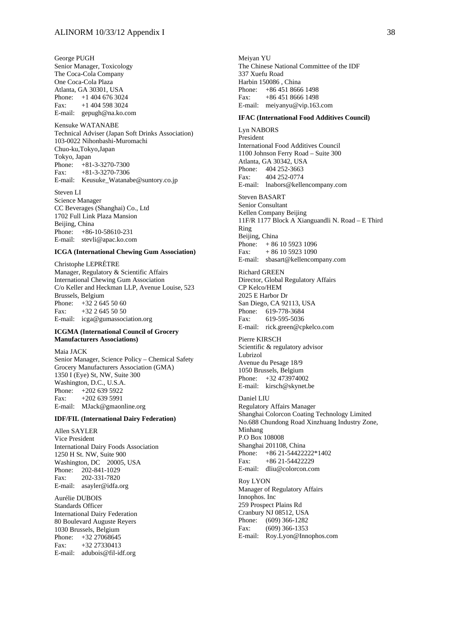George PUGH Senior Manager, Toxicology The Coca-Cola Company One Coca-Cola Plaza Atlanta, GA 30301, USA Phone: +1 404 676 3024 Fax: +1 404 598 3024 E-mail: gepugh@na.ko.com

Kensuke WATANABE Technical Adviser (Japan Soft Drinks Association) 103-0022 Nihonbashi-Muromachi Chuo-ku,Tokyo,Japan Tokyo, Japan Phone: +81-3-3270-7300 Fax: +81-3-3270-7306 E-mail: Keusuke\_Watanabe@suntory.co.jp

Steven LI Science Manager CC Beverages (Shanghai) Co., Ltd 1702 Full Link Plaza Mansion Beijing, China Phone: +86-10-58610-231 E-mail: stevli@apac.ko.com

#### **ICGA (International Chewing Gum Association)**

Christophe LEPRÉTRE Manager, Regulatory & Scientific Affairs International Chewing Gum Association C/o Keller and Heckman LLP, Avenue Louise, 523 Brussels, Belgium Phone: +32 2 645 50 60 Fax: +32 2 645 50 50 E-mail: icga@gumassociation.org

#### **ICGMA (International Council of Grocery Manufacturers Associations)**

Maia JACK Senior Manager, Science Policy – Chemical Safety Grocery Manufacturers Association (GMA) 1350 I (Eye) St, NW, Suite 300 Washington, D.C., U.S.A. Phone: +202 639 5922 Fax: +202 639 5991 E-mail: MJack@gmaonline.org

#### **IDF/FIL (International Dairy Federation)**

Allen SAYLER Vice President International Dairy Foods Association 1250 H St. NW, Suite 900 Washington, DC 20005, USA Phone: 202-841-1029 Fax: 202-331-7820 E-mail: asayler@idfa.org

Aurélie DUBOIS Standards Officer International Dairy Federation 80 Boulevard Auguste Reyers 1030 Brussels, Belgium Phone: +32 27068645 Fax: +32 27330413 E-mail: adubois@fil-idf.org

Meiyan YU The Chinese National Committee of the IDF 337 Xuefu Road Harbin 150086 , China Phone: +86 451 8666 1498 Fax:  $+86,451,8666,1498$ E-mail: meiyanyu@vip.163.com

#### **IFAC (International Food Additives Council)**

Lyn NABORS President International Food Additives Council 1100 Johnson Ferry Road – Suite 300 Atlanta, GA 30342, USA Phone: 404 252-3663 Fax: 404 252-0774 E-mail: lnabors@kellencompany.com

Steven BASART

Senior Consultant Kellen Company Beijing 11F/R 1177 Block A Xianguandli N. Road – E Third Ring Beijing, China Phone: +86 10 5923 1096 Fax: + 86 10 5923 1090 E-mail: sbasart@kellencompany.com

Richard GREEN Director, Global Regulatory Affairs CP Kelco/HEM 2025 E Harbor Dr San Diego, CA 92113, USA Phone: 619-778-3684<br>Fax: 619-595-5036 619-595-5036 E-mail: rick.green@cpkelco.com

Pierre KIRSCH Scientific & regulatory advisor Lubrizol Avenue du Pesage 18/9 1050 Brussels, Belgium Phone: +32 473974002 E-mail: kirsch@skynet.be

Daniel LIU Regulatory Affairs Manager Shanghai Colorcon Coating Technology Limited No.688 Chundong Road Xinzhuang Industry Zone, Minhang P.O Box 108008 Shanghai 201108, China Phone: +86 21-54422222\*1402 Fax:  $+86$  21-54422229 E-mail: dliu@colorcon.com

Roy LYON Manager of Regulatory Affairs Innophos. Inc 259 Prospect Plains Rd Cranbury NJ 08512, USA Phone: (609) 366-1282 Fax: (609) 366-1353 E-mail: Roy.Lyon@Innophos.com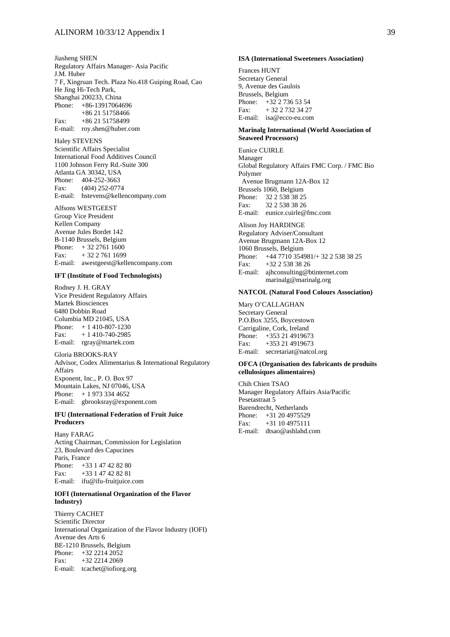Jiasheng SHEN Regulatory Affairs Manager- Asia Pacific J.M. Huber 7 F, Xingruan Tech. Plaza No.418 Guiping Road, Cao He Jing Hi-Tech Park, Shanghai 200233, China Phone: +86-13917064696 +86 21 51758466 Fax: +86 21 51758499 E-mail: roy.shen@huber.com

Haley STEVENS Scientific Affairs Specialist International Food Additives Council 1100 Johnson Ferry Rd.-Suite 300 Atlanta GA 30342, USA Phone: 404-252-3663 Fax: (404) 252-0774 E-mail: hstevens@kellencompany.com

Alfsons WESTGEEST Group Vice President Kellen Company Avenue Jules Bordet 142 B-1140 Brussels, Belgium Phone: + 32 2761 1600 Fax:  $+32\ 2\ 761\ 1699$ E-mail: awestgeest@kellencompany.com

#### **IFT (Institute of Food Technologists)**

Rodney J. H. GRAY Vice President Regulatory Affairs Martek Biosciences 6480 Dobbin Road Columbia MD 21045, USA Phone: + 1 410-807-1230 Fax:  $+ 1410-740-2985$ E-mail: rgray@martek.com

Gloria BROOKS-RAY Advisor, Codex Alimentarius & International Regulatory Affairs Exponent, Inc., P. O. Box 97 Mountain Lakes, NJ 07046, USA Phone: + 1 973 334 4652 E-mail: gbrooksray@exponent.com

#### **IFU (International Federation of Fruit Juice Producers**

Hany FARAG Acting Chairman, Commission for Legislation 23, Boulevard des Capucines Paris, France Phone: +33 1 47 42 82 80 Fax: +33 1 47 42 82 81 E-mail: ifu@ifu-fruitjuice.com

#### **IOFI (International Organization of the Flavor Industry)**

Thierry CACHET Scientific Director International Organization of the Flavor Industry (IOFI) Avenue des Arts 6 BE-1210 Brussels, Belgium Phone: +32 2214 2052 Fax: +32 2214 2069 E-mail: tcachet@iofiorg.org

#### **ISA (International Sweeteners Association)**

Frances HUNT Secretary General 9, Avenue des Gaulois Brussels, Belgium Phone: +32 2 736 53 54 Fax: + 32 2 732 34 27 E-mail: isa@ecco-eu.com

#### **Marinalg International (World Association of Seaweed Processors)**

Eunice CUIRLE Manager Global Regulatory Affairs FMC Corp. / FMC Bio Polymer Avenue Brugmann 12A-Box 12 Brussels 1060, Belgium Phone: 32 2 538 38 25 Fax: 32 2 538 38 26 E-mail: eunice.cuirle@fmc.com

Alison Joy HARDINGE

Regulatory Adviser/Consultant Avenue Brugmann 12A-Box 12 1060 Brussels, Belgium Phone: +44 7710 354981/+ 32 2 538 38 25 Fax: +32 2 538 38 26 E-mail: ajhconsulting@btinternet.com marinalg@marinalg.org

#### **NATCOL (Natural Food Colours Association)**

Mary O'CALLAGHAN Secretary General P.O.Box 3255, Boycestown Carrigaline, Cork, Ireland Phone: +353 21 4919673 Fax: +353 21 4919673 E-mail: secretariat@natcol.org

#### **OFCA (Organisation des fabricants de produits cellulosiques alimentaires)**

Chih Chien TSAO Manager Regulatory Affairs Asia/Pacific Pesetastraat 5 Barendrecht, Netherlands Phone: +31 20 4975529 Fax: +31 10 4975111 E-mail: dtsao@ashlahd.com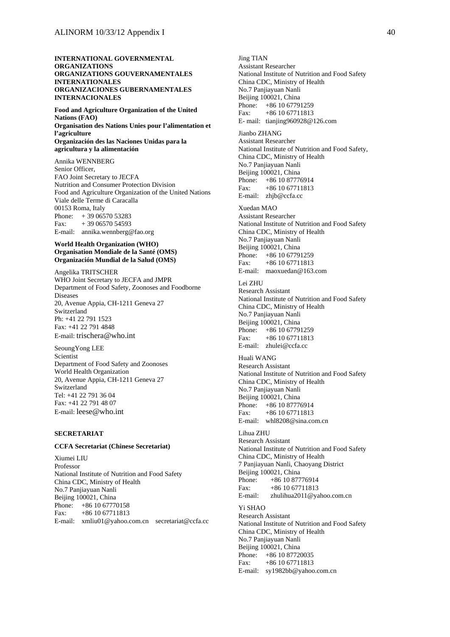#### **INTERNATIONAL GOVERNMENTAL ORGANIZATIONS ORGANIZATIONS GOUVERNAMENTALES INTERNATIONALES ORGANIZACIONES GUBERNAMENTALES INTERNACIONALES**

**Food and Agriculture Organization of the United Nations (FAO) Organisation des Nations Unies pour l'alimentation et l'agriculture Organización des las Naciones Unidas para la agricultura y la alimentación** 

Annika WENNBERG Senior Officer, FAO Joint Secretary to JECFA Nutrition and Consumer Protection Division Food and Agriculture Organization of the United Nations Viale delle Terme di Caracalla 00153 Roma, Italy Phone: + 39 06570 53283 Fax: + 39 06570 54593 E-mail: annika.wennberg@fao.org

#### **World Health Organization (WHO) Organisation Mondiale de la Santé (OMS) Organización Mundial de la Salud (OMS)**

Angelika TRITSCHER WHO Joint Secretary to JECFA and JMPR Department of Food Safety, Zoonoses and Foodborne Diseases 20, Avenue Appia, CH-1211 Geneva 27 Switzerland Ph: +41 22 791 1523 Fax: +41 22 791 4848 E-mail: trischera@who.int

SeoungYong LEE Scientist Department of Food Safety and Zoonoses World Health Organization 20, Avenue Appia, CH-1211 Geneva 27 Switzerland Tel: +41 22 791 36 04 Fax: +41 22 791 48 07 E-mail: leese@who.int

## **SECRETARIAT**

#### **CCFA Secretariat (Chinese Secretariat)**

Xiumei LIU Professor National Institute of Nutrition and Food Safety China CDC, Ministry of Health No.7 Panjiayuan Nanli Beijing 100021, China Phone: +86 10 67770158 Fax: +86 10 67711813 E-mail: xmliu01@yahoo.com.cn secretariat@ccfa.cc

Jing TIAN Assistant Researcher National Institute of Nutrition and Food Safety China CDC, Ministry of Health No.7 Panjiayuan Nanli Beijing 100021, China Phone: +86 10 67791259 Fax: +86 10 67711813 E- mail: tianjing960928@126.com Jianbo ZHANG Assistant Researcher National Institute of Nutrition and Food Safety, China CDC, Ministry of Health No.7 Panjiayuan Nanli Beijing 100021, China Phone: +86 10 87776914 Fax: +86 10 67711813 E-mail: zhjb@ccfa.cc Xuedan MAO Assistant Researcher National Institute of Nutrition and Food Safety China CDC, Ministry of Health No.7 Panjiayuan Nanli Beijing 100021, China Phone: +86 10 67791259 Fax: +86 10 67711813 E-mail: maoxuedan@163.com Lei ZHU Research Assistant National Institute of Nutrition and Food Safety China CDC, Ministry of Health No.7 Panjiayuan Nanli Beijing 100021, China Phone: +86 10 67791259 Fax: +86 10 67711813 E-mail: zhulei@ccfa.cc Huali WANG Research Assistant National Institute of Nutrition and Food Safety China CDC, Ministry of Health No.7 Panjiayuan Nanli Beijing 100021, China Phone: +86 10 87776914 Fax: +86 10 67711813 E-mail: whl8208@sina.com.cn Lihua ZHU Research Assistant National Institute of Nutrition and Food Safety China CDC, Ministry of Health 7 Panjiayuan Nanli, Chaoyang District Beijing 100021, China Phone: +86 10 87776914 Fax: +86 10 67711813 E-mail: zhulihua2011@yahoo.com.cn Yi SHAO Research Assistant National Institute of Nutrition and Food Safety China CDC, Ministry of Health

No.7 Panjiayuan Nanli Beijing 100021, China<br>Phone: +86 10 8772 +86 10 87720035 Fax: +86 10 67711813 E-mail: sy1982bb@yahoo.com.cn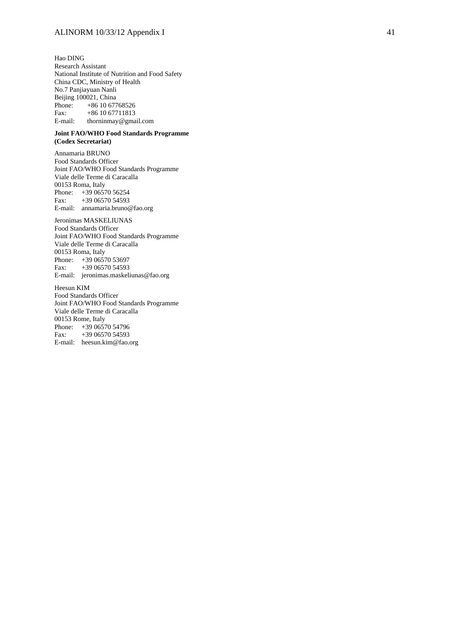Hao DING Research Assistant National Institute of Nutrition and Food Safety China CDC, Ministry of Health No.7 Panjiayuan Nanli Beijing 100021, China Phone: +86 10 67768526<br>Fax: +86 10 67711813  $+86$  10 67711813 E-mail: thorninmay@gmail.com

#### **Joint FAO/WHO Food Standards Programme (Codex Secretariat)**

Annamaria BRUNO Food Standards Officer Joint FAO/WHO Food Standards Programme Viale delle Terme di Caracalla 00153 Roma, Italy Phone: +39 06570 56254 Fax: +39 06570 54593 E-mail: annamaria.bruno@fao.org

Jeronimas MASKELIUNAS Food Standards Officer Joint FAO/WHO Food Standards Programme Viale delle Terme di Caracalla 00153 Roma, Italy Phone: +39 06570 53697 Fax: +39 06570 54593 E-mail: jeronimas.maskeliunas@fao.org

Heesun KIM Food Standards Officer Joint FAO/WHO Food Standards Programme Viale delle Terme di Caracalla 00153 Rome, Italy Phone: +39 06570 54796 Fax: +39 06570 54593 E-mail: heesun.kim@fao.org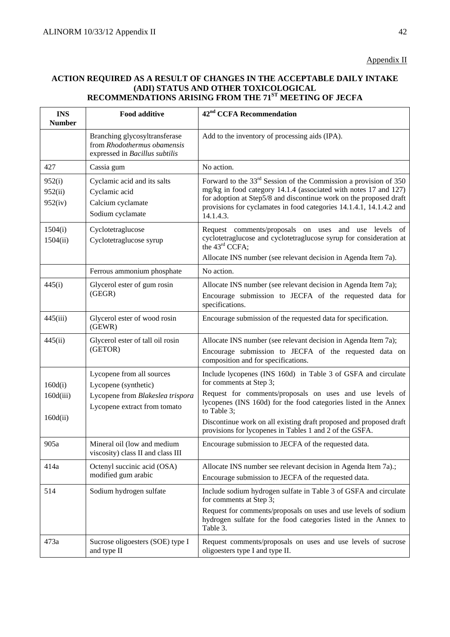# **ACTION REQUIRED AS A RESULT OF CHANGES IN THE ACCEPTABLE DAILY INTAKE (ADI) STATUS AND OTHER TOXICOLOGICAL RECOMMENDATIONS ARISING FROM THE 71ST MEETING OF JECFA**

| <b>INS</b><br><b>Number</b>  | <b>Food additive</b>                                                                           | 42 <sup>nd</sup> CCFA Recommendation                                                                                                                                                                                                                                                             |
|------------------------------|------------------------------------------------------------------------------------------------|--------------------------------------------------------------------------------------------------------------------------------------------------------------------------------------------------------------------------------------------------------------------------------------------------|
|                              | Branching glycosyltransferase<br>from Rhodothermus obamensis<br>expressed in Bacillus subtilis | Add to the inventory of processing aids (IPA).                                                                                                                                                                                                                                                   |
| 427                          | Cassia gum                                                                                     | No action.                                                                                                                                                                                                                                                                                       |
| 952(i)<br>952(ii)<br>952(iv) | Cyclamic acid and its salts<br>Cyclamic acid<br>Calcium cyclamate<br>Sodium cyclamate          | Forward to the $33rd$ Session of the Commission a provision of 350<br>mg/kg in food category 14.1.4 (associated with notes 17 and 127)<br>for adoption at Step5/8 and discontinue work on the proposed draft<br>provisions for cyclamates in food categories 14.1.4.1, 14.1.4.2 and<br>14.1.4.3. |
| 1504(i)<br>1504(ii)          | Cyclotetraglucose<br>Cyclotetraglucose syrup                                                   | Request comments/proposals on uses and use levels of<br>cyclotetraglucose and cyclotetraglucose syrup for consideration at<br>the 43rd CCFA;<br>Allocate INS number (see relevant decision in Agenda Item 7a).                                                                                   |
|                              | Ferrous ammonium phosphate                                                                     | No action.                                                                                                                                                                                                                                                                                       |
| 445(i)                       | Glycerol ester of gum rosin<br>(GEGR)                                                          | Allocate INS number (see relevant decision in Agenda Item 7a);<br>Encourage submission to JECFA of the requested data for<br>specifications.                                                                                                                                                     |
| 445(iii)                     | Glycerol ester of wood rosin<br>(GEWR)                                                         | Encourage submission of the requested data for specification.                                                                                                                                                                                                                                    |
| 445(ii)                      | Glycerol ester of tall oil rosin<br>(GETOR)                                                    | Allocate INS number (see relevant decision in Agenda Item 7a);<br>Encourage submission to JECFA of the requested data on<br>composition and for specifications.                                                                                                                                  |
| 160d(i)                      | Lycopene from all sources<br>Lycopene (synthetic)                                              | Include lycopenes (INS 160d) in Table 3 of GSFA and circulate<br>for comments at Step 3;                                                                                                                                                                                                         |
| 160d(iii)                    | Lycopene from Blakeslea trispora<br>Lycopene extract from tomato                               | Request for comments/proposals on uses and use levels of<br>lycopenes (INS 160d) for the food categories listed in the Annex<br>to Table 3;                                                                                                                                                      |
| 160d(ii)                     |                                                                                                | Discontinue work on all existing draft proposed and proposed draft<br>provisions for lycopenes in Tables 1 and 2 of the GSFA.                                                                                                                                                                    |
| 905a                         | Mineral oil (low and medium<br>viscosity) class II and class III                               | Encourage submission to JECFA of the requested data.                                                                                                                                                                                                                                             |
| 414a                         | Octenyl succinic acid (OSA)<br>modified gum arabic                                             | Allocate INS number see relevant decision in Agenda Item 7a).;<br>Encourage submission to JECFA of the requested data.                                                                                                                                                                           |
| 514                          | Sodium hydrogen sulfate                                                                        | Include sodium hydrogen sulfate in Table 3 of GSFA and circulate<br>for comments at Step 3;                                                                                                                                                                                                      |
|                              |                                                                                                | Request for comments/proposals on uses and use levels of sodium<br>hydrogen sulfate for the food categories listed in the Annex to<br>Table 3.                                                                                                                                                   |
| 473a                         | Sucrose oligoesters (SOE) type I<br>and type II                                                | Request comments/proposals on uses and use levels of sucrose<br>oligoesters type I and type II.                                                                                                                                                                                                  |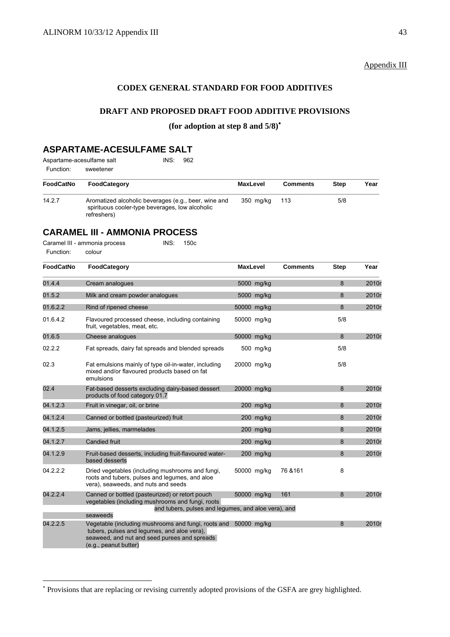# Appendix III

# **CODEX GENERAL STANDARD FOR FOOD ADDITIVES**

## **DRAFT AND PROPOSED DRAFT FOOD ADDITIVE PROVISIONS**

## **(for adoption at step 8 and 5/8)**<sup>∗</sup>

# **ASPARTAME-ACESULFAME SALT**

| Aspartame-acesulfame salt |           | INS: 962 |  |
|---------------------------|-----------|----------|--|
| Function:                 | sweetener |          |  |

| FoodCatNo | FoodCategory                                                                                                           | <b>MaxLevel</b> | <b>Comments</b> | <b>Step</b> | Year |
|-----------|------------------------------------------------------------------------------------------------------------------------|-----------------|-----------------|-------------|------|
| 14.2.7    | Aromatized alcoholic beverages (e.g., beer, wine and<br>spirituous cooler-type beverages, low alcoholic<br>refreshers) | 350 ma/ka       | -113            | 5/8         |      |

# **CARAMEL III - AMMONIA PROCESS**

 $\overline{a}$ 

| Caramel III - ammonia process |        | INS: 150c |  |
|-------------------------------|--------|-----------|--|
| Function:                     | colour |           |  |

| <b>FoodCatNo</b> | FoodCategory                                                                                                                                                                            | <b>MaxLevel</b> |             | <b>Comments</b> | <b>Step</b> | Year  |
|------------------|-----------------------------------------------------------------------------------------------------------------------------------------------------------------------------------------|-----------------|-------------|-----------------|-------------|-------|
| 01.4.4           | Cream analogues                                                                                                                                                                         | 5000 mg/kg      |             |                 | 8           | 2010r |
| 01.5.2           | Milk and cream powder analogues                                                                                                                                                         | 5000 mg/kg      |             |                 | 8           | 2010r |
| 01.6.2.2         | Rind of ripened cheese                                                                                                                                                                  | 50000 mg/kg     |             |                 | 8           | 2010r |
| 01.6.4.2         | Flavoured processed cheese, including containing<br>fruit, vegetables, meat, etc.                                                                                                       | 50000 mg/kg     |             |                 | 5/8         |       |
| 01.6.5           | Cheese analogues                                                                                                                                                                        | 50000 mg/kg     |             |                 | 8           | 2010r |
| 02.2.2           | Fat spreads, dairy fat spreads and blended spreads                                                                                                                                      |                 | 500 mg/kg   |                 | 5/8         |       |
| 02.3             | Fat emulsions mainly of type oil-in-water, including<br>mixed and/or flavoured products based on fat<br>emulsions                                                                       | 20000 mg/kg     |             |                 | 5/8         |       |
| 02.4             | Fat-based desserts excluding dairy-based dessert<br>products of food category 01.7                                                                                                      | 20000 mg/kg     |             |                 | 8           | 2010r |
| 04.1.2.3         | Fruit in vinegar, oil, or brine                                                                                                                                                         |                 | $200$ mg/kg |                 | 8           | 2010r |
| 04.1.2.4         | Canned or bottled (pasteurized) fruit                                                                                                                                                   |                 | 200 mg/kg   |                 | 8           | 2010r |
| 04.1.2.5         | Jams, jellies, marmelades                                                                                                                                                               |                 | 200 mg/kg   |                 | 8           | 2010r |
| 04.1.2.7         | <b>Candied fruit</b>                                                                                                                                                                    |                 | 200 mg/kg   |                 | 8           | 2010r |
| 04.1.2.9         | Fruit-based desserts, including fruit-flavoured water-<br>based desserts                                                                                                                |                 | 200 mg/kg   |                 | 8           | 2010r |
| 04.2.2.2         | Dried vegetables (including mushrooms and fungi,<br>roots and tubers, pulses and legumes, and aloe<br>vera), seaweeds, and nuts and seeds                                               | 50000 mg/kg     |             | 76 & 161        | 8           |       |
| 04.2.2.4         | Canned or bottled (pasteurized) or retort pouch<br>vegetables (including mushrooms and fungi, roots<br>and tubers, pulses and lequmes, and aloe vera), and                              | 50000 mg/kg     |             | 161             | 8           | 2010r |
|                  | seaweeds                                                                                                                                                                                |                 |             |                 |             |       |
| 04.2.2.5         | Vegetable (including mushrooms and fungi, roots and 50000 mg/kg<br>tubers, pulses and lequmes, and aloe vera).<br>seaweed, and nut and seed purees and spreads<br>(e.g., peanut butter) |                 |             |                 | 8           | 2010r |

<sup>∗</sup> Provisions that are replacing or revising currently adopted provisions of the GSFA are grey highlighted.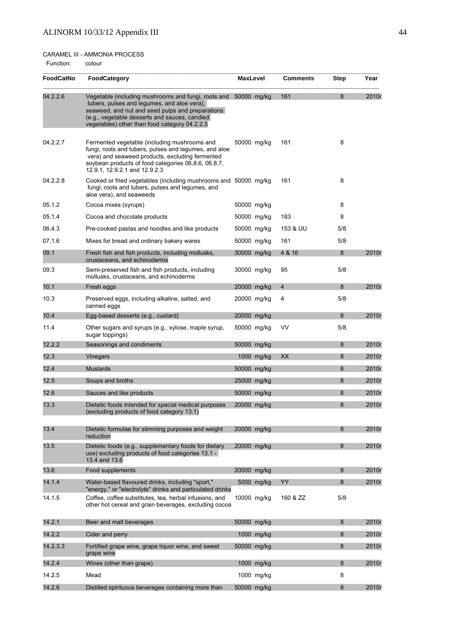# CARAMEL III - AMMONIA PROCESS

Function: colour

| <b>FoodCatNo</b> | FoodCategory                                                                                                                                                                                                                                                         | <b>MaxLevel</b> |             | <b>Comments</b> | Step | Year  |
|------------------|----------------------------------------------------------------------------------------------------------------------------------------------------------------------------------------------------------------------------------------------------------------------|-----------------|-------------|-----------------|------|-------|
| 04.2.2.6         | Vegetable (including mushrooms and fungi, roots and 50000 mg/kg<br>tubers, pulses and legumes, and aloe vera),<br>seaweed, and nut and seed pulps and preparations<br>(e.g., vegetable desserts and sauces, candied<br>vegetables) other than food category 04.2.2.5 |                 |             | 161             | 8    | 2010r |
| 04.2.2.7         | Fermented vegetable (including mushrooms and<br>fungi, roots and tubers, pulses and legumes, and aloe<br>vera) and seaweed products, excluding fermented<br>soybean products of food categories 06.8.6, 06.8.7,<br>12.9.1, 12.9.2.1 and 12.9.2.3                     |                 | 50000 mg/kg | 161             | 8    |       |
| 04.2.2.8         | Cooked or fried vegetables (including mushrooms and 50000 mg/kg<br>fungi, roots and tubers, pulses and legumes, and<br>aloe vera), and seaweeds                                                                                                                      |                 |             | 161             | 8    |       |
| 05.1.2           | Cocoa mixes (syrups)                                                                                                                                                                                                                                                 |                 | 50000 mg/kg |                 | 8    |       |
| 05.1.4           | Cocoa and chocolate products                                                                                                                                                                                                                                         |                 | 50000 mg/kg | 183             | 8    |       |
| 06.4.3           | Pre-cooked pastas and noodles and like products                                                                                                                                                                                                                      |                 | 50000 mg/kg | 153 & UU        | 5/8  |       |
| 07.1.6           | Mixes for bread and ordinary bakery wares                                                                                                                                                                                                                            |                 | 50000 mg/kg | 161             | 5/8  |       |
| 09.1             | Fresh fish and fish products, including mollusks,<br>crustaceans, and echinoderms                                                                                                                                                                                    |                 | 30000 mg/kg | 4 & 16          | 8    | 2010r |
| 09.3             | Semi-preserved fish and fish products, including<br>mollusks, crustaceans, and echinoderms                                                                                                                                                                           |                 | 30000 mg/kg | 95              | 5/8  |       |
| 10.1             | Fresh eggs                                                                                                                                                                                                                                                           |                 | 20000 mg/kg | $\overline{4}$  | 8    | 2010r |
| 10.3             | Preserved eggs, including alkaline, salted, and<br>canned eggs                                                                                                                                                                                                       |                 | 20000 mg/kg | 4               | 5/8  |       |
| 10.4             | Egg-based desserts (e.g., custard)                                                                                                                                                                                                                                   |                 | 20000 mg/kg |                 | 8    | 2010r |
| 11.4             | Other sugars and syrups (e.g., xylose, maple syrup,<br>sugar toppings)                                                                                                                                                                                               |                 | 50000 mg/kg | VV              | 5/8  |       |
| 12.2.2           | Seasonings and condiments                                                                                                                                                                                                                                            |                 | 50000 mg/kg |                 | 8    | 2010r |
| 12.3             | Vinegars                                                                                                                                                                                                                                                             |                 | 1000 mg/kg  | XX              | 8    | 2010r |
| 12.4             | <b>Mustards</b>                                                                                                                                                                                                                                                      |                 | 50000 mg/kg |                 | 8    | 2010r |
| 12.5             | Soups and broths                                                                                                                                                                                                                                                     |                 | 25000 mg/kg |                 | 8    | 2010r |
| 12.6             | Sauces and like products                                                                                                                                                                                                                                             |                 | 50000 mg/kg |                 | 8    | 2010r |
| 13.3             | Dietetic foods intended for special medical purposes<br>(excluding products of food category 13.1)                                                                                                                                                                   |                 | 20000 mg/kg |                 | 8    | 2010r |
| 13.4             | Dietetic formulae for slimming purposes and weight<br>reduction                                                                                                                                                                                                      |                 | 20000 mg/kg |                 | 8    | 2010r |
| 13.5             | Dietetic foods (e.g., supplementary foods for dietary<br>use) excluding products of food categories 13.1 -<br>13.4 and 13.6                                                                                                                                          |                 | 20000 mg/kg |                 | 8    | 2010r |
| 13.6             | Food supplements                                                                                                                                                                                                                                                     |                 | 20000 mg/kg |                 | 8    | 2010r |
| 14.1.4           | Water-based flavoured drinks, including "sport,"<br>"energy," or "electrolyte" drinks and particulated drinks                                                                                                                                                        |                 | 5000 mg/kg  | YY              | 8    | 2010r |
| 14.1.5           | Coffee, coffee substitutes, tea, herbal infusions, and<br>other hot cereal and grain beverages, excluding cocoa                                                                                                                                                      |                 | 10000 mg/kg | 160 & ZZ        | 5/8  |       |
| 14.2.1           | Beer and malt beverages                                                                                                                                                                                                                                              |                 | 50000 mg/kg |                 | 8    | 2010r |
| 14.2.2           | Cider and perry                                                                                                                                                                                                                                                      |                 | 1000 mg/kg  |                 | 8    | 2010r |
| 14.2.3.3         | Fortified grape wine, grape liquor wine, and sweet<br>grape wine                                                                                                                                                                                                     |                 | 50000 mg/kg |                 | 8    | 2010r |
| 14.2.4           | Wines (other than grape)                                                                                                                                                                                                                                             |                 | 1000 mg/kg  |                 | 8    | 2010r |
| 14.2.5           | Mead                                                                                                                                                                                                                                                                 |                 | 1000 mg/kg  |                 | 8    |       |
| 14.2.6           | Distilled spirituous beverages containing more than                                                                                                                                                                                                                  |                 | 50000 mg/kg |                 | 8    | 2010r |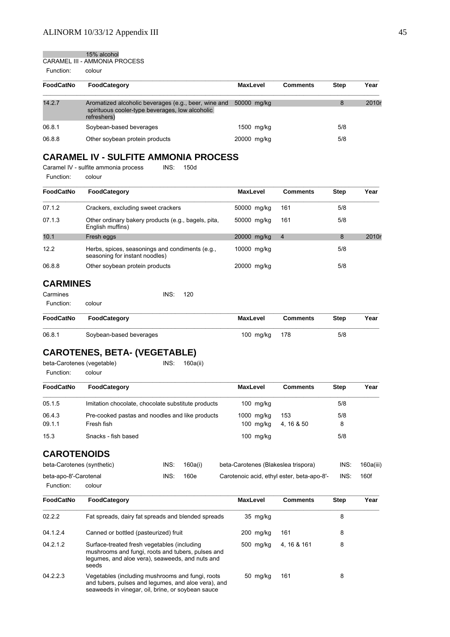15% alcohol

CARAMEL III - AMMONIA PROCESS Function: colour

| <b>FoodCatNo</b> | <b>FoodCategory</b>                                                                                                    | <b>MaxLevel</b> | <b>Comments</b> | <b>Step</b> | Year  |
|------------------|------------------------------------------------------------------------------------------------------------------------|-----------------|-----------------|-------------|-------|
| 14.2.7           | Aromatized alcoholic beverages (e.g., beer, wine and<br>spirituous cooler-type beverages, low alcoholic<br>refreshers) | 50000 mg/kg     |                 | 8           | 2010r |
| 06.8.1           | Soybean-based beverages                                                                                                | 1500 mg/kg      |                 | 5/8         |       |
| 06.8.8           | Other soybean protein products                                                                                         | 20000 mg/kg     |                 | 5/8         |       |

# **CARAMEL IV - SULFITE AMMONIA PROCESS**

Caramel IV - sulfite ammonia process INS: 150d Function: colour

| <b>FoodCatNo</b> | <b>FoodCategory</b>                                                               | <b>MaxLevel</b> | <b>Comments</b> | <b>Step</b> | Year  |
|------------------|-----------------------------------------------------------------------------------|-----------------|-----------------|-------------|-------|
| 07.1.2           | Crackers, excluding sweet crackers                                                | 50000 mg/kg     | 161             | 5/8         |       |
| 07.1.3           | Other ordinary bakery products (e.g., bagels, pita,<br>English muffins)           | 50000 mg/kg     | 161             | 5/8         |       |
| 10.1             | Fresh eggs                                                                        | 20000 mg/kg     | $\overline{4}$  | 8           | 2010r |
| 12.2             | Herbs, spices, seasonings and condiments (e.g.,<br>seasoning for instant noodles) | 10000 mg/kg     |                 | 5/8         |       |
| 06.8.8           | Other soybean protein products                                                    | 20000 mg/kg     |                 | 5/8         |       |

# **CARMINES**

| Carmines  |        | INS: 120 |  |
|-----------|--------|----------|--|
| Function: | colour |          |  |

| FoodCatNo | FoodCategory            | MaxLevel      | <b>Comments</b> | <b>Step</b> | Year |
|-----------|-------------------------|---------------|-----------------|-------------|------|
| 06.8.1    | Soybean-based beverages | 100 mg/kg 178 |                 | 5/8         |      |

# **CAROTENES, BETA- (VEGETABLE)**

| beta-Carotenes (vegetable) |        | INS: | 160a(ii) |
|----------------------------|--------|------|----------|
| Function:                  | colour |      |          |

| FoodCatNo | <b>FoodCategory</b>                                | <b>MaxLevel</b> | <b>Comments</b> | <b>Step</b> | Year |
|-----------|----------------------------------------------------|-----------------|-----------------|-------------|------|
| 05.1.5    | Imitation chocolate, chocolate substitute products | $100$ mg/kg     |                 | 5/8         |      |
| 06.4.3    | Pre-cooked pastas and noodles and like products    | 1000 mg/kg      | 153             | 5/8         |      |
| 09.1.1    | Fresh fish                                         | $100$ mg/kg     | 4.16 & 50       | 8           |      |
| 15.3      | Snacks - fish based                                | $100$ mg/kg     |                 | 5/8         |      |

# **CAROTENOIDS**

| beta-Carotenes (synthetic) | INS: | 160a(i) | beta-Carotenes (Blakeslea trispora)        | INS: | 160a(iii) |
|----------------------------|------|---------|--------------------------------------------|------|-----------|
| beta-apo-8'-Carotenal      | INS: | 160e    | Carotenoic acid, ethyl ester, beta-apo-8'- | INS: | 160f      |
| Function:<br>colour        |      |         |                                            |      |           |

| FoodCatNo | FoodCategory                                                                                                                                                 | <b>MaxLevel</b> | <b>Comments</b> | <b>Step</b> | Year |
|-----------|--------------------------------------------------------------------------------------------------------------------------------------------------------------|-----------------|-----------------|-------------|------|
| 02.2.2    | Fat spreads, dairy fat spreads and blended spreads                                                                                                           | 35 mg/kg        |                 | 8           |      |
| 04.1.2.4  | Canned or bottled (pasteurized) fruit                                                                                                                        | 200 mg/kg       | 161             | 8           |      |
| 04.2.1.2  | Surface-treated fresh vegetables (including<br>mushrooms and fungi, roots and tubers, pulses and<br>legumes, and aloe vera), seaweeds, and nuts and<br>seeds | 500 mg/kg       | 4.16 & 161      | 8           |      |
| 04.2.2.3  | Vegetables (including mushrooms and fungi, roots<br>and tubers, pulses and legumes, and aloe vera), and<br>seaweeds in vinegar, oil, brine, or soybean sauce | 50 mg/kg        | 161             | 8           |      |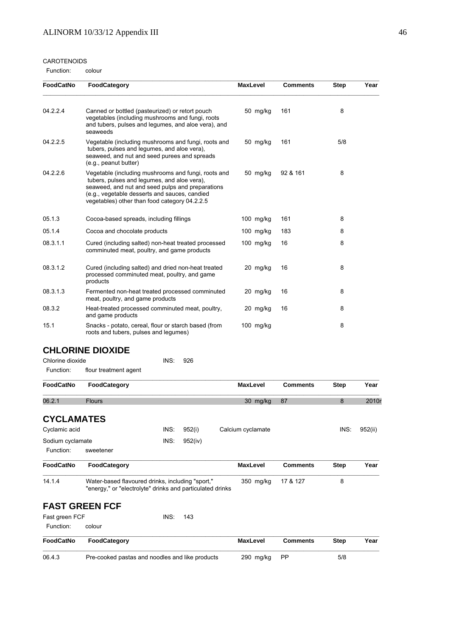#### CAROTENOIDS

Function: colour

| <b>FoodCatNo</b> | FoodCategory                                                                                                                                                                                                                                             | <b>MaxLevel</b> | <b>Comments</b> | <b>Step</b> | Year |
|------------------|----------------------------------------------------------------------------------------------------------------------------------------------------------------------------------------------------------------------------------------------------------|-----------------|-----------------|-------------|------|
| 04.2.2.4         | Canned or bottled (pasteurized) or retort pouch<br>vegetables (including mushrooms and fungi, roots<br>and tubers, pulses and legumes, and aloe vera), and<br>seaweeds                                                                                   | 50 mg/kg        | 161             | 8           |      |
| 04.2.2.5         | Vegetable (including mushrooms and fungi, roots and<br>tubers, pulses and legumes, and aloe vera),<br>seaweed, and nut and seed purees and spreads<br>(e.g., peanut butter)                                                                              | 50 mg/kg        | 161             | 5/8         |      |
| 04.2.2.6         | Vegetable (including mushrooms and fungi, roots and<br>tubers, pulses and legumes, and aloe vera),<br>seaweed, and nut and seed pulps and preparations<br>(e.g., vegetable desserts and sauces, candied<br>vegetables) other than food category 04.2.2.5 | 50 mg/kg        | 92 & 161        | 8           |      |
| 05.1.3           | Cocoa-based spreads, including fillings                                                                                                                                                                                                                  | 100 mg/kg       | 161             | 8           |      |
| 05.1.4           | Cocoa and chocolate products                                                                                                                                                                                                                             | $100$ mg/kg     | 183             | 8           |      |
| 08.3.1.1         | Cured (including salted) non-heat treated processed<br>comminuted meat, poultry, and game products                                                                                                                                                       | $100$ mg/kg     | 16              | 8           |      |
| 08.3.1.2         | Cured (including salted) and dried non-heat treated<br>processed comminuted meat, poultry, and game<br>products                                                                                                                                          | 20 mg/kg        | 16              | 8           |      |
| 08.3.1.3         | Fermented non-heat treated processed comminuted<br>meat, poultry, and game products                                                                                                                                                                      | 20 mg/kg        | 16              | 8           |      |
| 08.3.2           | Heat-treated processed comminuted meat, poultry,<br>and game products                                                                                                                                                                                    | 20 mg/kg        | 16              | 8           |      |
| 15.1             | Snacks - potato, cereal, flour or starch based (from<br>roots and tubers, pulses and legumes)                                                                                                                                                            | 100 mg/kg       |                 | 8           |      |
|                  | <b>CHLORINE DIOXIDE</b>                                                                                                                                                                                                                                  |                 |                 |             |      |
| Chlorine dioxide | INS:<br>926                                                                                                                                                                                                                                              |                 |                 |             |      |

# Function: flour treatment agent

| FoodCatNo         | FoodCategory                                                                                                  |      |         | <b>MaxLevel</b>   | <b>Comments</b> | <b>Step</b> | Year    |
|-------------------|---------------------------------------------------------------------------------------------------------------|------|---------|-------------------|-----------------|-------------|---------|
| 06.2.1            | <b>Flours</b>                                                                                                 |      |         | 30 mg/kg          | 87              | 8           | 2010    |
| <b>CYCLAMATES</b> |                                                                                                               |      |         |                   |                 |             |         |
| Cyclamic acid     |                                                                                                               | INS: | 952(i)  | Calcium cyclamate |                 | INS:        | 952(ii) |
| Sodium cyclamate  |                                                                                                               | INS: | 952(iv) |                   |                 |             |         |
| Function:         | sweetener                                                                                                     |      |         |                   |                 |             |         |
| <b>FoodCatNo</b>  | FoodCategory                                                                                                  |      |         | <b>MaxLevel</b>   | <b>Comments</b> | <b>Step</b> | Year    |
| 14.1.4            | Water-based flavoured drinks, including "sport,"<br>"energy," or "electrolyte" drinks and particulated drinks |      |         | 350 mg/kg         | 17 & 127        | 8           |         |
|                   | <b>FAST GREEN FCF</b>                                                                                         |      |         |                   |                 |             |         |
| Fast green FCF    |                                                                                                               | INS: | 143     |                   |                 |             |         |
| Function:         | colour                                                                                                        |      |         |                   |                 |             |         |
| FoodCatNo         | FoodCategory                                                                                                  |      |         | <b>MaxLevel</b>   | <b>Comments</b> | <b>Step</b> | Year    |
| 06.4.3            | Pre-cooked pastas and noodles and like products                                                               |      |         | 290 mg/kg         | <b>PP</b>       | 5/8         |         |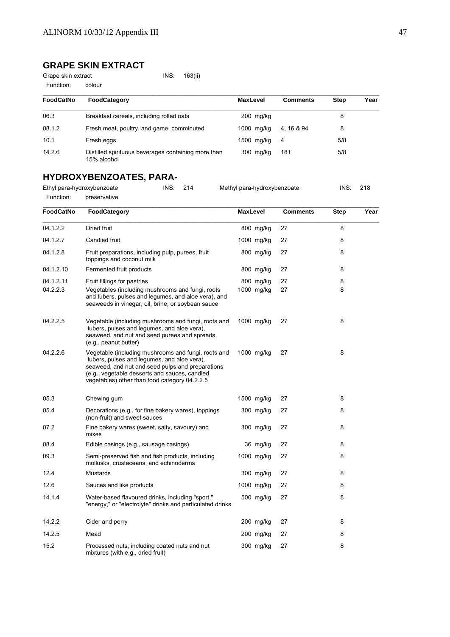# **GRAPE SKIN EXTRACT**

Function: colour

Grape skin extract INS: 163(ii)

| <b>FoodCatNo</b> | <b>FoodCategory</b>                                                | <b>MaxLevel</b> | <b>Comments</b> | <b>Step</b> | Year |
|------------------|--------------------------------------------------------------------|-----------------|-----------------|-------------|------|
| 06.3             | Breakfast cereals, including rolled oats                           | $200$ mg/kg     |                 | 8           |      |
| 08.1.2           | Fresh meat, poultry, and game, comminuted                          | 1000 mg/kg      | 4, 16 & 94      | 8           |      |
| 10.1             | Fresh eggs                                                         | 1500 mg/kg      | 4               | 5/8         |      |
| 14.2.6           | Distilled spirituous beverages containing more than<br>15% alcohol | 300 mg/kg       | 181             | 5/8         |      |

# **HYDROXYBENZOATES, PARA-**

| Ethyl para-hydroxybenzoate |              | INS: 214 | Methyl para-hydroxybenzoate | INS: | 218 |
|----------------------------|--------------|----------|-----------------------------|------|-----|
| Function:                  | preservative |          |                             |      |     |

| FoodCatNo | FoodCategory                                                                                                                                                                                                                                             | <b>MaxLevel</b> | <b>Comments</b> | Step | Year |
|-----------|----------------------------------------------------------------------------------------------------------------------------------------------------------------------------------------------------------------------------------------------------------|-----------------|-----------------|------|------|
| 04.1.2.2  | Dried fruit                                                                                                                                                                                                                                              | 800 mg/kg       | 27              | 8    |      |
| 04.1.2.7  | Candied fruit                                                                                                                                                                                                                                            | 1000 mg/kg      | 27              | 8    |      |
| 04.1.2.8  | Fruit preparations, including pulp, purees, fruit<br>toppings and coconut milk                                                                                                                                                                           | 800 mg/kg       | 27              | 8    |      |
| 04.1.2.10 | Fermented fruit products                                                                                                                                                                                                                                 | 800 mg/kg       | 27              | 8    |      |
| 04.1.2.11 | Fruit fillings for pastries                                                                                                                                                                                                                              | 800 mg/kg       | 27              | 8    |      |
| 04.2.2.3  | Vegetables (including mushrooms and fungi, roots<br>and tubers, pulses and legumes, and aloe vera), and<br>seaweeds in vinegar, oil, brine, or soybean sauce                                                                                             | 1000 mg/kg      | 27              | 8    |      |
| 04.2.2.5  | Vegetable (including mushrooms and fungi, roots and<br>tubers, pulses and legumes, and aloe vera),<br>seaweed, and nut and seed purees and spreads<br>(e.g., peanut butter)                                                                              | 1000 mg/kg      | 27              | 8    |      |
| 04.2.2.6  | Vegetable (including mushrooms and fungi, roots and<br>tubers, pulses and legumes, and aloe vera),<br>seaweed, and nut and seed pulps and preparations<br>(e.g., vegetable desserts and sauces, candied<br>vegetables) other than food category 04.2.2.5 | 1000 mg/kg      | 27              | 8    |      |
| 05.3      | Chewing gum                                                                                                                                                                                                                                              | 1500 mg/kg      | 27              | 8    |      |
| 05.4      | Decorations (e.g., for fine bakery wares), toppings<br>(non-fruit) and sweet sauces                                                                                                                                                                      | 300 mg/kg       | 27              | 8    |      |
| 07.2      | Fine bakery wares (sweet, salty, savoury) and<br>mixes                                                                                                                                                                                                   | 300 mg/kg       | 27              | 8    |      |
| 08.4      | Edible casings (e.g., sausage casings)                                                                                                                                                                                                                   | 36 mg/kg        | 27              | 8    |      |
| 09.3      | Semi-preserved fish and fish products, including<br>mollusks, crustaceans, and echinoderms                                                                                                                                                               | 1000 mg/kg      | 27              | 8    |      |
| 12.4      | <b>Mustards</b>                                                                                                                                                                                                                                          | 300 mg/kg       | 27              | 8    |      |
| 12.6      | Sauces and like products                                                                                                                                                                                                                                 | 1000 mg/kg      | 27              | 8    |      |
| 14.1.4    | Water-based flavoured drinks, including "sport,"<br>"energy," or "electrolyte" drinks and particulated drinks                                                                                                                                            | 500 mg/kg       | 27              | 8    |      |
| 14.2.2    | Cider and perry                                                                                                                                                                                                                                          | 200 mg/kg       | 27              | 8    |      |
| 14.2.5    | Mead                                                                                                                                                                                                                                                     | $200$ mg/kg     | 27              | 8    |      |
| 15.2      | Processed nuts, including coated nuts and nut<br>mixtures (with e.g., dried fruit)                                                                                                                                                                       | 300 mg/kg       | 27              | 8    |      |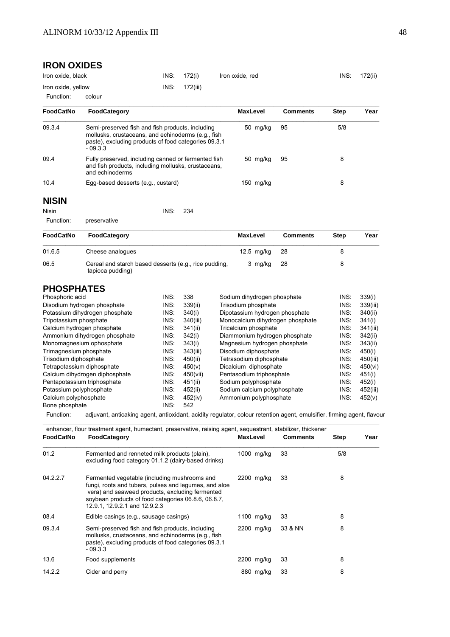# **IRON OXIDES**

| Iron oxide, black   | INS: 172(i)   | Iron oxide, red | INS: | 172(ii) |
|---------------------|---------------|-----------------|------|---------|
| Iron oxide, yellow  | INS: 172(iii) |                 |      |         |
| Function:<br>colour |               |                 |      |         |

**\_\_\_\_\_\_\_\_\_\_\_\_\_\_\_\_\_\_\_\_\_\_\_\_\_\_\_\_\_\_\_\_\_\_\_\_\_\_\_\_\_\_\_\_\_\_\_\_\_\_\_\_\_\_\_\_\_\_\_\_\_\_\_\_\_\_\_\_\_\_\_\_\_\_\_\_\_\_\_\_\_\_\_\_\_\_\_\_\_ FoodCatNo FoodCategory MaxLevel Comments Step Year \_\_\_\_\_\_\_\_\_\_\_\_\_\_\_\_\_\_\_\_\_\_\_\_\_\_\_\_\_\_\_\_\_\_\_\_\_\_\_\_\_\_\_\_\_\_\_\_\_\_\_\_\_\_\_\_\_\_\_\_\_\_\_\_\_\_\_\_\_\_\_\_\_\_\_\_\_\_\_\_\_\_\_\_\_\_\_\_\_**

09.3.4 Semi-preserved fish and fish products, including 50 mg/kg 95 5/8

09.4 Fully preserved, including canned or fermented fish 50 mg/kg 95 8 8

10.4 Egg-based desserts (e.g., custard) 150 mg/kg 8

mollusks, crustaceans, and echinoderms (e.g., fish paste), excluding products of food categories 09.3.1

and fish products, including mollusks, crustaceans,

# **NISIN**

Nisin INS: 234

Function: preservative

and echinoderms

 $-09.3.3$ 

| <b>FoodCatNo</b> | <b>FoodCategory</b>                                                       | MaxLevel   | <b>Comments</b> | <b>Step</b> | Year |
|------------------|---------------------------------------------------------------------------|------------|-----------------|-------------|------|
| 01.6.5           | Cheese analogues                                                          | 12.5 mg/kg | - 28            |             |      |
| 06.5             | Cereal and starch based desserts (e.g., rice pudding,<br>tapioca pudding) | 3 mg/kg    | -28             |             |      |

# **PHOSPHATES**

| Phosphoric acid                | INS: | 338      | Sodium dihydrogen phosphate      | INS: | 339(i)   |
|--------------------------------|------|----------|----------------------------------|------|----------|
| Disodium hydrogen phosphate    | INS: | 339(ii)  | Trisodium phosphate              | INS: | 339(iii) |
| Potassium dihydrogen phosphate | INS: | 340(i)   | Dipotassium hydrogen phosphate   | INS: | 340(ii)  |
| Tripotassium phosphate         | INS: | 340(iii) | Monocalcium dihydrogen phosphate | INS: | 341(i)   |
| Calcium hydrogen phosphate     | INS: | 341(ii)  | Tricalcium phosphate             | INS: | 341(iii) |
| Ammonium dihydrogen phosphate  | INS: | 342(i)   | Diammonium hydrogen phosphate    | INS: | 342(ii)  |
| Monomagnesium ophosphate       | INS: | 343(i)   | Magnesium hydrogen phosphate     | INS: | 343(ii)  |
| Trimagnesium phosphate         | INS: | 343(iii) | Disodium diphosphate             | INS: | 450(i)   |
| Trisodium diphosphate          | INS: | 450(ii)  | Tetrasodium diphosphate          | INS: | 450(iii) |
| Tetrapotassium diphosphate     | INS: | 450(v)   | Dicalcium diphosphate            | INS: | 450(vi)  |
| Calcium dihydrogen diphosphate | INS: | 450(vii) | Pentasodium triphosphate         | INS: | 451(i)   |
| Pentapotassium triphosphate    | INS: | 451(ii)  | Sodium polyphosphate             | INS: | 452(i)   |
| Potassium polyphosphate        | INS: | 452(ii)  | Sodium calcium polyphosphate     | INS: | 452(iii) |
| Calcium polyphosphate          | INS: | 452(iv)  | Ammonium polyphosphate           | INS: | 452(v)   |
| Bone phosphate                 | INS: | 542      |                                  |      |          |

Function: adjuvant, anticaking agent, antioxidant, acidity regulator, colour retention agent, emulsifier, firming agent, flavour

|           | enhancer, flour treatment agent, humectant, preservative, raising agent, sequestrant, stabilizer, thickener                                                                                                                                      |                 |                 |             |      |
|-----------|--------------------------------------------------------------------------------------------------------------------------------------------------------------------------------------------------------------------------------------------------|-----------------|-----------------|-------------|------|
| FoodCatNo | FoodCategory                                                                                                                                                                                                                                     | <b>MaxLevel</b> | <b>Comments</b> | <b>Step</b> | Year |
| 01.2      | Fermented and renneted milk products (plain),<br>excluding food category 01.1.2 (dairy-based drinks)                                                                                                                                             | 1000 mg/kg      | 33              | 5/8         |      |
| 04.2.2.7  | Fermented vegetable (including mushrooms and<br>fungi, roots and tubers, pulses and legumes, and aloe<br>vera) and seaweed products, excluding fermented<br>soybean products of food categories 06.8.6, 06.8.7,<br>12.9.1, 12.9.2.1 and 12.9.2.3 | 2200 mg/kg      | 33              | 8           |      |
| 08.4      | Edible casings (e.g., sausage casings)                                                                                                                                                                                                           | 1100 $mg/kg$    | 33              | 8           |      |
| 09.3.4    | Semi-preserved fish and fish products, including<br>mollusks, crustaceans, and echinoderms (e.g., fish<br>paste), excluding products of food categories 09.3.1<br>$-09.3.3$                                                                      | 2200 mg/kg      | 33 & NN         | 8           |      |
| 13.6      | Food supplements                                                                                                                                                                                                                                 | 2200 mg/kg      | 33              | 8           |      |
| 14.2.2    | Cider and perry                                                                                                                                                                                                                                  | 880 mg/kg       | 33              | 8           |      |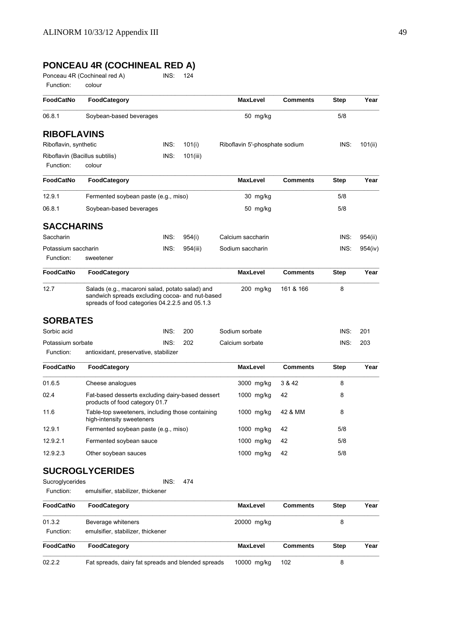# **PONCEAU 4R (COCHINEAL RED A)**

Ponceau 4R (Cochineal red A) INS: 124

Function: colour

| <b>FoodCatNo</b>               | FoodCategory                                                                                                                                         |      |          | <b>MaxLevel</b>                | <b>Comments</b> | Step        | Year    |
|--------------------------------|------------------------------------------------------------------------------------------------------------------------------------------------------|------|----------|--------------------------------|-----------------|-------------|---------|
| 06.8.1                         | Soybean-based beverages                                                                                                                              |      |          | 50 mg/kg                       |                 | 5/8         |         |
| <b>RIBOFLAVINS</b>             |                                                                                                                                                      |      |          |                                |                 |             |         |
| Riboflavin, synthetic          |                                                                                                                                                      | INS: | 101(i)   | Riboflavin 5'-phosphate sodium |                 | INS:        | 101(ii) |
| Riboflavin (Bacillus subtilis) |                                                                                                                                                      | INS: | 101(iii) |                                |                 |             |         |
| Function:                      | colour                                                                                                                                               |      |          |                                |                 |             |         |
| <b>FoodCatNo</b>               | <b>FoodCategory</b>                                                                                                                                  |      |          | <b>MaxLevel</b>                | <b>Comments</b> | Step        | Year    |
| 12.9.1                         | Fermented soybean paste (e.g., miso)                                                                                                                 |      |          | 30 mg/kg                       |                 | 5/8         |         |
| 06.8.1                         | Soybean-based beverages                                                                                                                              |      |          | 50 mg/kg                       |                 | 5/8         |         |
| <b>SACCHARINS</b>              |                                                                                                                                                      |      |          |                                |                 |             |         |
| Saccharin                      |                                                                                                                                                      | INS: | 954(i)   | Calcium saccharin              |                 | INS:        | 954(ii) |
| Potassium saccharin            |                                                                                                                                                      | INS: | 954(iii) | Sodium saccharin               |                 | INS:        | 954(iv) |
| Function:                      | sweetener                                                                                                                                            |      |          |                                |                 |             |         |
| <b>FoodCatNo</b>               | FoodCategory                                                                                                                                         |      |          | <b>MaxLevel</b>                | <b>Comments</b> | <b>Step</b> | Year    |
| 12.7                           | Salads (e.g., macaroni salad, potato salad) and<br>sandwich spreads excluding cocoa- and nut-based<br>spreads of food categories 04.2.2.5 and 05.1.3 |      |          | 200 mg/kg                      | 161 & 166       | 8           |         |
| <b>SORBATES</b>                |                                                                                                                                                      |      |          |                                |                 |             |         |
| Sorbic acid                    |                                                                                                                                                      | INS: | 200      | Sodium sorbate                 |                 | INS:        | 201     |
| Potassium sorbate              |                                                                                                                                                      | INS: | 202      | Calcium sorbate                |                 | INS:        | 203     |
| Function:                      | antioxidant, preservative, stabilizer                                                                                                                |      |          |                                |                 |             |         |
| <b>FoodCatNo</b>               | <b>FoodCategory</b>                                                                                                                                  |      |          | <b>MaxLevel</b>                | <b>Comments</b> | Step        | Year    |
| 01.6.5                         | Cheese analogues                                                                                                                                     |      |          | 3000 mg/kg                     | 3 & 42          | 8           |         |
| 02.4                           | Fat-based desserts excluding dairy-based dessert<br>products of food category 01.7                                                                   |      |          | 1000 mg/kg                     | 42              | 8           |         |
| 11.6                           | Table-top sweeteners, including those containing<br>high-intensity sweeteners                                                                        |      |          | $1000$ mg/kg                   | 42 & MM         | 8           |         |
| 12.9.1                         | Fermented soybean paste (e.g., miso)                                                                                                                 |      |          | 1000 mg/kg                     | 42              | 5/8         |         |
| 12.9.2.1                       | Fermented soybean sauce                                                                                                                              |      |          | 1000 mg/kg                     | 42              | 5/8         |         |
| 12.9.2.3                       | Other soybean sauces                                                                                                                                 |      |          | 1000 mg/kg                     | 42              | 5/8         |         |
|                                | <b>SUCROGLYCERIDES</b>                                                                                                                               |      |          |                                |                 |             |         |
| Sucroglycerides                |                                                                                                                                                      | INS: | 474      |                                |                 |             |         |
| Function:                      | emulsifier, stabilizer, thickener                                                                                                                    |      |          |                                |                 |             |         |
| FoodCatNo                      | FoodCategory                                                                                                                                         |      |          | <b>MaxLevel</b>                | <b>Comments</b> | <b>Step</b> | Year    |
| 01.3.2                         | Beverage whiteners                                                                                                                                   |      |          | 20000 mg/kg                    |                 | 8           |         |
| Function:                      | emulsifier, stabilizer, thickener                                                                                                                    |      |          |                                |                 |             |         |
| <b>FoodCatNo</b>               | FoodCategory                                                                                                                                         |      |          | <b>MaxLevel</b>                | <b>Comments</b> | Step        | Year    |
| 02.2.2                         | Fat spreads, dairy fat spreads and blended spreads                                                                                                   |      |          | 10000 mg/kg                    | 102             | 8           |         |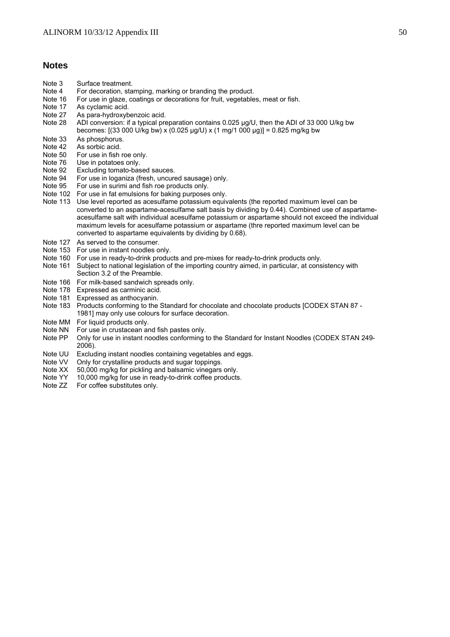## **Notes**

- Note 3 Surface treatment.
- Note 4 For decoration, stamping, marking or branding the product.
- Note 16 For use in glaze, coatings or decorations for fruit, vegetables, meat or fish.<br>Note 17 As cvclamic acid.
- As cyclamic acid.
- Note 27 As para-hydroxybenzoic acid.
- Note 28 ADI conversion: if a typical preparation contains 0.025 μg/U, then the ADI of 33 000 U/kg bw becomes:  $[(33\,000\,U/kg\,bw)\times(0.025\,µq/U)\times(1\,mg/1\,000\,µq)] = 0.825\,mg/kg\,bw$
- Note 33 As phosphorus.
- Note 42 As sorbic acid.
- Note 50 For use in fish roe only.
- Note 76 Use in potatoes only.<br>Note 92 Excluding tomato-bas
- Excluding tomato-based sauces.
- Note 94 For use in loganiza (fresh, uncured sausage) only.
- Note 95 For use in surimi and fish roe products only.
- Note 102 For use in fat emulsions for baking purposes only.
- Note 113 Use level reported as acesulfame potassium equivalents (the reported maximum level can be converted to an aspartame-acesulfame salt basis by dividing by 0.44). Combined use of aspartameacesulfame salt with individual acesulfame potassium or aspartame should not exceed the individual maximum levels for acesulfame potassium or aspartame (thre reported maximum level can be converted to aspartame equivalents by dividing by 0.68).
- Note 127 As served to the consumer.
- Note 153 For use in instant noodles only.
- Note 160 For use in ready-to-drink products and pre-mixes for ready-to-drink products only.
- Note 161 Subject to national legislation of the importing country aimed, in particular, at consistency with Section 3.2 of the Preamble.
- Note 166 For milk-based sandwich spreads only.
- Note 178 Expressed as carminic acid.
- Note 181 Expressed as anthocyanin.
- Note 183 Products conforming to the Standard for chocolate and chocolate products [CODEX STAN 87 1981] may only use colours for surface decoration.
- Note MM For liquid products only.<br>Note NN For use in crustacean a
- Note NN For use in crustacean and fish pastes only.<br>Note PP Only for use in instant noodles conforming to
- Only for use in instant noodles conforming to the Standard for Instant Noodles (CODEX STAN 249-2006).
- Note UU Excluding instant noodles containing vegetables and eggs.<br>Note VV Only for crystalline products and sugar toppings
- Note VV Only for crystalline products and sugar toppings.<br>Note XX 50,000 mg/kg for pickling and balsamic vinegars
- 50,000 mg/kg for pickling and balsamic vinegars only.
- Note YY 10,000 mg/kg for use in ready-to-drink coffee products.
- Note ZZ For coffee substitutes only.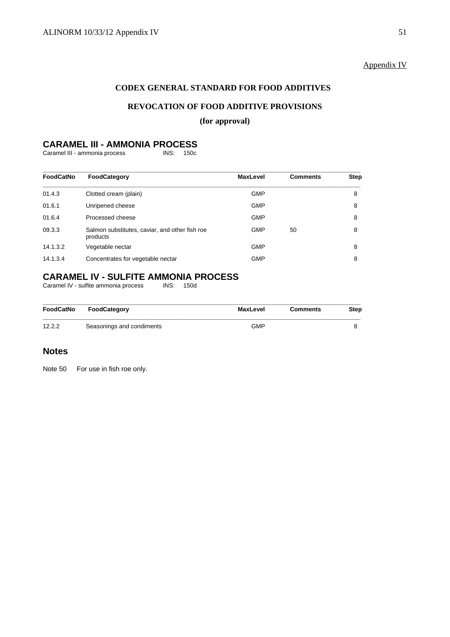# Appendix IV

# **CODEX GENERAL STANDARD FOR FOOD ADDITIVES**

# **REVOCATION OF FOOD ADDITIVE PROVISIONS**

## **(for approval)**

# **CARAMEL III - AMMONIA PROCESS**<br>Caramel III - ammonia process<br>INS: 150c

Caramel III - ammonia process

| <b>FoodCatNo</b> | FoodCategory                                               | <b>MaxLevel</b> | <b>Comments</b> | <b>Step</b> |
|------------------|------------------------------------------------------------|-----------------|-----------------|-------------|
| 01.4.3           | Clotted cream (plain)                                      | <b>GMP</b>      |                 | 8           |
| 01.6.1           | Unripened cheese                                           | <b>GMP</b>      |                 | 8           |
| 01.6.4           | Processed cheese                                           | <b>GMP</b>      |                 | 8           |
| 09.3.3           | Salmon substitutes, caviar, and other fish roe<br>products | <b>GMP</b>      | 50              | 8           |
| 14.1.3.2         | Vegetable nectar                                           | <b>GMP</b>      |                 | 8           |
| 14.1.3.4         | Concentrates for vegetable nectar                          | <b>GMP</b>      |                 | 8           |

# **CARAMEL IV - SULFITE AMMONIA PROCESS**<br>Caramel IV - sulfite ammonia process **INS:** 150d

Caramel IV - sulfite ammonia process

| FoodCatNo | FoodCategory              | MaxLevel   | <b>Comments</b> | <b>Step</b> |
|-----------|---------------------------|------------|-----------------|-------------|
| 12.2.2    | Seasonings and condiments | <b>GMP</b> |                 |             |

## **Notes**

Note 50 For use in fish roe only.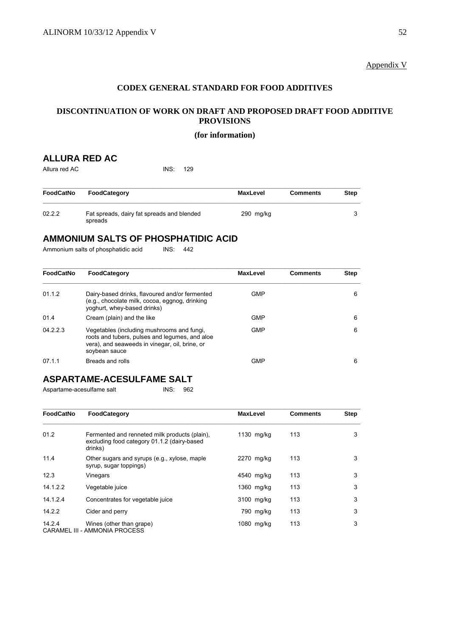# Appendix V

# **CODEX GENERAL STANDARD FOR FOOD ADDITIVES**

# **DISCONTINUATION OF WORK ON DRAFT AND PROPOSED DRAFT FOOD ADDITIVE PROVISIONS**

### **(for information)**

# **ALLURA RED AC**

Allura red AC **INS:** 129

| FoodCatNo | <b>FoodCategory</b>                                   | <b>MaxLevel</b> | <b>Comments</b> | <b>Step</b> |
|-----------|-------------------------------------------------------|-----------------|-----------------|-------------|
| 02.2.2    | Fat spreads, dairy fat spreads and blended<br>spreads | $290$ mg/kg     |                 |             |

# **AMMONIUM SALTS OF PHOSPHATIDIC ACID**

Ammonium salts of phosphatidic acid INS: 442

| FoodCatNo | FoodCategory                                                                                                                                                    | <b>MaxLevel</b> | <b>Comments</b> | Step |
|-----------|-----------------------------------------------------------------------------------------------------------------------------------------------------------------|-----------------|-----------------|------|
| 01.1.2    | Dairy-based drinks, flavoured and/or fermented<br>(e.g., chocolate milk, cocoa, eggnog, drinking<br>yoghurt, whey-based drinks)                                 | <b>GMP</b>      |                 | 6    |
| 01.4      | Cream (plain) and the like                                                                                                                                      | <b>GMP</b>      |                 | 6    |
| 04.2.2.3  | Vegetables (including mushrooms and fungi,<br>roots and tubers, pulses and legumes, and aloe<br>vera), and seaweeds in vinegar, oil, brine, or<br>soybean sauce | <b>GMP</b>      |                 | 6    |
| 07.1.1    | Breads and rolls                                                                                                                                                | <b>GMP</b>      |                 | 6    |

# **ASPARTAME-ACESULFAME SALT**

Aspartame-acesulfame salt INS: 962

| FoodCatNo | FoodCategory                                                                                            | <b>MaxLevel</b> | <b>Comments</b> | <b>Step</b> |
|-----------|---------------------------------------------------------------------------------------------------------|-----------------|-----------------|-------------|
| 01.2      | Fermented and renneted milk products (plain).<br>excluding food category 01.1.2 (dairy-based<br>drinks) | 1130 mg/kg      | 113             | 3           |
| 11.4      | Other sugars and syrups (e.g., xylose, maple<br>syrup, sugar toppings)                                  | 2270 mg/kg      | 113             | 3           |
| 12.3      | Vinegars                                                                                                | 4540 mg/kg      | 113             | 3           |
| 14.1.2.2  | Vegetable juice                                                                                         | 1360 mg/kg      | 113             | 3           |
| 14.1.2.4  | Concentrates for vegetable juice                                                                        | 3100 mg/kg      | 113             | 3           |
| 14.2.2    | Cider and perry                                                                                         | 790 mg/kg       | 113             | 3           |
| 14.2.4    | Wines (other than grape)<br>CARAMEL III - AMMONIA PROCESS                                               | 1080 mg/kg      | 113             | 3           |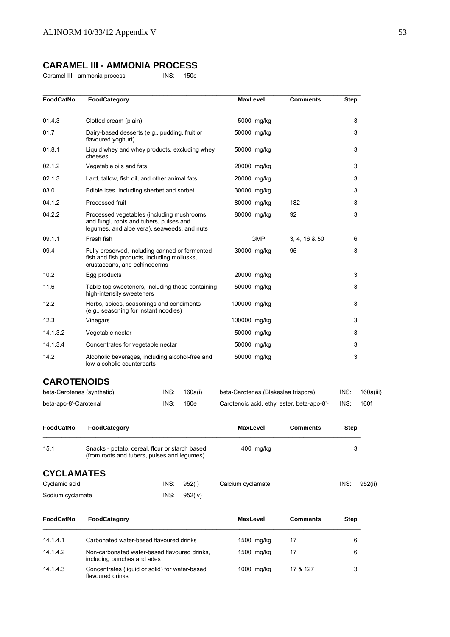# **CARAMEL III - AMMONIA PROCESS**

Caramel III - ammonia process INS: 150c

| <b>FoodCatNo</b> | FoodCategory                                                                                                                        | <b>MaxLevel</b> | <b>Comments</b> | <b>Step</b> |
|------------------|-------------------------------------------------------------------------------------------------------------------------------------|-----------------|-----------------|-------------|
| 01.4.3           | Clotted cream (plain)                                                                                                               | 5000 mg/kg      |                 | 3           |
| 01.7             | Dairy-based desserts (e.g., pudding, fruit or<br>flavoured yoghurt)                                                                 | 50000 mg/kg     |                 | 3           |
| 01.8.1           | Liquid whey and whey products, excluding whey<br>cheeses                                                                            | 50000 mg/kg     |                 | 3           |
| 02.1.2           | Vegetable oils and fats                                                                                                             | 20000 mg/kg     |                 | 3           |
| 02.1.3           | Lard, tallow, fish oil, and other animal fats                                                                                       | 20000 mg/kg     |                 | 3           |
| 03.0             | Edible ices, including sherbet and sorbet                                                                                           | 30000 mg/kg     |                 | 3           |
| 04.1.2           | Processed fruit                                                                                                                     | 80000 mg/kg     | 182             | 3           |
| 04.2.2           | Processed vegetables (including mushrooms<br>and fungi, roots and tubers, pulses and<br>legumes, and aloe vera), seaweeds, and nuts | 80000 mg/kg     | 92              | 3           |
| 09.1.1           | Fresh fish                                                                                                                          | <b>GMP</b>      | 3, 4, 16 & 50   | 6           |
| 09.4             | Fully preserved, including canned or fermented<br>fish and fish products, including mollusks,<br>crustaceans, and echinoderms       | 30000 mg/kg     | 95              | 3           |
| 10.2             | Egg products                                                                                                                        | 20000 mg/kg     |                 | 3           |
| 11.6             | Table-top sweeteners, including those containing<br>high-intensity sweeteners                                                       | 50000 mg/kg     |                 | 3           |
| 12.2             | Herbs, spices, seasonings and condiments<br>(e.g., seasoning for instant noodles)                                                   | 100000 mg/kg    |                 | 3           |
| 12.3             | Vinegars                                                                                                                            | 100000 mg/kg    |                 | 3           |
| 14.1.3.2         | Vegetable nectar                                                                                                                    | 50000 mg/kg     |                 | 3           |
| 14.1.3.4         | Concentrates for vegetable nectar                                                                                                   | 50000 mg/kg     |                 | 3           |
| 14.2             | Alcoholic beverages, including alcohol-free and<br>low-alcoholic counterparts                                                       | 50000 mg/kg     |                 | 3           |

# **CAROTENOIDS**

flavoured drinks

| beta-Carotenes (synthetic) | INS: | 160a(i) | beta-Carotenes (Blakeslea trispora)        | INS: | 160a(iii) |
|----------------------------|------|---------|--------------------------------------------|------|-----------|
| beta-apo-8'-Carotenal      | INS: | 160e    | Carotenoic acid, ethyl ester, beta-apo-8'- | INS: | 160f      |

| <b>FoodCatNo</b>  | FoodCategory                                                                                  |         | <b>MaxLevel</b>   | <b>Comments</b> | <b>Step</b>     |
|-------------------|-----------------------------------------------------------------------------------------------|---------|-------------------|-----------------|-----------------|
| 15.1              | Snacks - potato, cereal, flour or starch based<br>(from roots and tubers, pulses and legumes) |         | $400$ mg/kg       |                 | 3               |
| <b>CYCLAMATES</b> |                                                                                               |         |                   |                 |                 |
| Cyclamic acid     | INS:                                                                                          | 952(i)  | Calcium cyclamate |                 | INS:<br>952(ii) |
| Sodium cyclamate  | INS:                                                                                          | 952(iv) |                   |                 |                 |
| FoodCatNo         | FoodCategory                                                                                  |         | <b>MaxLevel</b>   | <b>Comments</b> | <b>Step</b>     |
| 14.1.4.1          | Carbonated water-based flavoured drinks                                                       |         | 1500 mg/kg        | 17              | 6               |
| 14.1.4.2          | Non-carbonated water-based flavoured drinks,<br>including punches and ades                    |         | 1500 mg/kg        | 17              | 6               |

14.1.4.3 Concentrates (liquid or solid) for water-based 1000 mg/kg 17 & 127 3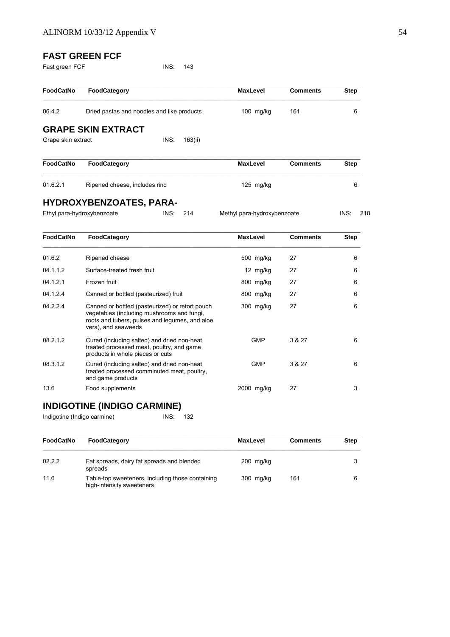# **FAST GREEN FCF**

| Fast green FCF |  |
|----------------|--|
|----------------|--|

 $INS: 143$ 

| <b>FoodCatNo</b>   | FoodCategory                                                                                                                                                           | <b>MaxLevel</b>             | <b>Comments</b> | Step        |
|--------------------|------------------------------------------------------------------------------------------------------------------------------------------------------------------------|-----------------------------|-----------------|-------------|
| 06.4.2             | Dried pastas and noodles and like products                                                                                                                             | 100 mg/kg                   | 161             | 6           |
|                    | <b>GRAPE SKIN EXTRACT</b>                                                                                                                                              |                             |                 |             |
| Grape skin extract | INS:<br>163(ii)                                                                                                                                                        |                             |                 |             |
| <b>FoodCatNo</b>   | FoodCategory                                                                                                                                                           | <b>MaxLevel</b>             | <b>Comments</b> | <b>Step</b> |
| 01.6.2.1           | Ripened cheese, includes rind                                                                                                                                          | $125$ mg/kg                 |                 | 6           |
|                    | <b>HYDROXYBENZOATES, PARA-</b><br>Ethyl para-hydroxybenzoate<br>INS:<br>214                                                                                            | Methyl para-hydroxybenzoate |                 | INS:<br>218 |
| <b>FoodCatNo</b>   | FoodCategory                                                                                                                                                           | <b>MaxLevel</b>             | <b>Comments</b> | <b>Step</b> |
| 01.6.2             | Ripened cheese                                                                                                                                                         | 500 mg/kg                   | 27              | 6           |
| 04.1.1.2           | Surface-treated fresh fruit                                                                                                                                            | 12 mg/kg                    | 27              | 6           |
| 04.1.2.1           | Frozen fruit                                                                                                                                                           | 800 mg/kg                   | 27              | 6           |
| 04.1.2.4           | Canned or bottled (pasteurized) fruit                                                                                                                                  | 800 mg/kg                   | 27              | 6           |
| 04.2.2.4           | Canned or bottled (pasteurized) or retort pouch<br>vegetables (including mushrooms and fungi,<br>roots and tubers, pulses and legumes, and aloe<br>vera), and seaweeds | 300 mg/kg                   | 27              | 6           |
| 08.2.1.2           | Cured (including salted) and dried non-heat<br>treated processed meat, poultry, and game<br>products in whole pieces or cuts                                           | <b>GMP</b>                  | 3 & 27          | 6           |
| 08.3.1.2           | Cured (including salted) and dried non-heat<br>treated processed comminuted meat, poultry,<br>and game products                                                        | <b>GMP</b>                  | 3 & 27          | 6           |
| 13.6               | Food supplements                                                                                                                                                       | 2000 mg/kg                  | 27              | 3           |

# **INDIGOTINE (INDIGO CARMINE)**

Indigotine (Indigo carmine) INS: 132

| <b>FoodCatNo</b> | <b>FoodCategory</b>                                                           | <b>MaxLevel</b> | <b>Comments</b> | Step |
|------------------|-------------------------------------------------------------------------------|-----------------|-----------------|------|
| 02.2.2           | Fat spreads, dairy fat spreads and blended<br>spreads                         | $200$ mg/kg     |                 |      |
| 11.6             | Table-top sweeteners, including those containing<br>high-intensity sweeteners | 300 mg/kg       | 161             | 6    |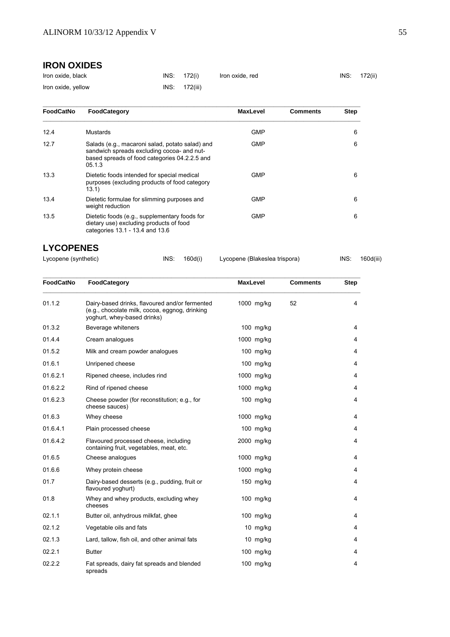# **IRON OXIDES**

| Iron oxide, black  | INS: 172(i)   | Iron oxide, red | INS: 172(ii) |
|--------------------|---------------|-----------------|--------------|
| Iron oxide, yellow | INS: 172(iii) |                 |              |

| <b>FoodCatNo</b> | FoodCategory                                                                                                                                             | <b>MaxLevel</b> | <b>Comments</b> | <b>Step</b> |
|------------------|----------------------------------------------------------------------------------------------------------------------------------------------------------|-----------------|-----------------|-------------|
| 12.4             | Mustards                                                                                                                                                 | <b>GMP</b>      |                 | 6           |
| 12.7             | Salads (e.g., macaroni salad, potato salad) and<br>sandwich spreads excluding cocoa- and nut-<br>based spreads of food categories 04.2.2.5 and<br>05.1.3 | <b>GMP</b>      |                 | 6           |
| 13.3             | Dietetic foods intended for special medical<br>purposes (excluding products of food category<br>13.1)                                                    | <b>GMP</b>      |                 | 6           |
| 13.4             | Dietetic formulae for slimming purposes and<br>weight reduction                                                                                          | <b>GMP</b>      |                 | 6           |
| 13.5             | Dietetic foods (e.g., supplementary foods for<br>dietary use) excluding products of food<br>categories 13.1 - 13.4 and 13.6                              | <b>GMP</b>      |                 | 6           |

# **LYCOPENES**

| Lycopene (synthetic) | INS: | 160d(i) |  |
|----------------------|------|---------|--|
|----------------------|------|---------|--|

Lycopene (Blakeslea trispora) INS: 160d(iii)

| <b>FoodCatNo</b> | FoodCategory                                                                                                                    | <b>MaxLevel</b> |             | <b>Comments</b> | <b>Step</b> |
|------------------|---------------------------------------------------------------------------------------------------------------------------------|-----------------|-------------|-----------------|-------------|
| 01.1.2           | Dairy-based drinks, flavoured and/or fermented<br>(e.g., chocolate milk, cocoa, eggnog, drinking<br>yoghurt, whey-based drinks) |                 | 1000 mg/kg  | 52              | 4           |
| 01.3.2           | Beverage whiteners                                                                                                              |                 | $100$ mg/kg |                 | 4           |
| 01.4.4           | Cream analogues                                                                                                                 |                 | 1000 mg/kg  |                 | 4           |
| 01.5.2           | Milk and cream powder analogues                                                                                                 |                 | 100 mg/kg   |                 | 4           |
| 01.6.1           | Unripened cheese                                                                                                                |                 | 100 mg/kg   |                 | 4           |
| 01.6.2.1         | Ripened cheese, includes rind                                                                                                   |                 | 1000 mg/kg  |                 | 4           |
| 01.6.2.2         | Rind of ripened cheese                                                                                                          |                 | 1000 mg/kg  |                 | 4           |
| 01.6.2.3         | Cheese powder (for reconstitution; e.g., for<br>cheese sauces)                                                                  |                 | 100 mg/kg   |                 | 4           |
| 01.6.3           | Whey cheese                                                                                                                     |                 | 1000 mg/kg  |                 | 4           |
| 01.6.4.1         | Plain processed cheese                                                                                                          |                 | 100 mg/kg   |                 | 4           |
| 01.6.4.2         | Flavoured processed cheese, including<br>containing fruit, vegetables, meat, etc.                                               |                 | 2000 mg/kg  |                 | 4           |
| 01.6.5           | Cheese analogues                                                                                                                |                 | 1000 mg/kg  |                 | 4           |
| 01.6.6           | Whey protein cheese                                                                                                             |                 | 1000 mg/kg  |                 | 4           |
| 01.7             | Dairy-based desserts (e.g., pudding, fruit or<br>flavoured yoghurt)                                                             |                 | 150 mg/kg   |                 | 4           |
| 01.8             | Whey and whey products, excluding whey<br>cheeses                                                                               |                 | $100$ mg/kg |                 | 4           |
| 02.1.1           | Butter oil, anhydrous milkfat, ghee                                                                                             |                 | 100 mg/kg   |                 | 4           |
| 02.1.2           | Vegetable oils and fats                                                                                                         |                 | 10 mg/kg    |                 | 4           |
| 02.1.3           | Lard, tallow, fish oil, and other animal fats                                                                                   |                 | 10 mg/kg    |                 | 4           |
| 02.2.1           | <b>Butter</b>                                                                                                                   |                 | $100$ mg/kg |                 | 4           |
| 02.2.2           | Fat spreads, dairy fat spreads and blended<br>spreads                                                                           |                 | 100 mg/kg   |                 | 4           |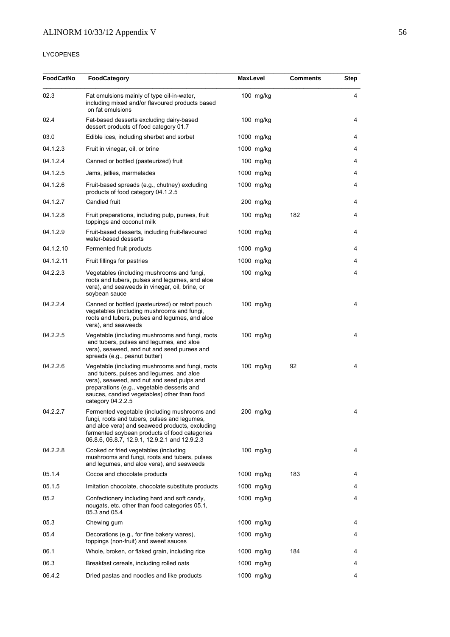# LYCOPENES

| FoodCatNo | FoodCategory                                                                                                                                                                                                                                                | <b>MaxLevel</b> | <b>Comments</b> | Step |
|-----------|-------------------------------------------------------------------------------------------------------------------------------------------------------------------------------------------------------------------------------------------------------------|-----------------|-----------------|------|
| 02.3      | Fat emulsions mainly of type oil-in-water,<br>including mixed and/or flavoured products based<br>on fat emulsions                                                                                                                                           | 100 mg/kg       |                 | 4    |
| 02.4      | Fat-based desserts excluding dairy-based<br>dessert products of food category 01.7                                                                                                                                                                          | $100$ mg/kg     |                 | 4    |
| 03.0      | Edible ices, including sherbet and sorbet                                                                                                                                                                                                                   | 1000 mg/kg      |                 | 4    |
| 04.1.2.3  | Fruit in vinegar, oil, or brine                                                                                                                                                                                                                             | 1000 mg/kg      |                 | 4    |
| 04.1.2.4  | Canned or bottled (pasteurized) fruit                                                                                                                                                                                                                       | $100$ mg/kg     |                 | 4    |
| 04.1.2.5  | Jams, jellies, marmelades                                                                                                                                                                                                                                   | 1000 mg/kg      |                 | 4    |
| 04.1.2.6  | Fruit-based spreads (e.g., chutney) excluding<br>products of food category 04.1.2.5                                                                                                                                                                         | 1000 mg/kg      |                 | 4    |
| 04.1.2.7  | Candied fruit                                                                                                                                                                                                                                               | 200 mg/kg       |                 | 4    |
| 04.1.2.8  | Fruit preparations, including pulp, purees, fruit<br>toppings and coconut milk                                                                                                                                                                              | $100$ mg/kg     | 182             | 4    |
| 04.1.2.9  | Fruit-based desserts, including fruit-flavoured<br>water-based desserts                                                                                                                                                                                     | 1000 mg/kg      |                 | 4    |
| 04.1.2.10 | Fermented fruit products                                                                                                                                                                                                                                    | 1000 mg/kg      |                 | 4    |
| 04.1.2.11 | Fruit fillings for pastries                                                                                                                                                                                                                                 | $1000$ mg/kg    |                 | 4    |
| 04.2.2.3  | Vegetables (including mushrooms and fungi,<br>roots and tubers, pulses and legumes, and aloe<br>vera), and seaweeds in vinegar, oil, brine, or<br>soybean sauce                                                                                             | $100$ mg/kg     |                 | 4    |
| 04.2.2.4  | Canned or bottled (pasteurized) or retort pouch<br>vegetables (including mushrooms and fungi,<br>roots and tubers, pulses and legumes, and aloe<br>vera), and seaweeds                                                                                      | $100$ mg/kg     |                 | 4    |
| 04.2.2.5  | Vegetable (including mushrooms and fungi, roots<br>and tubers, pulses and legumes, and aloe<br>vera), seaweed, and nut and seed purees and<br>spreads (e.g., peanut butter)                                                                                 | $100$ mg/kg     |                 | 4    |
| 04.2.2.6  | Vegetable (including mushrooms and fungi, roots<br>and tubers, pulses and legumes, and aloe<br>vera), seaweed, and nut and seed pulps and<br>preparations (e.g., vegetable desserts and<br>sauces, candied vegetables) other than food<br>category 04.2.2.5 | $100$ mg/kg     | 92              | 4    |
| 04.2.2.7  | Fermented vegetable (including mushrooms and<br>fungi, roots and tubers, pulses and legumes,<br>and aloe vera) and seaweed products, excluding<br>fermented soybean products of food categories<br>06.8.6, 06.8.7, 12.9.1, 12.9.2.1 and 12.9.2.3            | 200 mg/kg       |                 | 4    |
| 04.2.2.8  | Cooked or fried vegetables (including<br>mushrooms and fungi, roots and tubers, pulses<br>and legumes, and aloe vera), and seaweeds                                                                                                                         | $100$ mg/kg     |                 | 4    |
| 05.1.4    | Cocoa and chocolate products                                                                                                                                                                                                                                | 1000 mg/kg      | 183             | 4    |
| 05.1.5    | Imitation chocolate, chocolate substitute products                                                                                                                                                                                                          | 1000 mg/kg      |                 | 4    |
| 05.2      | Confectionery including hard and soft candy,<br>nougats, etc. other than food categories 05.1,<br>05.3 and 05.4                                                                                                                                             | 1000 mg/kg      |                 | 4    |
| 05.3      | Chewing gum                                                                                                                                                                                                                                                 | 1000 mg/kg      |                 | 4    |
| 05.4      | Decorations (e.g., for fine bakery wares),<br>toppings (non-fruit) and sweet sauces                                                                                                                                                                         | 1000 mg/kg      |                 | 4    |
| 06.1      | Whole, broken, or flaked grain, including rice                                                                                                                                                                                                              | $1000$ mg/kg    | 184             | 4    |
| 06.3      | Breakfast cereals, including rolled oats                                                                                                                                                                                                                    | 1000 mg/kg      |                 | 4    |
| 06.4.2    | Dried pastas and noodles and like products                                                                                                                                                                                                                  | 1000 mg/kg      |                 | 4    |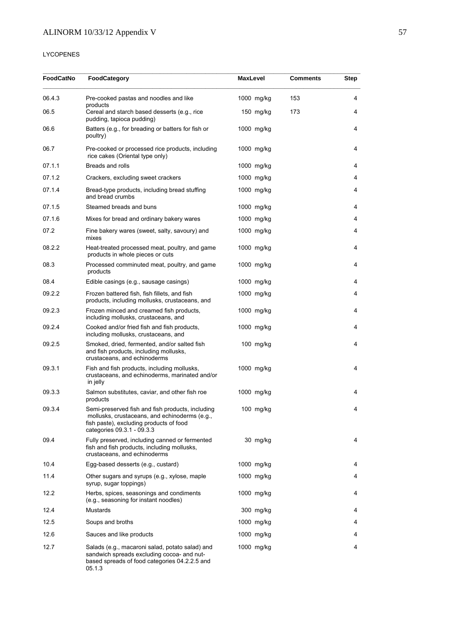# LYCOPENES

| <b>FoodCatNo</b> | <b>FoodCategory</b>                                                                                                                                                        |  | <b>MaxLevel</b> | <b>Comments</b> | Step |
|------------------|----------------------------------------------------------------------------------------------------------------------------------------------------------------------------|--|-----------------|-----------------|------|
| 06.4.3           | Pre-cooked pastas and noodles and like<br>products                                                                                                                         |  | 1000 mg/kg      | 153             | 4    |
| 06.5             | Cereal and starch based desserts (e.g., rice<br>pudding, tapioca pudding)                                                                                                  |  | $150$ mg/kg     | 173             | 4    |
| 06.6             | Batters (e.g., for breading or batters for fish or<br>poultry)                                                                                                             |  | 1000 mg/kg      |                 | 4    |
| 06.7             | Pre-cooked or processed rice products, including<br>rice cakes (Oriental type only)                                                                                        |  | 1000 mg/kg      |                 | 4    |
| 07.1.1           | Breads and rolls                                                                                                                                                           |  | 1000 mg/kg      |                 | 4    |
| 07.1.2           | Crackers, excluding sweet crackers                                                                                                                                         |  | 1000 mg/kg      |                 | 4    |
| 07.1.4           | Bread-type products, including bread stuffing<br>and bread crumbs                                                                                                          |  | 1000 mg/kg      |                 | 4    |
| 07.1.5           | Steamed breads and buns                                                                                                                                                    |  | 1000 mg/kg      |                 | 4    |
| 07.1.6           | Mixes for bread and ordinary bakery wares                                                                                                                                  |  | 1000 mg/kg      |                 | 4    |
| 07.2             | Fine bakery wares (sweet, salty, savoury) and<br>mixes                                                                                                                     |  | 1000 mg/kg      |                 | 4    |
| 08.2.2           | Heat-treated processed meat, poultry, and game<br>products in whole pieces or cuts                                                                                         |  | 1000 mg/kg      |                 | 4    |
| 08.3             | Processed comminuted meat, poultry, and game<br>products                                                                                                                   |  | 1000 mg/kg      |                 | 4    |
| 08.4             | Edible casings (e.g., sausage casings)                                                                                                                                     |  | 1000 mg/kg      |                 | 4    |
| 09.2.2           | Frozen battered fish, fish fillets, and fish<br>products, including mollusks, crustaceans, and                                                                             |  | 1000 mg/kg      |                 | 4    |
| 09.2.3           | Frozen minced and creamed fish products,<br>including mollusks, crustaceans, and                                                                                           |  | 1000 mg/kg      |                 | 4    |
| 09.2.4           | Cooked and/or fried fish and fish products,<br>including mollusks, crustaceans, and                                                                                        |  | 1000 mg/kg      |                 | 4    |
| 09.2.5           | Smoked, dried, fermented, and/or salted fish<br>and fish products, including mollusks,<br>crustaceans, and echinoderms                                                     |  | 100 mg/kg       |                 | 4    |
| 09.3.1           | Fish and fish products, including mollusks,<br>crustaceans, and echinoderms, marinated and/or<br>in jelly                                                                  |  | 1000 mg/kg      |                 | 4    |
| 09.3.3           | Salmon substitutes, caviar, and other fish roe<br>products                                                                                                                 |  | 1000 mg/kg      |                 | 4    |
| 09.3.4           | Semi-preserved fish and fish products, including<br>mollusks, crustaceans, and echinoderms (e.g.,<br>fish paste), excluding products of food<br>categories 09.3.1 - 09.3.3 |  | 100 mg/kg       |                 | 4    |
| 09.4             | Fully preserved, including canned or fermented<br>fish and fish products, including mollusks,<br>crustaceans, and echinoderms                                              |  | 30 mg/kg        |                 | 4    |
| 10.4             | Egg-based desserts (e.g., custard)                                                                                                                                         |  | 1000 mg/kg      |                 | 4    |
| 11.4             | Other sugars and syrups (e.g., xylose, maple<br>syrup, sugar toppings)                                                                                                     |  | 1000 mg/kg      |                 | 4    |
| 12.2             | Herbs, spices, seasonings and condiments<br>(e.g., seasoning for instant noodles)                                                                                          |  | 1000 mg/kg      |                 | 4    |
| 12.4             | Mustards                                                                                                                                                                   |  | 300 mg/kg       |                 | 4    |
| 12.5             | Soups and broths                                                                                                                                                           |  | 1000 mg/kg      |                 | 4    |
| 12.6             | Sauces and like products                                                                                                                                                   |  | 1000 mg/kg      |                 | 4    |
| 12.7             | Salads (e.g., macaroni salad, potato salad) and<br>sandwich spreads excluding cocoa- and nut-<br>based spreads of food categories 04.2.2.5 and<br>05.1.3                   |  | 1000 mg/kg      |                 | 4    |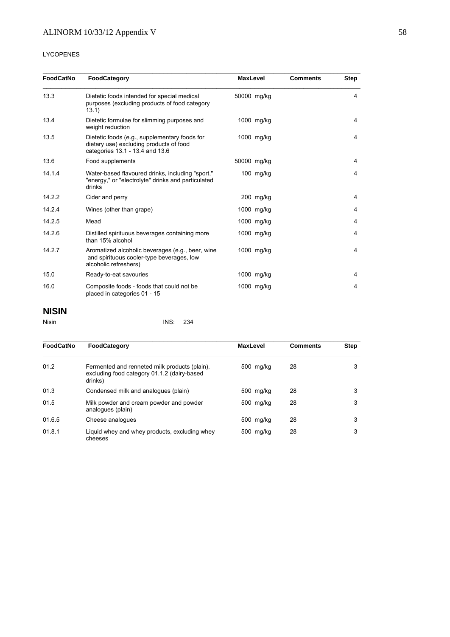## LYCOPENES

| <b>FoodCatNo</b> | FoodCategory                                                                                                                | <b>MaxLevel</b> |            | <b>Comments</b> | <b>Step</b>    |
|------------------|-----------------------------------------------------------------------------------------------------------------------------|-----------------|------------|-----------------|----------------|
| 13.3             | Dietetic foods intended for special medical<br>purposes (excluding products of food category<br>13.1)                       | 50000 mg/kg     |            |                 | 4              |
| 13.4             | Dietetic formulae for slimming purposes and<br>weight reduction                                                             |                 | 1000 mg/kg |                 | 4              |
| 13.5             | Dietetic foods (e.g., supplementary foods for<br>dietary use) excluding products of food<br>categories 13.1 - 13.4 and 13.6 |                 | 1000 mg/kg |                 | 4              |
| 13.6             | Food supplements                                                                                                            | 50000 mg/kg     |            |                 | 4              |
| 14.1.4           | Water-based flavoured drinks, including "sport,"<br>"energy," or "electrolyte" drinks and particulated<br>drinks            |                 | 100 mg/kg  |                 | 4              |
| 14.2.2           | Cider and perry                                                                                                             |                 | 200 mg/kg  |                 | 4              |
| 14.2.4           | Wines (other than grape)                                                                                                    |                 | 1000 mg/kg |                 | 4              |
| 14.2.5           | Mead                                                                                                                        |                 | 1000 mg/kg |                 | 4              |
| 14.2.6           | Distilled spirituous beverages containing more<br>than 15% alcohol                                                          |                 | 1000 mg/kg |                 | 4              |
| 14.2.7           | Aromatized alcoholic beverages (e.g., beer, wine<br>and spirituous cooler-type beverages, low<br>alcoholic refreshers)      |                 | 1000 mg/kg |                 | $\overline{4}$ |
| 15.0             | Ready-to-eat savouries                                                                                                      |                 | 1000 mg/kg |                 | 4              |
| 16.0             | Composite foods - foods that could not be<br>placed in categories 01 - 15                                                   |                 | 1000 mg/kg |                 | 4              |

# **NISIN**

| Nisin | INS: 234 |  |
|-------|----------|--|
|       |          |  |

| FoodCatNo | FoodCategory                                                                                            | <b>MaxLevel</b> | <b>Comments</b> | <b>Step</b> |
|-----------|---------------------------------------------------------------------------------------------------------|-----------------|-----------------|-------------|
| 01.2      | Fermented and renneted milk products (plain),<br>excluding food category 01.1.2 (dairy-based<br>drinks) | 500 mg/kg       | 28              | 3           |
| 01.3      | Condensed milk and analogues (plain)                                                                    | 500 mg/kg       | 28              | 3           |
| 01.5      | Milk powder and cream powder and powder<br>analogues (plain)                                            | 500 mg/kg       | 28              | 3           |
| 01.6.5    | Cheese analogues                                                                                        | 500 mg/kg       | 28              | 3           |
| 01.8.1    | Liquid whey and whey products, excluding whey<br>cheeses                                                | 500 mg/kg       | 28              | 3           |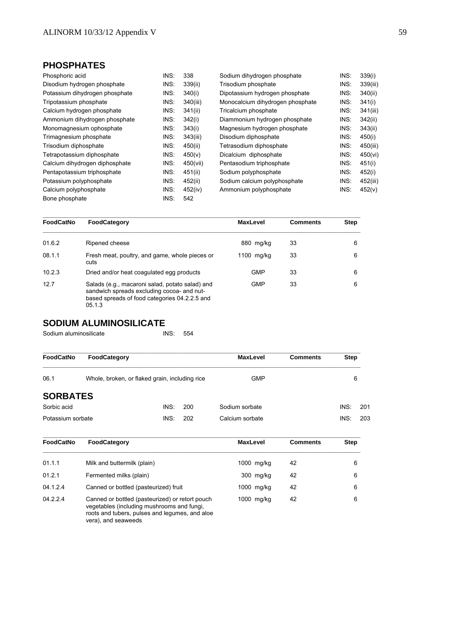# **PHOSPHATES**

| Phosphoric acid                | INS: | 338      | Sodium dihydrogen phosphate      | INS: | 339(i)   |
|--------------------------------|------|----------|----------------------------------|------|----------|
| Disodium hydrogen phosphate    | INS: | 339(ii)  | Trisodium phosphate              | INS: | 339(iii) |
| Potassium dihydrogen phosphate | INS: | 340(i)   | Dipotassium hydrogen phosphate   | INS: | 340(ii)  |
| Tripotassium phosphate         | INS: | 340(iii) | Monocalcium dihydrogen phosphate | INS: | 341(i)   |
| Calcium hydrogen phosphate     | INS: | 341(ii)  | Tricalcium phosphate             | INS: | 341(iii) |
| Ammonium dihydrogen phosphate  | INS: | 342(i)   | Diammonium hydrogen phosphate    | INS: | 342(ii)  |
| Monomagnesium ophosphate       | INS: | 343(i)   | Magnesium hydrogen phosphate     | INS: | 343(ii)  |
| Trimagnesium phosphate         | INS: | 343(iii) | Disodium diphosphate             | INS: | 450(i)   |
| Trisodium diphosphate          | INS: | 450(ii)  | Tetrasodium diphosphate          | INS: | 450(iii) |
| Tetrapotassium diphosphate     | INS: | 450(v)   | Dicalcium diphosphate            | INS: | 450(vi)  |
| Calcium dihydrogen diphosphate | INS: | 450(vii) | Pentasodium triphosphate         | INS: | 451(i)   |
| Pentapotassium triphosphate    | INS: | 451(ii)  | Sodium polyphosphate             | INS: | 452(i)   |
| Potassium polyphosphate        | INS: | 452(ii)  | Sodium calcium polyphosphate     | INS: | 452(iii) |
| Calcium polyphosphate          | INS: | 452(iv)  | Ammonium polyphosphate           | INS: | 452(v)   |
| Bone phosphate                 | INS: | 542      |                                  |      |          |

| FoodCatNo | FoodCategory                                                                                                                                             | <b>MaxLevel</b> | <b>Comments</b> | Step |
|-----------|----------------------------------------------------------------------------------------------------------------------------------------------------------|-----------------|-----------------|------|
| 01.6.2    | Ripened cheese                                                                                                                                           | 880 mg/kg       | 33              | 6    |
| 08.1.1    | Fresh meat, poultry, and game, whole pieces or<br>cuts                                                                                                   | 1100 $mg/kg$    | 33              | 6    |
| 10.2.3    | Dried and/or heat coagulated egg products                                                                                                                | <b>GMP</b>      | 33              | 6    |
| 12.7      | Salads (e.g., macaroni salad, potato salad) and<br>sandwich spreads excluding cocoa- and nut-<br>based spreads of food categories 04.2.2.5 and<br>05.1.3 | <b>GMP</b>      | 33              | 6    |

# **SODIUM ALUMINOSILICATE**

| Sodium aluminosilicate | INS: | - 554 |
|------------------------|------|-------|
|                        |      |       |

| <b>FoodCatNo</b>                                       | FoodCategory |            | <b>MaxLevel</b> | <b>Comments</b> | <b>Step</b> |     |
|--------------------------------------------------------|--------------|------------|-----------------|-----------------|-------------|-----|
| 06.1<br>Whole, broken, or flaked grain, including rice |              | <b>GMP</b> |                 | 6               |             |     |
| <b>SORBATES</b>                                        |              |            |                 |                 |             |     |
| Sorbic acid                                            | INS:         | 200        | Sodium sorbate  |                 | INS:        | 201 |
| Potassium sorbate                                      | INS:         | 202        | Calcium sorbate |                 | INS:        | 203 |

| FoodCatNo | FoodCategory                                                                                                                                    | <b>MaxLevel</b> | <b>Comments</b> | <b>Step</b> |
|-----------|-------------------------------------------------------------------------------------------------------------------------------------------------|-----------------|-----------------|-------------|
| 01.1.1    | Milk and buttermilk (plain)                                                                                                                     | 1000 mg/kg      | 42              | 6           |
| 01.2.1    | Fermented milks (plain)                                                                                                                         | 300 mg/kg       | 42              | 6           |
| 04.1.2.4  | Canned or bottled (pasteurized) fruit                                                                                                           | 1000 mg/kg      | 42              | 6           |
| 04.2.2.4  | Canned or bottled (pasteurized) or retort pouch<br>vegetables (including mushrooms and fungi,<br>roots and tubers, pulses and lequmes, and aloe | 1000 mg/kg      | 42              | 6           |

vera), and seaweeds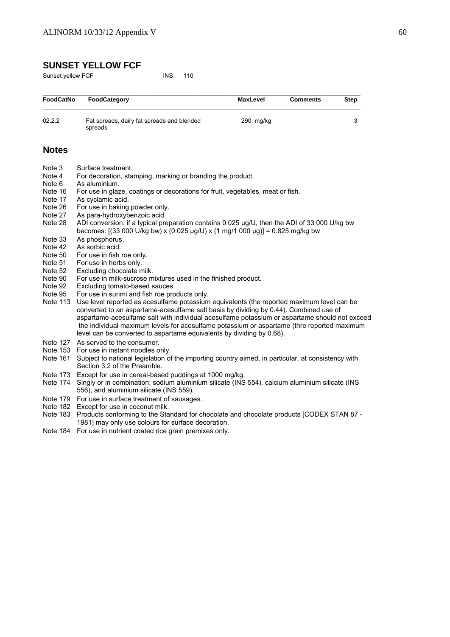# **SUNSET YELLOW FCF**

Sunset yellow FCF INS: 110

| <b>FoodCatNo</b>                      | FoodCategory                                                                                                                                                                                                  | <b>MaxLevel</b> | <b>Comments</b> | <b>Step</b> |
|---------------------------------------|---------------------------------------------------------------------------------------------------------------------------------------------------------------------------------------------------------------|-----------------|-----------------|-------------|
| 02.2.2                                | Fat spreads, dairy fat spreads and blended<br>spreads                                                                                                                                                         | $290$ mg/kg     |                 | 3           |
| <b>Notes</b>                          |                                                                                                                                                                                                               |                 |                 |             |
| Note 3<br>Note 4<br>Note 6<br>Note 16 | Surface treatment.<br>For decoration, stamping, marking or branding the product.<br>As aluminium.<br>For use in glaze, coatings or decorations for fruit, vegetables, meat or fish.                           |                 |                 |             |
| Note 17<br>Note 26                    | As cyclamic acid.<br>For use in baking powder only.                                                                                                                                                           |                 |                 |             |
| Note 27<br>Note 28                    | As para-hydroxybenzoic acid.<br>ADI conversion: if a typical preparation contains 0.025 µg/U, then the ADI of 33 000 U/kg bw<br>becomes: [(33 000 U/kg bw) x (0.025 µg/U) x (1 mg/1 000 µg)] = 0.825 mg/kg bw |                 |                 |             |
|                                       |                                                                                                                                                                                                               |                 |                 |             |

- Note 33 As phosphorus.
- Note 42 As sorbic acid.<br>Note 50 For use in fish
- For use in fish roe only.
- Note 51 For use in herbs only.<br>Note 52 Fxcluding chocolate r
- Note 52 Excluding chocolate milk.<br>Note 90 For use in milk-sucrose m
- For use in milk-sucrose mixtures used in the finished product.
- Note 92 Excluding tomato-based sauces.
- Note 95 For use in surimi and fish roe products only.
- Note 113 Use level reported as acesulfame potassium equivalents (the reported maximum level can be converted to an aspartame-acesulfame salt basis by dividing by 0.44). Combined use of aspartame-acesulfame salt with individual acesulfame potassium or aspartame should not exceed the individual maximum levels for acesulfame potassium or aspartame (thre reported maximum level can be converted to aspartame equivalents by dividing by 0.68).
- Note 127 As served to the consumer.
- Note 153 For use in instant noodles only.
- Note 161 Subject to national legislation of the importing country aimed, in particular, at consistency with Section 3.2 of the Preamble.
- Note 173 Except for use in cereal-based puddings at 1000 mg/kg.
- Note 174 Singly or in combination: sodium aluminium silicate (INS 554), calcium aluminium silicate (INS 556), and aluminium silicate (INS 559).
- Note 179 For use in surface treatment of sausages.
- Note 182 Except for use in coconut milk.
- Note 183 Products conforming to the Standard for chocolate and chocolate products [CODEX STAN 87 -1981] may only use colours for surface decoration.
- Note 184 For use in nutrient coated rice grain premixes only.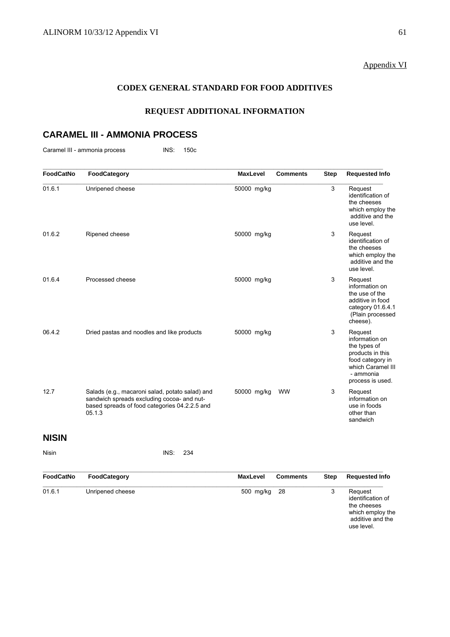# Appendix VI

# **CODEX GENERAL STANDARD FOR FOOD ADDITIVES**

# **REQUEST ADDITIONAL INFORMATION**

# **CARAMEL III - AMMONIA PROCESS**

Caramel III - ammonia process INS: 150c

| <b>FoodCatNo</b> | FoodCategory                                                                                                                                             | <b>MaxLevel</b> | <b>Comments</b> | <b>Step</b> | <b>Requested Info</b>                                                                                                                   |
|------------------|----------------------------------------------------------------------------------------------------------------------------------------------------------|-----------------|-----------------|-------------|-----------------------------------------------------------------------------------------------------------------------------------------|
| 01.6.1           | Unripened cheese                                                                                                                                         | 50000 mg/kg     |                 | 3           | Request<br>identification of<br>the cheeses<br>which employ the<br>additive and the<br>use level.                                       |
| 01.6.2           | Ripened cheese                                                                                                                                           | 50000 mg/kg     |                 | 3           | Request<br>identification of<br>the cheeses<br>which employ the<br>additive and the<br>use level.                                       |
| 01.6.4           | Processed cheese                                                                                                                                         | 50000 mg/kg     |                 | 3           | Request<br>information on<br>the use of the<br>additive in food<br>category 01.6.4.1<br>(Plain processed<br>cheese).                    |
| 06.4.2           | Dried pastas and noodles and like products                                                                                                               | 50000 mg/kg     |                 | 3           | Request<br>information on<br>the types of<br>products in this<br>food category in<br>which Caramel III<br>- ammonia<br>process is used. |
| 12.7             | Salads (e.g., macaroni salad, potato salad) and<br>sandwich spreads excluding cocoa- and nut-<br>based spreads of food categories 04.2.2.5 and<br>05.1.3 | 50000 mg/kg     | <b>WW</b>       | 3           | Request<br>information on<br>use in foods<br>other than<br>sandwich                                                                     |
| <b>NISIN</b>     |                                                                                                                                                          |                 |                 |             |                                                                                                                                         |
| <b>Nisin</b>     | INS:<br>234                                                                                                                                              |                 |                 |             |                                                                                                                                         |
| <b>FoodCatNo</b> | FoodCategory                                                                                                                                             | <b>MaxLevel</b> | <b>Comments</b> | <b>Step</b> | <b>Requested Info</b>                                                                                                                   |
| 01.6.1           | Unripened cheese                                                                                                                                         | 500 mg/kg       | 28              | 3           | Request                                                                                                                                 |

| Request           |
|-------------------|
| identification of |
| the cheeses       |
| which employ the  |
| additive and the  |
| use level.        |
|                   |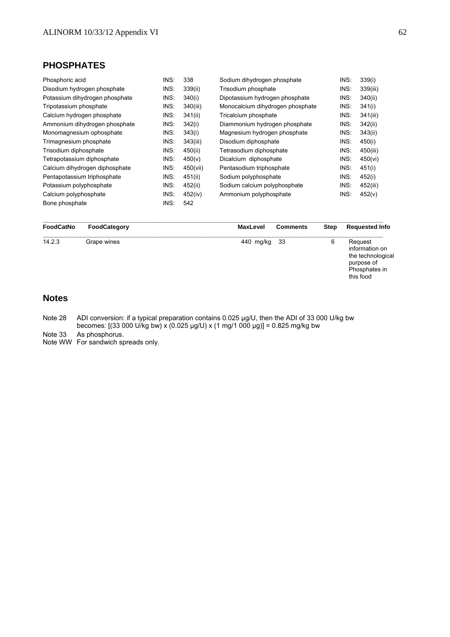# **PHOSPHATES**

| Phosphoric acid                | INS: | 338      | Sodium dihydrogen phosphate      | INS: | 339(i)   |
|--------------------------------|------|----------|----------------------------------|------|----------|
| Disodium hydrogen phosphate    | INS: | 339(ii)  | Trisodium phosphate              | INS: | 339(iii) |
| Potassium dihydrogen phosphate | INS: | 340(i)   | Dipotassium hydrogen phosphate   | INS: | 340(ii)  |
| Tripotassium phosphate         | INS: | 340(iii) | Monocalcium dihydrogen phosphate | INS: | 341(i)   |
| Calcium hydrogen phosphate     | INS: | 341(ii)  | Tricalcium phosphate             | INS: | 341(iii) |
| Ammonium dihydrogen phosphate  | INS: | 342(i)   | Diammonium hydrogen phosphate    | INS: | 342(ii)  |
| Monomagnesium ophosphate       | INS: | 343(i)   | Magnesium hydrogen phosphate     | INS: | 343(ii)  |
| Trimagnesium phosphate         | INS: | 343(iii) | Disodium diphosphate             | INS: | 450(i)   |
| Trisodium diphosphate          | INS: | 450(ii)  | Tetrasodium diphosphate          | INS: | 450(iii) |
| Tetrapotassium diphosphate     | INS: | 450(v)   | Dicalcium diphosphate            | INS: | 450(vi)  |
| Calcium dihydrogen diphosphate | INS: | 450(vii) | Pentasodium triphosphate         | INS: | 451(i)   |
| Pentapotassium triphosphate    | INS: | 451(ii)  | Sodium polyphosphate             | INS: | 452(i)   |
| Potassium polyphosphate        | INS: | 452(ii)  | Sodium calcium polyphosphate     | INS: | 452(iii) |
| Calcium polyphosphate          | INS: | 452(iv)  | Ammonium polyphosphate           | INS: | 452(v)   |
| Bone phosphate                 | INS: | 542      |                                  |      |          |

| FoodCatNo | FoodCategory | <b>MaxLevel</b> | <b>Comments</b> | <b>Step</b> | <b>Requested Info</b>                                                                      |
|-----------|--------------|-----------------|-----------------|-------------|--------------------------------------------------------------------------------------------|
| 14.2.3    | Grape wines  | 440 mg/kg       | -33             | 6           | Request<br>information on<br>the technological<br>purpose of<br>Phosphates in<br>this food |

# **Notes**

Note 28 ADI conversion: if a typical preparation contains 0.025 μg/U, then the ADI of 33 000 U/kg bw becomes: [(33 000 U/kg bw) x (0.025 µg/U) x (1 mg/1 000 µg)] = 0.825 mg/kg bw

Note 33 As phosphorus.

Note WW For sandwich spreads only.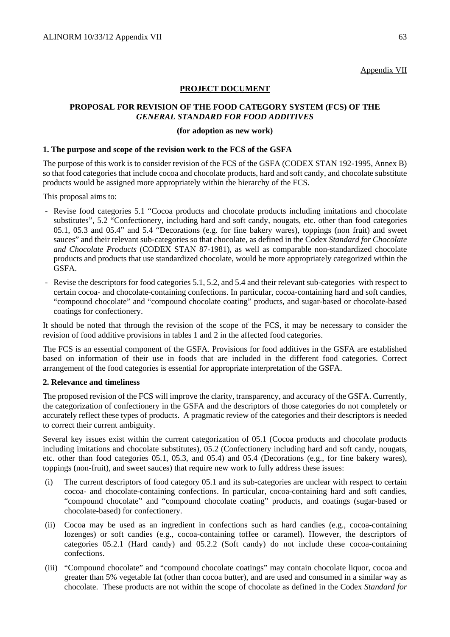Appendix VII

# **PROJECT DOCUMENT**

# **PROPOSAL FOR REVISION OF THE FOOD CATEGORY SYSTEM (FCS) OF THE**  *GENERAL STANDARD FOR FOOD ADDITIVES*

## **(for adoption as new work)**

## **1. The purpose and scope of the revision work to the FCS of the GSFA**

The purpose of this work is to consider revision of the FCS of the GSFA (CODEX STAN 192-1995, Annex B) so that food categories that include cocoa and chocolate products, hard and soft candy, and chocolate substitute products would be assigned more appropriately within the hierarchy of the FCS.

This proposal aims to:

- Revise food categories 5.1 "Cocoa products and chocolate products including imitations and chocolate substitutes", 5.2 "Confectionery, including hard and soft candy, nougats, etc. other than food categories 05.1, 05.3 and 05.4" and 5.4 "Decorations (e.g. for fine bakery wares), toppings (non fruit) and sweet sauces" and their relevant sub-categories so that chocolate, as defined in the Codex *Standard for Chocolate and Chocolate Products* (CODEX STAN 87-1981), as well as comparable non-standardized chocolate products and products that use standardized chocolate, would be more appropriately categorized within the GSFA.
- Revise the descriptors for food categories 5.1, 5.2, and 5.4 and their relevant sub-categories with respect to certain cocoa- and chocolate-containing confections. In particular, cocoa-containing hard and soft candies, "compound chocolate" and "compound chocolate coating" products, and sugar-based or chocolate-based coatings for confectionery.

It should be noted that through the revision of the scope of the FCS, it may be necessary to consider the revision of food additive provisions in tables 1 and 2 in the affected food categories.

The FCS is an essential component of the GSFA. Provisions for food additives in the GSFA are established based on information of their use in foods that are included in the different food categories. Correct arrangement of the food categories is essential for appropriate interpretation of the GSFA.

# **2. Relevance and timeliness**

The proposed revision of the FCS will improve the clarity, transparency, and accuracy of the GSFA. Currently, the categorization of confectionery in the GSFA and the descriptors of those categories do not completely or accurately reflect these types of products. A pragmatic review of the categories and their descriptors is needed to correct their current ambiguity.

Several key issues exist within the current categorization of 05.1 (Cocoa products and chocolate products including imitations and chocolate substitutes), 05.2 (Confectionery including hard and soft candy, nougats, etc. other than food categories 05.1, 05.3, and 05.4) and 05.4 (Decorations (e.g., for fine bakery wares), toppings (non-fruit), and sweet sauces) that require new work to fully address these issues:

- (i) The current descriptors of food category 05.1 and its sub-categories are unclear with respect to certain cocoa- and chocolate-containing confections. In particular, cocoa-containing hard and soft candies, "compound chocolate" and "compound chocolate coating" products, and coatings (sugar-based or chocolate-based) for confectionery.
- (ii) Cocoa may be used as an ingredient in confections such as hard candies (e.g., cocoa-containing lozenges) or soft candies (e.g., cocoa-containing toffee or caramel). However, the descriptors of categories 05.2.1 (Hard candy) and 05.2.2 (Soft candy) do not include these cocoa-containing confections.
- (iii) "Compound chocolate" and "compound chocolate coatings" may contain chocolate liquor, cocoa and greater than 5% vegetable fat (other than cocoa butter), and are used and consumed in a similar way as chocolate. These products are not within the scope of chocolate as defined in the Codex *Standard for*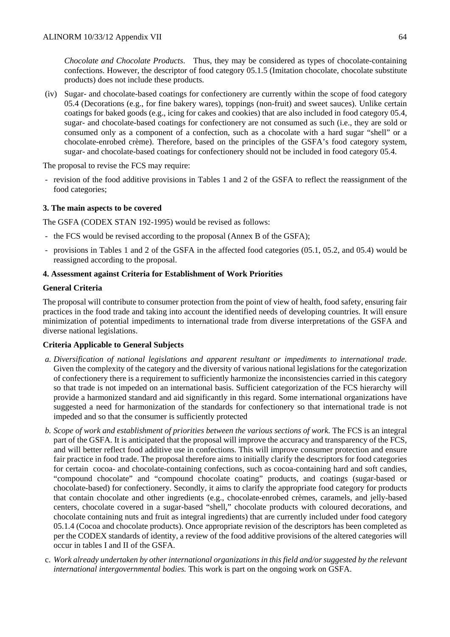*Chocolate and Chocolate Products*. Thus, they may be considered as types of chocolate-containing confections. However, the descriptor of food category 05.1.5 (Imitation chocolate, chocolate substitute products) does not include these products.

(iv) Sugar- and chocolate-based coatings for confectionery are currently within the scope of food category 05.4 (Decorations (e.g., for fine bakery wares), toppings (non-fruit) and sweet sauces). Unlike certain coatings for baked goods (e.g., icing for cakes and cookies) that are also included in food category 05.4, sugar- and chocolate-based coatings for confectionery are not consumed as such (i.e., they are sold or consumed only as a component of a confection, such as a chocolate with a hard sugar "shell" or a chocolate-enrobed crème). Therefore, based on the principles of the GSFA's food category system, sugar- and chocolate-based coatings for confectionery should not be included in food category 05.4.

The proposal to revise the FCS may require:

- revision of the food additive provisions in Tables 1 and 2 of the GSFA to reflect the reassignment of the food categories;

## **3. The main aspects to be covered**

The GSFA (CODEX STAN 192-1995) would be revised as follows:

- the FCS would be revised according to the proposal (Annex B of the GSFA);
- provisions in Tables 1 and 2 of the GSFA in the affected food categories (05.1, 05.2, and 05.4) would be reassigned according to the proposal.

## **4. Assessment against Criteria for Establishment of Work Priorities**

## **General Criteria**

The proposal will contribute to consumer protection from the point of view of health, food safety, ensuring fair practices in the food trade and taking into account the identified needs of developing countries. It will ensure minimization of potential impediments to international trade from diverse interpretations of the GSFA and diverse national legislations.

### **Criteria Applicable to General Subjects**

- *a. Diversification of national legislations and apparent resultant or impediments to international trade.*  Given the complexity of the category and the diversity of various national legislations for the categorization of confectionery there is a requirement to sufficiently harmonize the inconsistencies carried in this category so that trade is not impeded on an international basis. Sufficient categorization of the FCS hierarchy will provide a harmonized standard and aid significantly in this regard. Some international organizations have suggested a need for harmonization of the standards for confectionery so that international trade is not impeded and so that the consumer is sufficiently protected
- *b. Scope of work and establishment of priorities between the various sections of work.* The FCS is an integral part of the GSFA. It is anticipated that the proposal will improve the accuracy and transparency of the FCS, and will better reflect food additive use in confections. This will improve consumer protection and ensure fair practice in food trade. The proposal therefore aims to initially clarify the descriptors for food categories for certain cocoa- and chocolate-containing confections, such as cocoa-containing hard and soft candies, "compound chocolate" and "compound chocolate coating" products, and coatings (sugar-based or chocolate-based) for confectionery. Secondly, it aims to clarify the appropriate food category for products that contain chocolate and other ingredients (e.g., chocolate-enrobed crèmes, caramels, and jelly-based centers, chocolate covered in a sugar-based "shell," chocolate products with coloured decorations, and chocolate containing nuts and fruit as integral ingredients) that are currently included under food category 05.1.4 (Cocoa and chocolate products). Once appropriate revision of the descriptors has been completed as per the CODEX standards of identity, a review of the food additive provisions of the altered categories will occur in tables I and II of the GSFA.
- c. *Work already undertaken by other international organizations in this field and/or suggested by the relevant international intergovernmental bodies.* This work is part on the ongoing work on GSFA.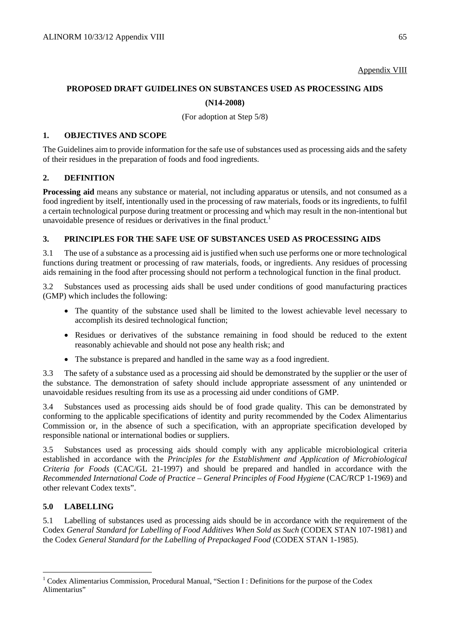## Appendix VIII

# **PROPOSED DRAFT GUIDELINES ON SUBSTANCES USED AS PROCESSING AIDS (N14-2008)**

(For adoption at Step 5/8)

## **1. OBJECTIVES AND SCOPE**

The Guidelines aim to provide information for the safe use of substances used as processing aids and the safety of their residues in the preparation of foods and food ingredients.

# **2. DEFINITION**

**Processing aid** means any substance or material, not including apparatus or utensils, and not consumed as a food ingredient by itself, intentionally used in the processing of raw materials, foods or its ingredients, to fulfil a certain technological purpose during treatment or processing and which may result in the non-intentional but unavoidable presence of residues or derivatives in the final product.<sup>1</sup>

# **3. PRINCIPLES FOR THE SAFE USE OF SUBSTANCES USED AS PROCESSING AIDS**

3.1 The use of a substance as a processing aid is justified when such use performs one or more technological functions during treatment or processing of raw materials, foods, or ingredients. Any residues of processing aids remaining in the food after processing should not perform a technological function in the final product.

3.2 Substances used as processing aids shall be used under conditions of good manufacturing practices (GMP) which includes the following:

- The quantity of the substance used shall be limited to the lowest achievable level necessary to accomplish its desired technological function;
- Residues or derivatives of the substance remaining in food should be reduced to the extent reasonably achievable and should not pose any health risk; and
- The substance is prepared and handled in the same way as a food ingredient.

3.3 The safety of a substance used as a processing aid should be demonstrated by the supplier or the user of the substance. The demonstration of safety should include appropriate assessment of any unintended or unavoidable residues resulting from its use as a processing aid under conditions of GMP.

3.4 Substances used as processing aids should be of food grade quality. This can be demonstrated by conforming to the applicable specifications of identity and purity recommended by the Codex Alimentarius Commission or, in the absence of such a specification, with an appropriate specification developed by responsible national or international bodies or suppliers.

3.5 Substances used as processing aids should comply with any applicable microbiological criteria established in accordance with the *Principles for the Establishment and Application of Microbiological Criteria for Foods* (CAC/GL 21-1997) and should be prepared and handled in accordance with the *Recommended International Code of Practice – General Principles of Food Hygiene* (CAC/RCP 1-1969) and other relevant Codex texts".

# **5.0 LABELLING**

 $\overline{a}$ 

5.1 Labelling of substances used as processing aids should be in accordance with the requirement of the Codex *General Standard for Labelling of Food Additives When Sold as Such* (CODEX STAN 107-1981) and the Codex *General Standard for the Labelling of Prepackaged Food* (CODEX STAN 1-1985).

<sup>&</sup>lt;sup>1</sup> Codex Alimentarius Commission, Procedural Manual, "Section I : Definitions for the purpose of the Codex Alimentarius"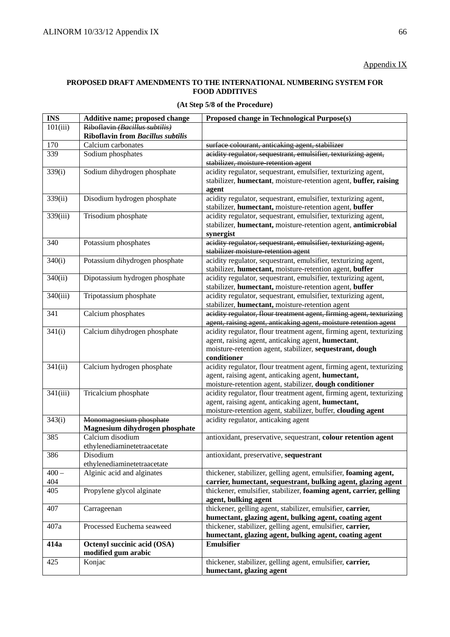## **PROPOSED DRAFT AMENDMENTS TO THE INTERNATIONAL NUMBERING SYSTEM FOR FOOD ADDITIVES**

|  |  |  |  | (At Step 5/8 of the Procedure) |
|--|--|--|--|--------------------------------|
|--|--|--|--|--------------------------------|

| <b>INS</b> | Additive name; proposed change                     | Proposed change in Technological Purpose(s)                                                                       |
|------------|----------------------------------------------------|-------------------------------------------------------------------------------------------------------------------|
| 101(iii)   | Riboflavin (Bacillus subtilis)                     |                                                                                                                   |
|            | <b>Riboflavin from Bacillus subtilis</b>           |                                                                                                                   |
| 170        | Calcium carbonates                                 | surface colourant, anticaking agent, stabilizer                                                                   |
| 339        | Sodium phosphates                                  | acidity regulator, sequestrant, emulsifier, texturizing agent,                                                    |
|            |                                                    | stabilizer, moisture retention agent                                                                              |
| 339(i)     | Sodium dihydrogen phosphate                        | acidity regulator, sequestrant, emulsifier, texturizing agent,                                                    |
|            |                                                    | stabilizer, humectant, moisture-retention agent, buffer, raising                                                  |
|            |                                                    | agent                                                                                                             |
| 339(ii)    | Disodium hydrogen phosphate                        | acidity regulator, sequestrant, emulsifier, texturizing agent,                                                    |
|            |                                                    | stabilizer, humectant, moisture-retention agent, buffer                                                           |
| 339(iii)   | Trisodium phosphate                                | acidity regulator, sequestrant, emulsifier, texturizing agent,                                                    |
|            |                                                    | stabilizer, humectant, moisture-retention agent, antimicrobial                                                    |
|            |                                                    | synergist                                                                                                         |
| 340        | Potassium phosphates                               | acidity regulator, sequestrant, emulsifier, texturizing agent,                                                    |
|            |                                                    | stabilizer moisture retention agent                                                                               |
| 340(i)     | Potassium dihydrogen phosphate                     | acidity regulator, sequestrant, emulsifier, texturizing agent,                                                    |
|            |                                                    | stabilizer, humectant, moisture-retention agent, buffer                                                           |
| 340(ii)    | Dipotassium hydrogen phosphate                     | acidity regulator, sequestrant, emulsifier, texturizing agent,                                                    |
| 340(iii)   | Tripotassium phosphate                             | stabilizer, humectant, moisture-retention agent, buffer                                                           |
|            |                                                    | acidity regulator, sequestrant, emulsifier, texturizing agent,<br>stabilizer, humectant, moisture-retention agent |
| 341        | Calcium phosphates                                 | acidity regulator, flour treatment agent, firming agent, texturizing                                              |
|            |                                                    | agent, raising agent, anticaking agent, moisture retention agent                                                  |
| 341(i)     | Calcium dihydrogen phosphate                       | acidity regulator, flour treatment agent, firming agent, texturizing                                              |
|            |                                                    | agent, raising agent, anticaking agent, humectant,                                                                |
|            |                                                    | moisture-retention agent, stabilizer, sequestrant, dough                                                          |
|            |                                                    | conditioner                                                                                                       |
| 341(ii)    | Calcium hydrogen phosphate                         | acidity regulator, flour treatment agent, firming agent, texturizing                                              |
|            |                                                    | agent, raising agent, anticaking agent, humectant,                                                                |
|            |                                                    | moisture-retention agent, stabilizer, dough conditioner                                                           |
| 341(iii)   | Tricalcium phosphate                               | acidity regulator, flour treatment agent, firming agent, texturizing                                              |
|            |                                                    | agent, raising agent, anticaking agent, humectant,                                                                |
|            |                                                    | moisture-retention agent, stabilizer, buffer, clouding agent                                                      |
| 343(i)     | Monomagnesium phosphate                            | acidity regulator, anticaking agent                                                                               |
|            | Magnesium dihydrogen phosphate                     |                                                                                                                   |
| 385        | Calcium disodium                                   | antioxidant, preservative, sequestrant, colour retention agent                                                    |
|            | ethylenediaminetetraacetate                        |                                                                                                                   |
| 386        | Disodium                                           | antioxidant, preservative, sequestrant                                                                            |
|            | ethylenediaminetetraacetate                        |                                                                                                                   |
| $400 -$    | Alginic acid and alginates                         | thickener, stabilizer, gelling agent, emulsifier, foaming agent,                                                  |
| 404        |                                                    | carrier, humectant, sequestrant, bulking agent, glazing agent                                                     |
| 405        | Propylene glycol alginate                          | thickener, emulsifier, stabilizer, foaming agent, carrier, gelling                                                |
|            |                                                    | agent, bulking agent                                                                                              |
| 407        | Carrageenan                                        | thickener, gelling agent, stabilizer, emulsifier, carrier,                                                        |
|            |                                                    | humectant, glazing agent, bulking agent, coating agent                                                            |
| 407a       | Processed Euchema seaweed                          | thickener, stabilizer, gelling agent, emulsifier, carrier,                                                        |
|            |                                                    | humectant, glazing agent, bulking agent, coating agent                                                            |
| 414a       | Octenyl succinic acid (OSA)<br>modified gum arabic | Emulsifier                                                                                                        |
| 425        | Konjac                                             | thickener, stabilizer, gelling agent, emulsifier, carrier,                                                        |
|            |                                                    | humectant, glazing agent                                                                                          |
|            |                                                    |                                                                                                                   |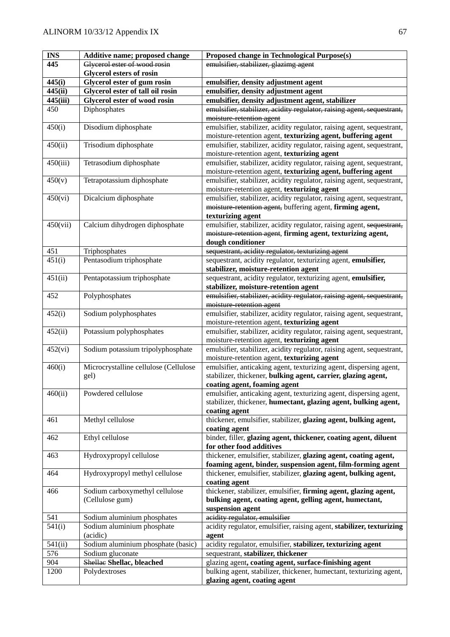| <b>INS</b> | Additive name; proposed change        | Proposed change in Technological Purpose(s)                                                                           |
|------------|---------------------------------------|-----------------------------------------------------------------------------------------------------------------------|
| 445        | Glycerol ester of wood rosin          | emulsifier, stabilizer, glazimg agent                                                                                 |
|            | <b>Glycerol esters of rosin</b>       |                                                                                                                       |
| 445(i)     | Glycerol ester of gum rosin           | emulsifier, density adjustment agent                                                                                  |
| 445(ii)    | Glycerol ester of tall oil rosin      | emulsifier, density adjustment agent                                                                                  |
| 445(iii)   | <b>Glycerol ester of wood rosin</b>   | emulsifier, density adjustment agent, stabilizer                                                                      |
| 450        | Diphosphates                          | emulsifier, stabilizer, acidity regulator, raising agent, sequestrant,                                                |
|            |                                       | moisture retention agent                                                                                              |
| 450(i)     | Disodium diphosphate                  | emulsifier, stabilizer, acidity regulator, raising agent, sequestrant,                                                |
|            |                                       | moisture-retention agent, texturizing agent, buffering agent                                                          |
| 450(ii)    | Trisodium diphosphate                 | emulsifier, stabilizer, acidity regulator, raising agent, sequestrant,                                                |
|            |                                       | moisture-retention agent, texturizing agent                                                                           |
| 450(iii)   | Tetrasodium diphosphate               | emulsifier, stabilizer, acidity regulator, raising agent, sequestrant,                                                |
|            |                                       | moisture-retention agent, texturizing agent, buffering agent                                                          |
| 450(v)     | Tetrapotassium diphosphate            | emulsifier, stabilizer, acidity regulator, raising agent, sequestrant,                                                |
|            |                                       | moisture-retention agent, texturizing agent                                                                           |
| 450(vi)    | Dicalcium diphosphate                 | emulsifier, stabilizer, acidity regulator, raising agent, sequestrant,                                                |
|            |                                       | moisture-retention agent, buffering agent, firming agent,                                                             |
|            |                                       | texturizing agent                                                                                                     |
| 450(vii)   | Calcium dihydrogen diphosphate        | emulsifier, stabilizer, acidity regulator, raising agent, sequestrant,                                                |
|            |                                       | moisture retention agent, firming agent, texturizing agent,                                                           |
|            |                                       | dough conditioner                                                                                                     |
| 451        | Triphosphates                         | sequestrant, acidity regulator, texturizing agent                                                                     |
| 451(i)     | Pentasodium triphosphate              | sequestrant, acidity regulator, texturizing agent, emulsifier,                                                        |
|            |                                       | stabilizer, moisture-retention agent                                                                                  |
| 451(ii)    | Pentapotassium triphosphate           | sequestrant, acidity regulator, texturizing agent, emulsifier,                                                        |
|            |                                       | stabilizer, moisture-retention agent                                                                                  |
| 452        | Polyphosphates                        | emulsifier, stabilizer, acidity regulator, raising agent, sequestrant,                                                |
|            |                                       | moisture-retention agent                                                                                              |
| 452(i)     | Sodium polyphosphates                 | emulsifier, stabilizer, acidity regulator, raising agent, sequestrant,                                                |
|            |                                       | moisture-retention agent, texturizing agent                                                                           |
| 452(ii)    |                                       | emulsifier, stabilizer, acidity regulator, raising agent, sequestrant,                                                |
|            | Potassium polyphosphates              |                                                                                                                       |
|            | Sodium potassium tripolyphosphate     | moisture-retention agent, texturizing agent<br>emulsifier, stabilizer, acidity regulator, raising agent, sequestrant, |
| 452(vi)    |                                       |                                                                                                                       |
|            |                                       | moisture-retention agent, texturizing agent                                                                           |
| 460(i)     | Microcrystalline cellulose (Cellulose | emulsifier, anticaking agent, texturizing agent, dispersing agent,                                                    |
|            | gel)                                  | stabilizer, thickener, bulking agent, carrier, glazing agent,                                                         |
|            | Powdered cellulose                    | coating agent, foaming agent                                                                                          |
| 460(ii)    |                                       | emulsifier, anticaking agent, texturizing agent, dispersing agent,                                                    |
|            |                                       | stabilizer, thickener, humectant, glazing agent, bulking agent,                                                       |
|            |                                       | coating agent                                                                                                         |
| 461        | Methyl cellulose                      | thickener, emulsifier, stabilizer, glazing agent, bulking agent,                                                      |
|            |                                       | coating agent                                                                                                         |
| 462        | Ethyl cellulose                       | binder, filler, glazing agent, thickener, coating agent, diluent                                                      |
|            |                                       | for other food additives                                                                                              |
| 463        | Hydroxypropyl cellulose               | thickener, emulsifier, stabilizer, glazing agent, coating agent,                                                      |
|            |                                       | foaming agent, binder, suspension agent, film-forming agent                                                           |
| 464        | Hydroxypropyl methyl cellulose        | thickener, emulsifier, stabilizer, glazing agent, bulking agent,                                                      |
|            |                                       | coating agent                                                                                                         |
| 466        | Sodium carboxymethyl cellulose        | thickener, stabilizer, emulsifier, firming agent, glazing agent,                                                      |
|            | (Cellulose gum)                       | bulking agent, coating agent, gelling agent, humectant,                                                               |
|            |                                       | suspension agent                                                                                                      |
| 541        | Sodium aluminium phosphates           | acidity regulator, emulsifier                                                                                         |
| 541(i)     | Sodium aluminium phosphate            | acidity regulator, emulsifier, raising agent, stabilizer, texturizing                                                 |
|            | (acidic)                              | agent                                                                                                                 |
| 541(ii)    | Sodium aluminium phosphate (basic)    | acidity regulator, emulsifier, stabilizer, texturizing agent                                                          |
| 576        | Sodium gluconate                      | sequestrant, stabilizer, thickener                                                                                    |
| 904        | Shellae Shellac, bleached             | glazing agent, coating agent, surface-finishing agent                                                                 |
| 1200       | Polydextroses                         | bulking agent, stabilizer, thickener, humectant, texturizing agent,                                                   |
|            |                                       | glazing agent, coating agent                                                                                          |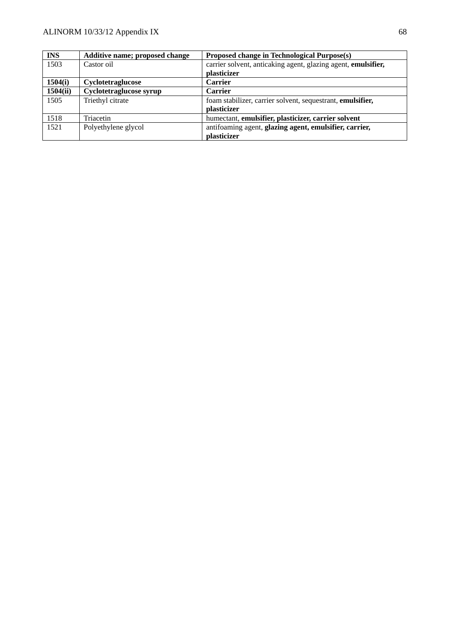| <b>INS</b> | Additive name; proposed change | Proposed change in Technological Purpose(s)                   |
|------------|--------------------------------|---------------------------------------------------------------|
| 1503       | Castor oil                     | carrier solvent, anticaking agent, glazing agent, emulsifier, |
|            |                                | plasticizer                                                   |
| 1504(i)    | <b>Cyclotetraglucose</b>       | <b>Carrier</b>                                                |
| 1504(ii)   | Cyclotetraglucose syrup        | <b>Carrier</b>                                                |
| 1505       | Triethyl citrate               | foam stabilizer, carrier solvent, sequestrant, emulsifier,    |
|            |                                | plasticizer                                                   |
| 1518       | Triacetin                      | humectant, emulsifier, plasticizer, carrier solvent           |
| 1521       | Polyethylene glycol            | antifoaming agent, glazing agent, emulsifier, carrier,        |
|            |                                | plasticizer                                                   |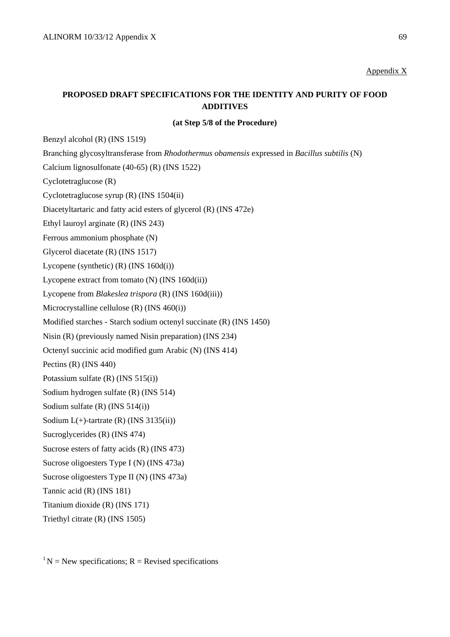#### Appendix X

# **PROPOSED DRAFT SPECIFICATIONS FOR THE IDENTITY AND PURITY OF FOOD ADDITIVES**

**(at Step 5/8 of the Procedure)** 

Benzyl alcohol (R) (INS 1519)

Branching glycosyltransferase from *Rhodothermus obamensis* expressed in *Bacillus subtilis* (N)

Calcium lignosulfonate (40-65) (R) (INS 1522)

Cyclotetraglucose (R)

Cyclotetraglucose syrup (R) (INS 1504(ii)

Diacetyltartaric and fatty acid esters of glycerol (R) (INS 472e)

Ethyl lauroyl arginate (R) (INS 243)

Ferrous ammonium phosphate (N)

Glycerol diacetate (R) (INS 1517)

Lycopene (synthetic) (R) (INS 160d(i))

Lycopene extract from tomato (N) (INS 160d(ii))

Lycopene from *Blakeslea trispora* (R) (INS 160d(iii))

Microcrystalline cellulose (R) (INS 460(i))

Modified starches - Starch sodium octenyl succinate (R) (INS 1450)

Nisin (R) (previously named Nisin preparation) (INS 234)

Octenyl succinic acid modified gum Arabic (N) (INS 414)

Pectins (R) (INS 440)

Potassium sulfate (R) (INS 515(i))

Sodium hydrogen sulfate (R) (INS 514)

Sodium sulfate (R) (INS 514(i))

Sodium  $L(+)$ -tartrate (R) (INS 3135(ii))

Sucroglycerides (R) (INS 474)

Sucrose esters of fatty acids (R) (INS 473)

Sucrose oligoesters Type I (N) (INS 473a)

Sucrose oligoesters Type II (N) (INS 473a)

Tannic acid (R) (INS 181)

Titanium dioxide (R) (INS 171)

Triethyl citrate (R) (INS 1505)

 $1^1$ N = New specifications; R = Revised specifications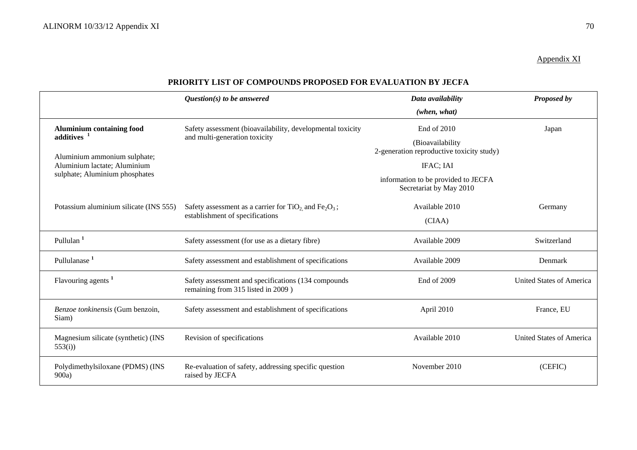Appendix XI

|                                                        | $Question(s)$ to be answered                                                               | Data availability                                              | Proposed by                     |
|--------------------------------------------------------|--------------------------------------------------------------------------------------------|----------------------------------------------------------------|---------------------------------|
|                                                        |                                                                                            | (when, what)                                                   |                                 |
| <b>Aluminium containing food</b>                       | Safety assessment (bioavailability, developmental toxicity                                 | End of 2010                                                    | Japan                           |
| additives <sup>1</sup><br>Aluminium ammonium sulphate; | and multi-generation toxicity                                                              | (Bioavailability<br>2-generation reproductive toxicity study)  |                                 |
| Aluminium lactate; Aluminium                           |                                                                                            | IFAC; IAI                                                      |                                 |
| sulphate; Aluminium phosphates                         |                                                                                            | information to be provided to JECFA<br>Secretariat by May 2010 |                                 |
| Potassium aluminium silicate (INS 555)                 | Safety assessment as a carrier for $TiO2$ and $Fe2O3$ ;<br>establishment of specifications | Available 2010                                                 | Germany                         |
|                                                        |                                                                                            | (CIAA)                                                         |                                 |
| Pullulan <sup>1</sup>                                  | Safety assessment (for use as a dietary fibre)                                             | Available 2009                                                 | Switzerland                     |
| Pullulanase <sup>1</sup>                               | Safety assessment and establishment of specifications                                      | Available 2009                                                 | Denmark                         |
| Flavouring agents <sup>1</sup>                         | Safety assessment and specifications (134 compounds<br>remaining from 315 listed in 2009)  | End of 2009                                                    | <b>United States of America</b> |
| Benzoe tonkinensis (Gum benzoin,<br>Siam)              | Safety assessment and establishment of specifications                                      | April 2010                                                     | France, EU                      |
| Magnesium silicate (synthetic) (INS<br>553(i)          | Revision of specifications                                                                 | Available 2010                                                 | <b>United States of America</b> |
| Polydimethylsiloxane (PDMS) (INS<br>900a)              | Re-evaluation of safety, addressing specific question<br>raised by JECFA                   | November 2010                                                  | (CEFIC)                         |

### **PRIORITY LIST OF COMPOUNDS PROPOSED FOR EVALUATION BY JECFA**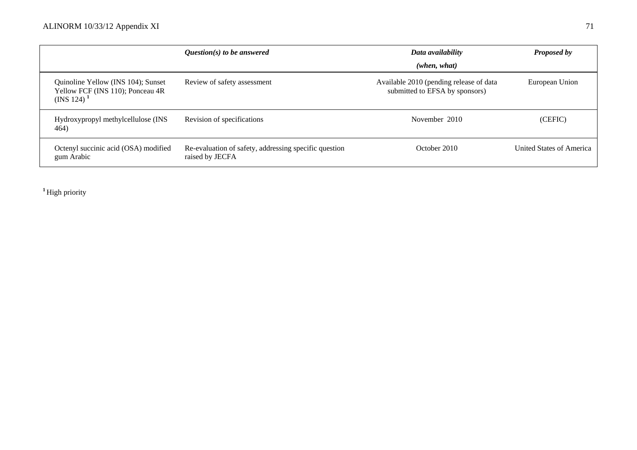|                                                                                     | $Question(s)$ to be answered                                             | Data availability                                                         | <b>Proposed by</b>       |
|-------------------------------------------------------------------------------------|--------------------------------------------------------------------------|---------------------------------------------------------------------------|--------------------------|
|                                                                                     |                                                                          | (when, what)                                                              |                          |
| Quinoline Yellow (INS 104); Sunset<br>Yellow FCF (INS 110); Ponceau 4R<br>(INS 124) | Review of safety assessment                                              | Available 2010 (pending release of data<br>submitted to EFSA by sponsors) | European Union           |
| Hydroxypropyl methylcellulose (INS<br>464)                                          | Revision of specifications                                               | November 2010                                                             | (CEFIC)                  |
| Octenyl succinic acid (OSA) modified<br>gum Arabic                                  | Re-evaluation of safety, addressing specific question<br>raised by JECFA | October 2010                                                              | United States of America |

**<sup>1</sup>**High priority